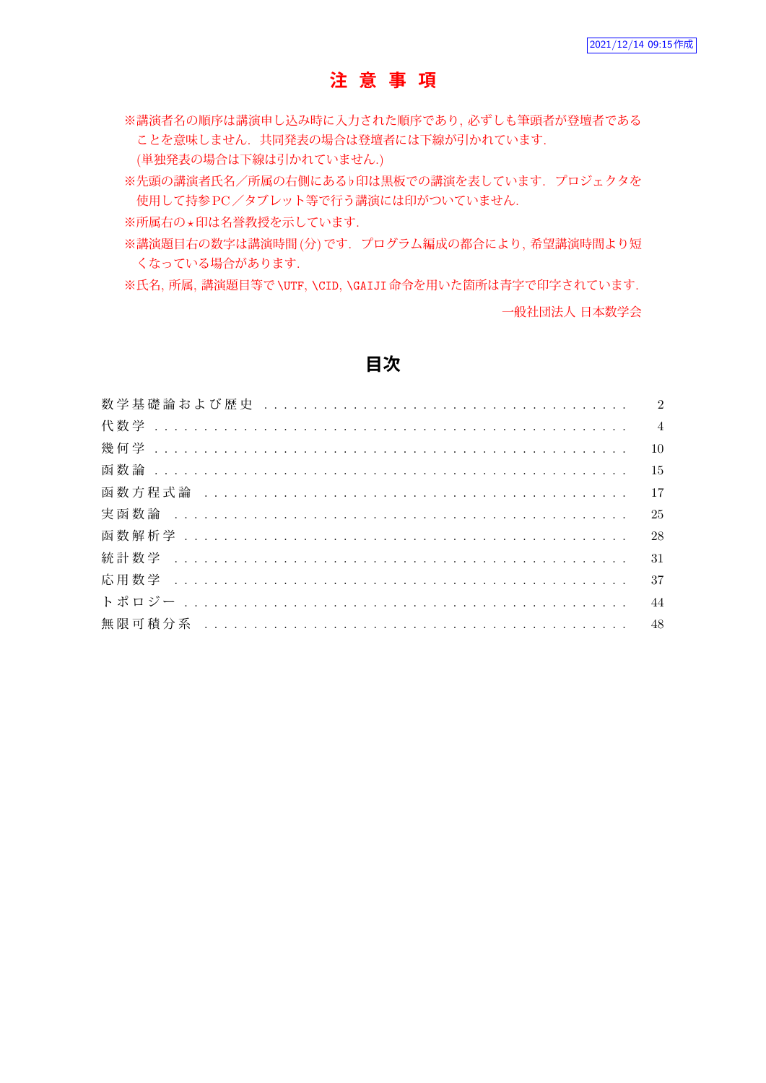## **注 意 事 項**

※講演者名の順序は講演申し込み時に入力された順序であり, 必ずしも筆頭者が登壇者である ことを意味しません. 共同発表の場合は登壇者には下線が引かれています.

(単独発表の場合は下線は引かれていません.)

※先頭の講演者氏名/所属の右側にある*♭*印は黒板での講演を表しています. プロジェクタを 使用して持参PC/タブレット等で行う講演には印がついていません.

※所属右の*⋆*印は名誉教授を示しています.

※講演題目右の数字は講演時間(分)です. プログラム編成の都合により, 希望講演時間より短 くなっている場合があります.

※氏名, 所属, 講演題目等で\UTF, \CID, \GAIJI命令を用いた箇所は青字で印字されています.

一般社団法人 日本数学会

### **目次**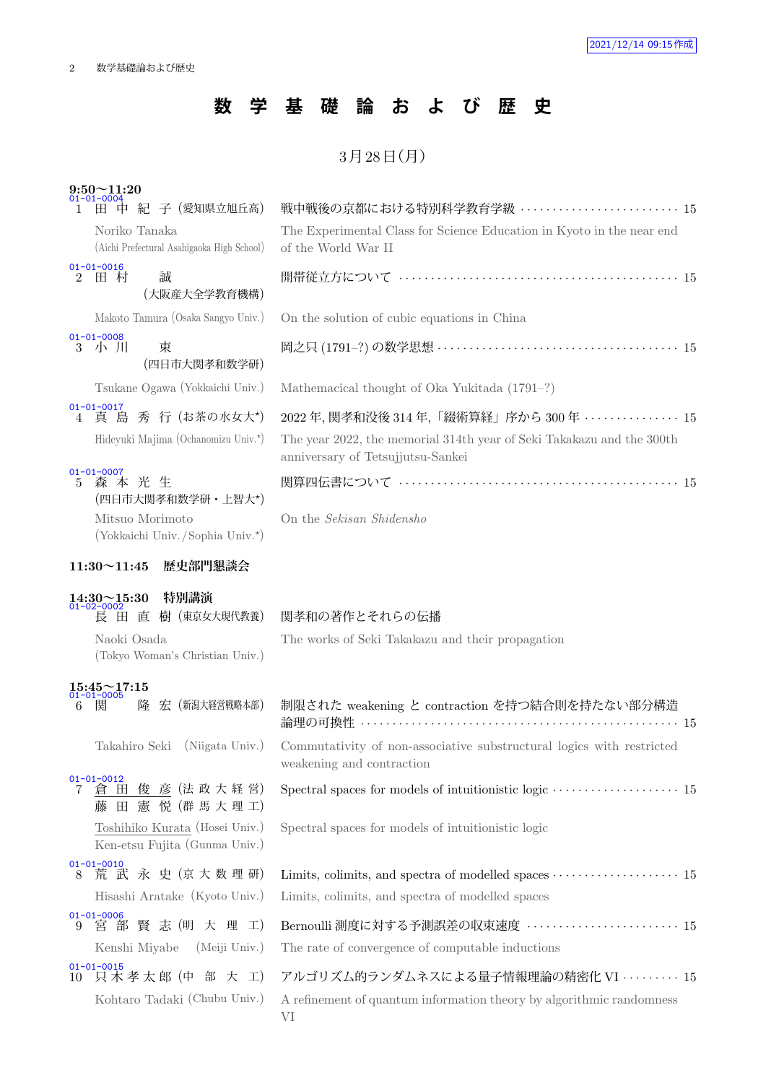## **数 学 基 礎 論 お よ び 歴 史**

## $3$ 月 $28$ 日 $(H)$

| $9:50 - 11:20$<br>01-01-0004                                                      |                                                                                                            |
|-----------------------------------------------------------------------------------|------------------------------------------------------------------------------------------------------------|
| 田 中 紀 子 (愛知県立旭丘高)<br>L                                                            | 戦中戦後の京都における特別科学教育学級  15                                                                                    |
| Noriko Tanaka<br>(Aichi Prefectural Asahigaoka High School)                       | The Experimental Class for Science Education in Kyoto in the near end<br>of the World War II               |
| $01 - 01 - 0016$<br>誠<br>$\overline{2}$<br>田 村<br>(大阪産大全学教育機構)                    |                                                                                                            |
| Makoto Tamura (Osaka Sangyo Univ.)                                                | On the solution of cubic equations in China                                                                |
| $01 - 01 - 0008$<br>3 小 川<br>束<br>(四日市大関孝和数学研)                                    |                                                                                                            |
| Tsukane Ogawa (Yokkaichi Univ.)                                                   | Mathemacical thought of Oka Yukitada (1791-?)                                                              |
| $01 - 01 - 0017$<br>真 島 秀 行 (お茶の水女大*)<br>4                                        | 2022 年, 関孝和没後 314 年, 「綴術算経」序から 300 年 ・・・・・・・・・・・・・・15                                                      |
| Hideyuki Majima (Ochanomizu Univ.*)                                               | The year 2022, the memorial 314th year of Seki Takakazu and the 300th<br>anniversary of Tetsujjutsu-Sankei |
| $01 - 01 - 0007$<br>森本光生<br>$5^{\circ}$<br>(四日市大関孝和数学研・上智大*)                      |                                                                                                            |
| Mitsuo Morimoto<br>(Yokkaichi Univ. / Sophia Univ. *)                             | On the Sekisan Shidensho                                                                                   |
| 歴史部門懇談会<br>$11:30 \sim 11:45$                                                     |                                                                                                            |
| 特別講演<br>$14:30 \sim 15:30$<br>01-02-0002                                          |                                                                                                            |
| 長 田 直 樹 (東京女大現代教養)                                                                | 関孝和の著作とそれらの伝播                                                                                              |
| Naoki Osada<br>(Tokyo Woman's Christian Univ.)                                    | The works of Seki Takakazu and their propagation                                                           |
| $15:45 \sim 17:15$<br>01-01-0005<br>隆 宏 (新潟大経営戦略本部)<br>関<br>6                     | 制限された weakening と contraction を持つ結合則を持たない部分構造                                                              |
| Takahiro Seki (Niigata Univ.)                                                     | Commutativity of non-associative substructural logics with restricted<br>weakening and contraction         |
| $01 - 01 - 0012$<br>彦 (法政大経営)<br>田<br>俊<br>7<br>倉<br>憲<br>悦 (群 馬 大 理 工)<br>田<br>藤 |                                                                                                            |
| Toshihiko Kurata (Hosei Univ.)<br>Ken-etsu Fujita (Gunma Univ.)                   | Spectral spaces for models of intuitionistic logic                                                         |
| 01-01-0010<br>8 荒 武 永 史 (京大数理研)                                                   |                                                                                                            |
| Hisashi Aratake (Kyoto Univ.)                                                     | Limits, colimits, and spectra of modelled spaces                                                           |
| $01 - 01 - 0006$<br>宮部賢志(明大理工)<br>9                                               | Bernoulli 測度に対する予測誤差の収束速度 ······················· 15                                                       |
| (Meiji Univ.)<br>Kenshi Miyabe                                                    | The rate of convergence of computable inductions                                                           |
| $01 - 01 - 0015$<br>只木孝太郎 (中 部 大 工)<br>10                                         |                                                                                                            |
|                                                                                   | アルゴリズム的ランダムネスによる量子情報理論の精密化 VI ········· 15                                                                 |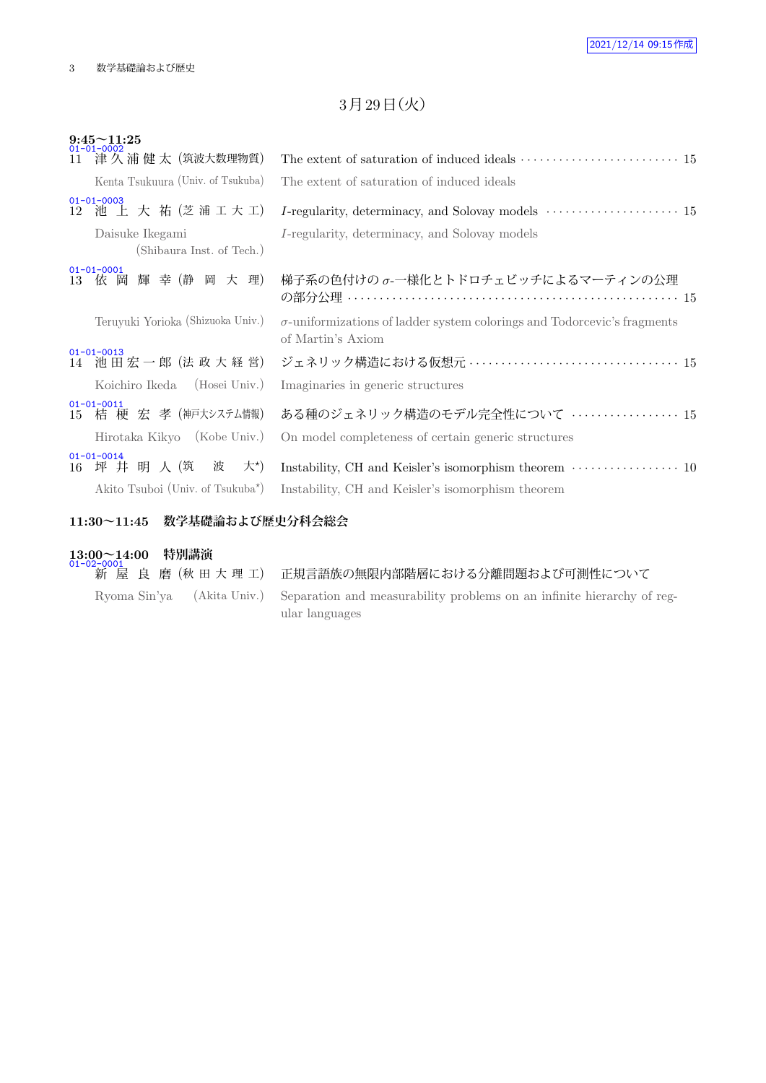## 3月29日 (火)

| $9:45 \sim 11:25$<br>$01 - 01 - 0002$                                  |                                                                                                      |  |  |  |  |
|------------------------------------------------------------------------|------------------------------------------------------------------------------------------------------|--|--|--|--|
| 津 久 浦 健 太(筑波大数理物質)<br>11                                               |                                                                                                      |  |  |  |  |
| Kenta Tsukuura (Univ. of Tsukuba)                                      | The extent of saturation of induced ideals                                                           |  |  |  |  |
| $01 - 01 - 0003$<br>12 池 上 大 祐 (芝浦工大工)                                 |                                                                                                      |  |  |  |  |
| Daisuke Ikegami<br>(Shibaura Inst. of Tech.)                           | I-regularity, determinacy, and Solovay models                                                        |  |  |  |  |
| $01 - 01 - 0001$<br>依 岡 輝 幸 (静 岡 大 理)<br>13                            | 梯子系の色付けのσ-一様化とトドロチェビッチによるマーティンの公理                                                                    |  |  |  |  |
| Teruyuki Yorioka (Shizuoka Univ.)                                      | $\sigma$ -uniformizations of ladder system colorings and Todorcevic's fragments<br>of Martin's Axiom |  |  |  |  |
| $01 - 01 - 0013$<br>14 池田宏一郎 (法政大経営)                                   |                                                                                                      |  |  |  |  |
| Koichiro Ikeda (Hosei Univ.)                                           | Imaginaries in generic structures                                                                    |  |  |  |  |
| $01 - 01 - 0011$<br>15 桔梗宏孝 (神戸大システム情報)<br>Hirotaka Kikyo (Kobe Univ.) | ある種のジェネリック構造のモデル完全性について  15<br>On model completeness of certain generic structures                   |  |  |  |  |
| $01 - 01 - 0014$<br>坪井明人(筑<br>大*)<br>波<br>16                           | Instability, CH and Keisler's isomorphism theorem $\dots\dots\dots\dots\dots\dots$ 10                |  |  |  |  |
| Akito Tsuboi (Univ. of Tsukuba <sup>*</sup> )                          | Instability, CH and Keisler's isomorphism theorem                                                    |  |  |  |  |
| 数学基礎論および歴史分科会総会<br>$11:30 \sim 11:45$                                  |                                                                                                      |  |  |  |  |

## **13:00~14:00 特別講演** 01-02-0001

| $1 + 92 - 9991$ | 新 屋 良 磨 (秋 田 大 理 工) 正規言語族の無限内部階層における分離問題および可測性について                                                                  |
|-----------------|---------------------------------------------------------------------------------------------------------------------|
|                 | Ryoma Sin'ya (Akita Univ.) Separation and measurability problems on an infinite hierarchy of reg-<br>ular languages |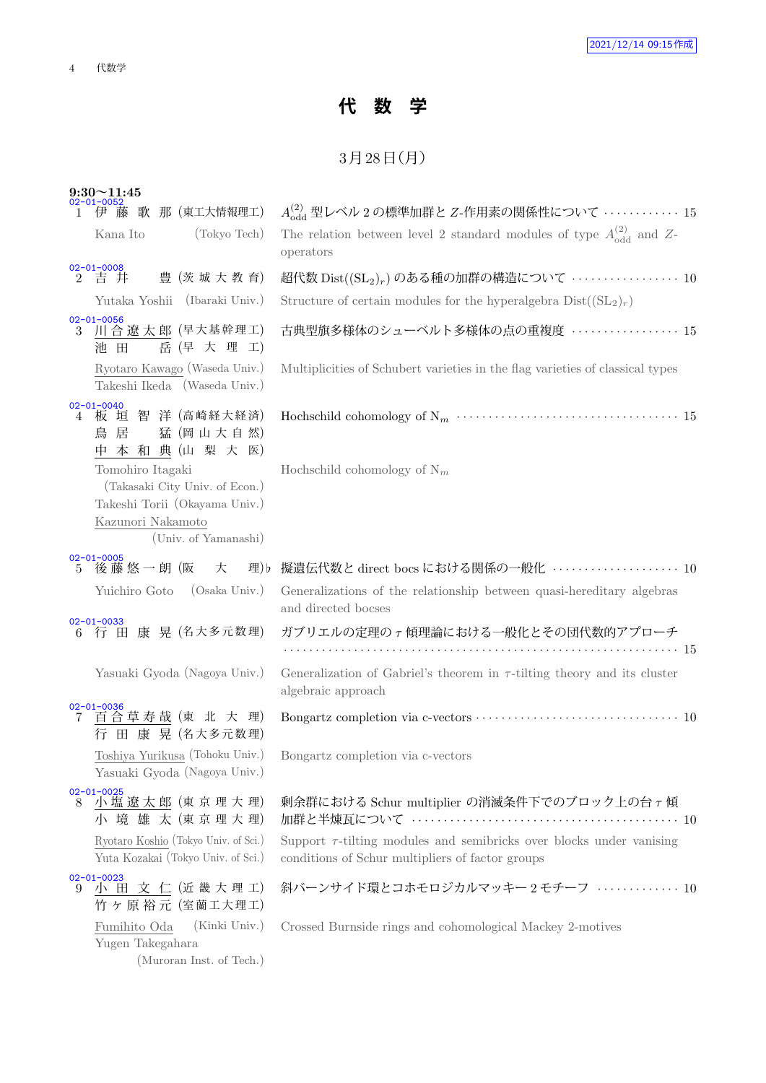## **代 数 学**

## $3$ 月 $28$ 日 $(H)$

| $9:30~11:45$<br>02-01-0052                                                                                                       |                                                                                                                               |
|----------------------------------------------------------------------------------------------------------------------------------|-------------------------------------------------------------------------------------------------------------------------------|
| 歌 那 (東工大情報理工)<br>伊藤                                                                                                              | $A_{\rm odd}^{(2)}$ 型レベル 2 の標準加群と Z-作用素の関係性について ‥‥‥‥‥‥‥ 15                                                                    |
| (Tokyo Tech)<br>Kana Ito                                                                                                         | The relation between level 2 standard modules of type $A_{\text{odd}}^{(2)}$ and Z-<br>operators                              |
| $2^{02-01-0008}$<br>2 吉 井<br>豊 (茨 城 大 教 育)                                                                                       | 超代数 $Dist((SL_2)_r)$ のある種の加群の構造について  10                                                                                       |
| Yutaka Yoshii (Ibaraki Univ.)                                                                                                    | Structure of certain modules for the hyperalgebra $Dist((SL_2)_r)$                                                            |
| $02 - 01 - 0056$<br>川合遼太郎 (早大基幹理工)<br>3<br>岳 (早 大 理 工)<br>池 田                                                                    | 古典型旗多様体のシューベルト多様体の点の重複度  15                                                                                                   |
| Ryotaro Kawago (Waseda Univ.)<br>Takeshi Ikeda (Waseda Univ.)                                                                    | Multiplicities of Schubert varieties in the flag varieties of classical types                                                 |
| $02 - 01 - 0040$<br>板 垣 智 洋 (高崎経大経済)<br>4<br>猛 (岡山大自然)<br>鳥 居<br>中本和典(山梨大医)                                                      |                                                                                                                               |
| Tomohiro Itagaki<br>(Takasaki City Univ. of Econ.)<br>Takeshi Torii (Okayama Univ.)<br>Kazunori Nakamoto<br>(Univ. of Yamanashi) | Hochschild cohomology of $N_m$                                                                                                |
| $02 - 01 - 0005$<br>後藤 悠 一 朗 (阪<br>大<br>理) b<br>5                                                                                | 擬遺伝代数と direct bocs における関係の一般化 ····················· 10                                                                        |
| Yuichiro Goto (Osaka Univ.)                                                                                                      | Generalizations of the relationship between quasi-hereditary algebras<br>and directed bocses                                  |
| $02 - 01 - 0033$<br>行 田 康 晃 (名大多元数理)<br>6                                                                                        | ガブリエルの定理のァ傾理論における一般化とその団代数的アプローチ                                                                                              |
|                                                                                                                                  |                                                                                                                               |
| Yasuaki Gyoda (Nagoya Univ.)                                                                                                     | Generalization of Gabriel's theorem in $\tau$ -tilting theory and its cluster<br>algebraic approach                           |
| $02 - 01 - 0036$<br>百合草寿哉 (東 北 大 理)<br>7<br>行 田 康 晃 (名大多元数理)                                                                     |                                                                                                                               |
| Toshiya Yurikusa (Tohoku Univ.)<br>Yasuaki Gyoda (Nagoya Univ.)                                                                  | Bongartz completion via c-vectors                                                                                             |
| 02-01-0025<br>8 小塩遼太郎 (東京理大理)<br>小境雄太(東京理大理)                                                                                     | 剰余群における Schur multiplier の消滅条件下でのブロック上の台ァ傾                                                                                    |
| Ryotaro Koshio (Tokyo Univ. of Sci.)<br>Yuta Kozakai (Tokyo Univ. of Sci.)                                                       | Support $\tau$ -tilting modules and semibricks over blocks under vanising<br>conditions of Schur multipliers of factor groups |
| $02 - 01 - 0023$<br>小田文仁(近畿大理工)<br>9<br>竹ヶ原裕元 (室蘭工大理工)                                                                           | 斜バーンサイド環とコホモロジカルマッキー2モチーフ  10                                                                                                 |
| (Kinki Univ.)<br>Fumihito Oda<br>Yugen Takegahara<br>(Muroran Inst. of Tech.)                                                    | Crossed Burnside rings and cohomological Mackey 2-motives                                                                     |
|                                                                                                                                  |                                                                                                                               |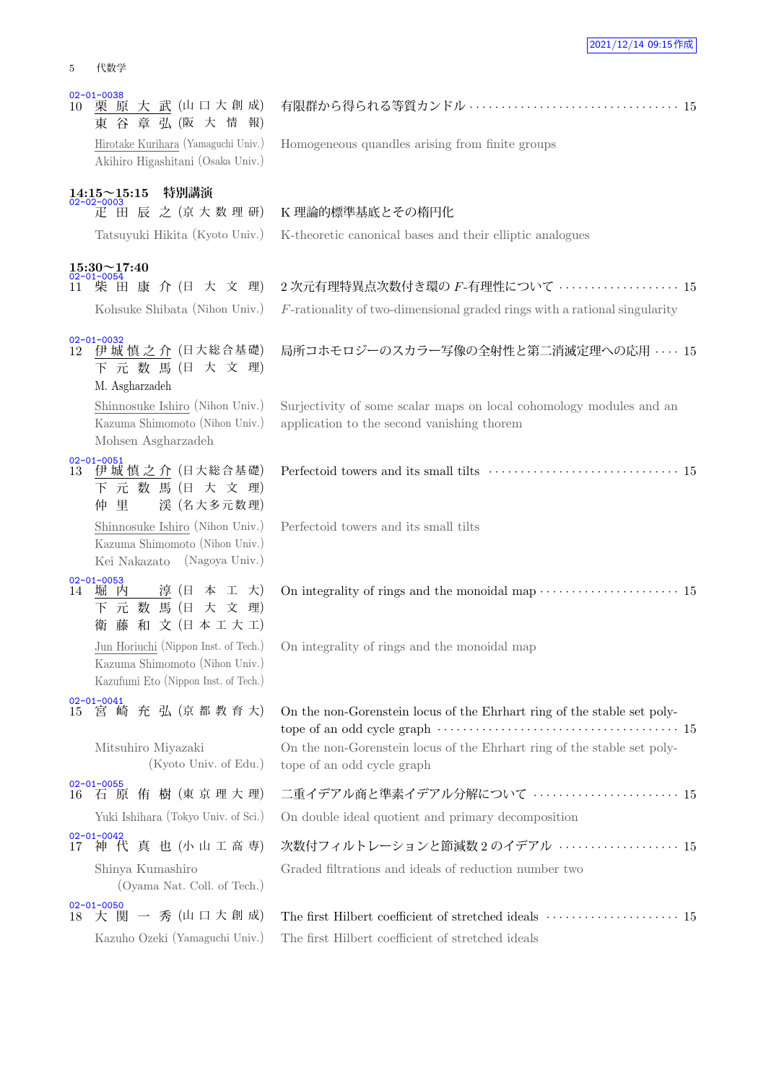| 5  | 代数学                                                                                             |                                                                                                                                |
|----|-------------------------------------------------------------------------------------------------|--------------------------------------------------------------------------------------------------------------------------------|
| 10 | $02 - 01 - 0038$<br>栗 原 大 武 (山口大創成)<br>東 谷 章 弘 (阪 大 情 報)<br>Hirotake Kurihara (Yamaguchi Univ.) | Homogeneous quandles arising from finite groups                                                                                |
|    | Akihiro Higashitani (Osaka Univ.)<br>特別講演                                                       |                                                                                                                                |
|    | $14:15 \sim 15:15$<br>02-02-0003<br>疋 田 辰 之 (京大数理研)<br>Tatsuyuki Hikita (Kyoto Univ.)           | K 理論的標準基底とその楕円化<br>K-theoretic canonical bases and their elliptic analogues                                                    |
| 11 | $15:30 \sim 17:40$<br>02-01-0054<br>柴田康介(日大文理)<br>Kohsuke Shibata (Nihon Univ.)                 | 2次元有理特異点次数付き環の F-有理性について ·················· 15<br>$F$ -rationality of two-dimensional graded rings with a rational singularity |
| 12 | $02 - 01 - 0032$<br>伊城慎之介 (日大総合基礎)<br>下 元 数 馬 (日 大 文 理)<br>M. Asgharzadeh                       | 局所コホモロジーのスカラー写像の全射性と第二消滅定理への応用  15                                                                                             |
|    | Shinnosuke Ishiro (Nihon Univ.)<br>Kazuma Shimomoto (Nihon Univ.)<br>Mohsen Asgharzadeh         | Surjectivity of some scalar maps on local cohomology modules and an<br>application to the second vanishing thorem              |
| 13 | $02 - 01 - 0051$<br>伊城 慎 之 介 (日大総合基礎)                                                           |                                                                                                                                |

 $\frac{02}{13}$ 下 元 数 馬 (日 大 文 理) 仲 里 渓 (名大多元数理) Shinnosuke Ishiro (Nihon Univ.) Kazuma Shimomoto (Nihon Univ.) Kei Nakazato (Nagoya Univ.)

 $\frac{02}{12}$ 

02-01-0053<br>14 堀内 淳 (日 本 工 大) 下 元 数 馬 (日 大 文 理) 衛 藤 和 文 (日本工大工) Jun Horiuchi (Nippon Inst. of Tech.) Kazuma Shimomoto (Nihon Univ.) Kazufumi Eto (Nippon Inst. of Tech.)

- 02-01-0055 16 石 原 侑 樹 (東 京 理 大 理) Yuki Ishihara (Tokyo Univ. of Sci.)
- Shinya Kumashiro (Oyama Nat. Coll. of Tech.)
- 02-01-0050 18 大 関 一 秀 (山口大創成)
	-

On integrality of rings and the monoidal map

Perfectoid towers and its small tilts

| $02 - 01 - 0041$<br>15 宮 崎 充 弘 (京 都 教 育 大)      | On the non-Gorenstein locus of the Ehrhart ring of the stable set poly-                                                                                                                |
|-------------------------------------------------|----------------------------------------------------------------------------------------------------------------------------------------------------------------------------------------|
| Mitsuhiro Miyazaki<br>$(Kyoto$ Univ. of Edu.)   | On the non-Gorenstein locus of the Ehrhart ring of the stable set poly-<br>tope of an odd cycle graph                                                                                  |
| $02 - 01 - 0055$<br>16 石 原 侑 樹 (東 京 理 大 理)      | 二重イデアル商と準素イデアル分解について  15                                                                                                                                                               |
| Yuki Ishihara (Tokyo Univ. of Sci.)             | On double ideal quotient and primary decomposition                                                                                                                                     |
| $02 - 01 - 0042$<br>17 神代真也(小山工高専)              | 次数付フィルトレーションと節減数2のイデアル  15                                                                                                                                                             |
| Shinya Kumashiro<br>(Oyama Nat. Coll. of Tech.) | Graded filtrations and ideals of reduction number two                                                                                                                                  |
| $02 - 01 - 0050$<br>18 大 関 一 秀 (山口大創成)          | The first Hilbert coefficient of stretched ideals<br>$\hspace{0.4cm} \cdots \hspace{0.4cm} \cdots \hspace{0.4cm} \cdots \hspace{0.4cm} \cdots \hspace{0.4cm} \cdots \hspace{0.4cm} 15$ |
| Kazuho Ozeki (Yamaguchi Univ.)                  | The first Hilbert coefficient of stretched ideals                                                                                                                                      |

On integrality of rings and the monoidal map  $\cdots$  · · · · · · · · · · · · · · · · · 15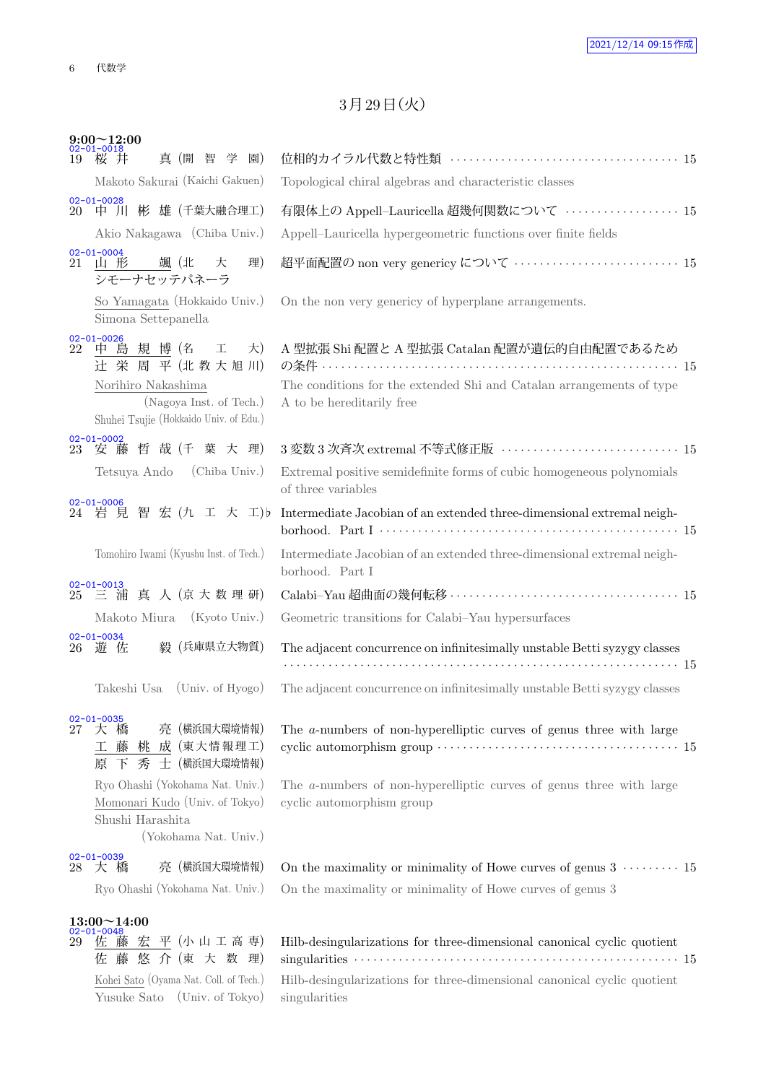## 3月29日 (火)

| $9:00 \sim 12:00$<br>02-01-0018<br>桜 井<br>真 (開 智 学 園)<br>19                                                                                              |                                                                                                                                                        |
|----------------------------------------------------------------------------------------------------------------------------------------------------------|--------------------------------------------------------------------------------------------------------------------------------------------------------|
| Makoto Sakurai (Kaichi Gakuen)                                                                                                                           | Topological chiral algebras and characteristic classes                                                                                                 |
| $02 - 01 - 0028$                                                                                                                                         |                                                                                                                                                        |
| 中 川 彬 雄 (千葉大融合理工)<br>20<br>Akio Nakagawa (Chiba Univ.)                                                                                                   | 有限体上の Appell-Lauricella 超幾何関数について ·················· 15<br>Appell–Lauricella hypergeometric functions over finite fields                               |
| $02 - 01 - 0004$                                                                                                                                         |                                                                                                                                                        |
| 颯(北 大<br>山 形<br>21 -<br>シモーナセッテパネーラ                                                                                                                      | 理)<br>超平面配置の non very genericy について  15                                                                                                                |
| So Yamagata (Hokkaido Univ.)<br>Simona Settepanella                                                                                                      | On the non very genericy of hyperplane arrangements.                                                                                                   |
| $02 - 01 - 0026$<br>22 中 島 規 博 (名<br>工<br>辻 栄 周 平 (北 教 大 旭 川)<br>Norihiro Nakashima<br>(Nagoya Inst. of Tech.)<br>Shuhei Tsujie (Hokkaido Univ. of Edu.) | A 型拡張 Shi 配置と A 型拡張 Catalan 配置が遺伝的自由配置であるため<br>大)<br>The conditions for the extended Shi and Catalan arrangements of type<br>A to be hereditarily free |
| $02 - 01 - 0002$<br>23 安藤哲哉(千葉大理)                                                                                                                        | 3 変数 3 次斉次 extremal 不等式修正版 ······························ 15                                                                                           |
| (Chiba Univ.)<br>Tetsuya Ando                                                                                                                            | Extremal positive semidefinite forms of cubic homogeneous polynomials<br>of three variables                                                            |
| $02 - 01 - 0006$<br>24 岩見智宏(九工大工)                                                                                                                        | Intermediate Jacobian of an extended three-dimensional extremal neigh-                                                                                 |
| Tomohiro Iwami (Kyushu Inst. of Tech.)                                                                                                                   | Intermediate Jacobian of an extended three-dimensional extremal neigh-<br>borhood. Part I                                                              |
| $02 - 01 - 0013$<br>25 三浦真人(京大数理研)                                                                                                                       |                                                                                                                                                        |
| Makoto Miura (Kyoto Univ.)                                                                                                                               | Geometric transitions for Calabi-Yau hypersurfaces                                                                                                     |
| $02 - 01 - 0034$<br>毅 (兵庫県立大物質)<br>26 遊 佐                                                                                                                | The adjacent concurrence on infinitesimally unstable Betti syzygy classes                                                                              |
|                                                                                                                                                          |                                                                                                                                                        |
| Takeshi Usa (Univ. of Hyogo)                                                                                                                             | The adjacent concurrence on infinitesimally unstable Betti syzygy classes                                                                              |
| $02 - 01 - 0035$<br>亮 (横浜国大環境情報)<br>27<br>橋<br>大<br>藤 桃 成 (東大情報理工)<br>丄<br>秀<br>士 (横浜国大環境情報)<br>原<br>下                                                   | The <i>a</i> -numbers of non-hyperelliptic curves of genus three with large                                                                            |
| Ryo Ohashi (Yokohama Nat. Univ.)<br>Momonari Kudo (Univ. of Tokyo)<br>Shushi Harashita<br>(Yokohama Nat. Univ.)                                          | The <i>a</i> -numbers of non-hyperelliptic curves of genus three with large<br>cyclic automorphism group                                               |
| $02 - 01 - 0039$                                                                                                                                         |                                                                                                                                                        |
| (横浜国大環境情報)<br>亮<br>大 橋<br>28<br>Ryo Ohashi (Yokohama Nat. Univ.)                                                                                         | On the maximality or minimality of Howe curves of genus $3 \cdots 15$<br>On the maximality or minimality of Howe curves of genus 3                     |
| $13:00 \sim 14:00$<br>$02 - 01 - 0048$<br>佐藤宏平(小山工高専)<br>29<br>藤 悠 介 (東 大 数 理)<br>佐                                                                      | Hilb-desingularizations for three-dimensional canonical cyclic quotient                                                                                |

Kohei Sato (Oyama Nat. Coll. of Tech.) Hilb-desingularizations for three-dimensional canonical cyclic quotient Yusuke Sato (Univ. of Tokyo) singularities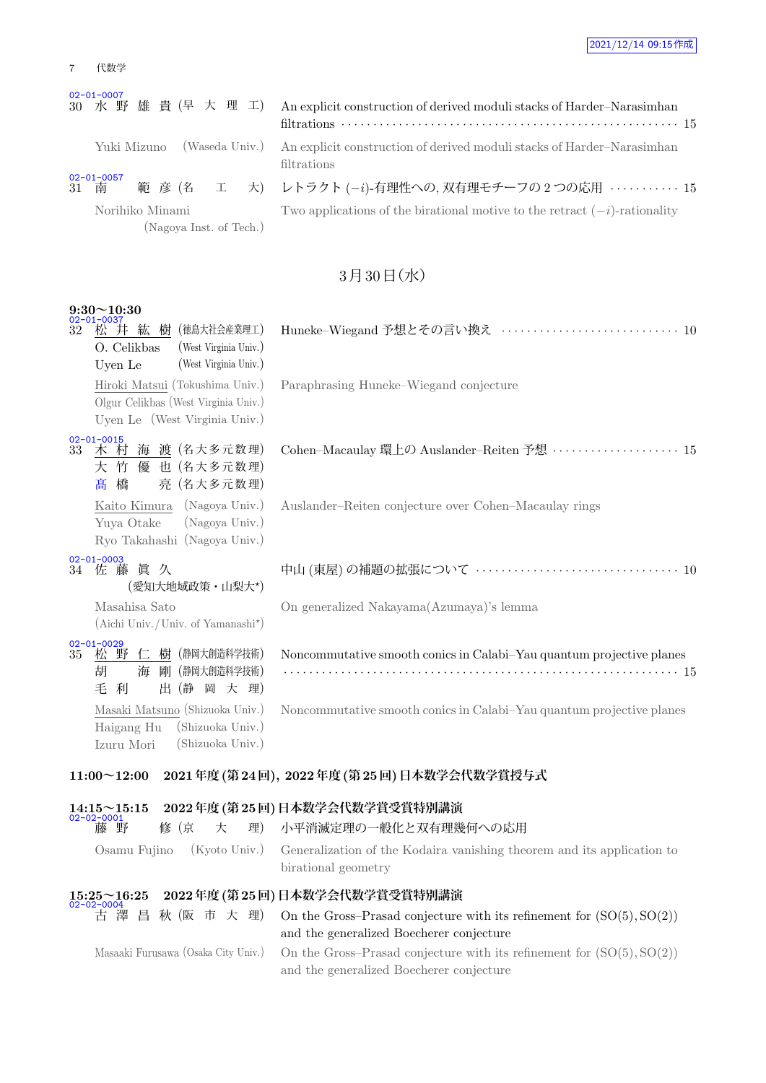| 2021/12/14 09:15作成 |  |  |  |
|--------------------|--|--|--|
|--------------------|--|--|--|

| 代数学 |
|-----|
|     |

#### 02-01-0007

| 30 水野雄貴(早大理工) An explicit constru-                  | $\text{filtrations} \ldots \ldots$ |
|-----------------------------------------------------|------------------------------------|
| Yuki Mizuno (Waseda Univ.) An explicit construe     | filtrations                        |
| $02 - 01 - 0057$<br>範彦 (名 工 大) レトラクト (-i)-有<br>31 南 |                                    |
| Norihiko Minami                                     | Two applications of                |

(Nagoya Inst. of Tech.)

action of derived moduli stacks of Harder–Narasimhan filtrations *· · · · · · · · · · · · · · · · · · · · · · · · · · · · · · · · · · · · · · · · · · · · · · · · · · · · ·* 15 Iction of derived moduli stacks of Harder–Narasimhan 「理性への, 双有理モチーフの 2 つの応用 *· · · · · · · · · · 15*  $T$  f the birational motive to the retract  $(-i)$ -rationality

### $3730$ 日(水)

| $9:30\!\!\sim\!\!10:30$                                                                                  |                                                                                                                     |
|----------------------------------------------------------------------------------------------------------|---------------------------------------------------------------------------------------------------------------------|
| 樹 (徳島大社会産業理工)<br>32<br>松 井 紘<br>O. Celikbas<br>(West Virginia Univ.)<br>(West Virginia Univ.)<br>Uyen Le |                                                                                                                     |
| Hiroki Matsui (Tokushima Univ.)<br>Olgur Celikbas (West Virginia Univ.)<br>Uyen Le (West Virginia Univ.) | Paraphrasing Huneke–Wiegand conjecture                                                                              |
| $02 - 01 - 0015$<br>木 村 海 渡 (名大多元数理)<br>33<br>大 竹 優 也 (名大多元数理)<br>亮 (名大多元数理)<br>橋<br>髙                   | Cohen-Macaulay 環上の Auslander-Reiten 予想 ··················· 15                                                       |
| (Nagoya Univ.)<br>Kaito Kimura<br>Yuya Otake<br>(Nagoya Univ.)<br>Ryo Takahashi (Nagoya Univ.)           | Auslander-Reiten conjecture over Cohen-Macaulay rings                                                               |
| $02 - 01 - 0003$<br>34 佐藤真久<br>(愛知大地域政策・山梨大*)                                                            | 中山 (東屋) の補題の拡張について ………………………………… 10                                                                                 |
| Masahisa Sato<br>$(Aichi Univ. / Univ. of Yamanashi*)$                                                   | On generalized Nakayama(Azumaya)'s lemma                                                                            |
| $02 - 01 - 0029$<br>松野仁樹 (静岡大創造科学技術)<br>35<br>海<br>剛 (静岡大創造科学技術)<br>胡<br>毛利<br>出(静 岡 大 理)                | Noncommutative smooth conics in Calabi-Yau quantum projective planes                                                |
| Masaki Matsuno (Shizuoka Univ.)<br>(Shizuoka Univ.)<br>Haigang Hu<br>Izuru Mori<br>(Shizuoka Univ.)      | Noncommutative smooth conics in Calabi-Yau quantum projective planes                                                |
| $11:00 \sim 12:00$                                                                                       | 2021年度 (第24回), 2022年度 (第25回) 日本数学会代数学賞授与式                                                                           |
| $14:15 \sim 15:15$<br>02-02-0001<br>藤 野<br>修(京<br>大<br>理)                                                | 2022年度 (第25回) 日本数学会代数学賞受賞特別講演<br>小平消滅定理の一般化と双有理幾何への応用                                                               |
| Osamu Fujino<br>(Kyoto Univ.)                                                                            | Generalization of the Kodaira vanishing theorem and its application to<br>birational geometry                       |
| $15:25 \sim 16:25$                                                                                       | 2022年度 (第 25 回) 日本数学会代数学賞受賞特別講演                                                                                     |
| 秋 (阪 市 大 理)<br>昌                                                                                         | On the Gross-Prasad conjecture with its refinement for $(SO(5), SO(2))$<br>and the generalized Boecherer conjecture |

Masaaki Furusawa (Osaka City Univ.) On the Gross–Prasad conjecture with its refinement for (SO(5)*,* SO(2)) and the generalized Boecherer conjecture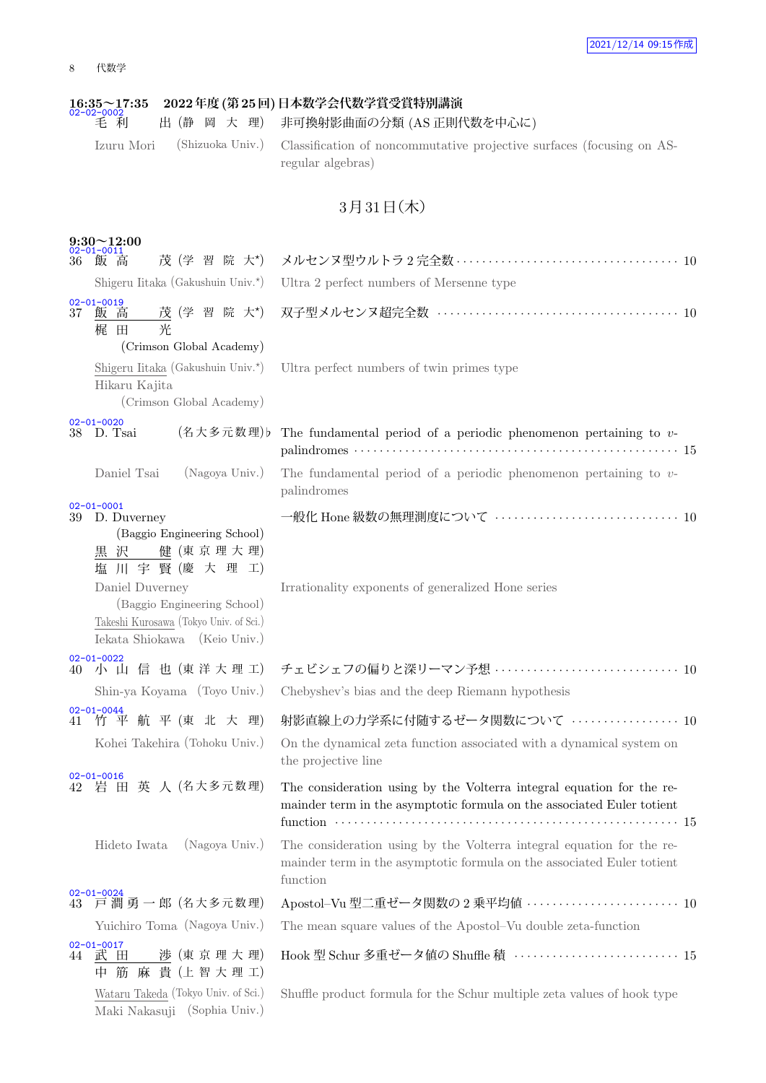### 8 代数学

|    | $\frac{16:35}{02-02-0002}$<br>毛 利<br>出(静 岡 大 理)                                                                          | 2022年度 (第 25 回) 日本数学会代数学賞受賞特別講演<br>非可換射影曲面の分類 (AS 正則代数を中心に)                                                                                                 |
|----|--------------------------------------------------------------------------------------------------------------------------|-------------------------------------------------------------------------------------------------------------------------------------------------------------|
|    | Izuru Mori<br>(Shizuoka Univ.)                                                                                           | Classification of noncommutative projective surfaces (focusing on AS-<br>regular algebras)                                                                  |
|    |                                                                                                                          | 3月31日(木)                                                                                                                                                    |
| 36 | $9:30 \sim 12:00$<br>$02 - 01 - 0011$<br>茂 (学 習 院 大*)<br>飯 高<br>Shigeru Iitaka (Gakushuin Univ.*)                        | Ultra 2 perfect numbers of Mersenne type                                                                                                                    |
| 37 | $02 - 01 - 0019$<br>茂(学習院大*)<br>飯 高<br>光<br>梶 田                                                                          |                                                                                                                                                             |
|    | (Crimson Global Academy)<br>Shigeru Iitaka (Gakushuin Univ.*)<br>Hikaru Kajita<br>(Crimson Global Academy)               | Ultra perfect numbers of twin primes type                                                                                                                   |
|    | $02 - 01 - 0020$<br>(名大多元数理)b<br>38 D. Tsai                                                                              | The fundamental period of a periodic phenomenon pertaining to $v$ -                                                                                         |
|    | (Nagoya Univ.)<br>Daniel Tsai                                                                                            | The fundamental period of a periodic phenomenon pertaining to $v$ -<br>palindromes                                                                          |
|    | $02 - 01 - 0001$<br>39 D. Duverney<br>(Baggio Engineering School)<br>黒 沢 健 (東 京 理 大 理)<br>川宇賢(慶大理工)<br>塩                 | 一般化 Hone 級数の無理測度について ······························· 10                                                                                                     |
|    | Daniel Duverney<br>(Baggio Engineering School)<br>Takeshi Kurosawa (Tokyo Univ. of Sci.)<br>Iekata Shiokawa (Keio Univ.) | Irrationality exponents of generalized Hone series                                                                                                          |
|    | $02 - 01 - 0022$<br>40 小 山 信 也 (東洋大理工)<br>Shin-ya Koyama (Toyo Univ.)                                                    | チェビシェフの偏りと深リーマン予想  10<br>Chebyshev's bias and the deep Riemann hypothesis                                                                                   |
| 41 | $02 - 01 - 0044$<br>竹平航平(東北大理)<br>Kohei Takehira (Tohoku Univ.)                                                          | 射影直線上の力学系に付随するゼータ関数について ………………… 10<br>On the dynamical zeta function associated with a dynamical system on<br>the projective line                           |
|    | 02-01-0016<br>42 岩 田 英 人 (名大多元数理)                                                                                        | The consideration using by the Volterra integral equation for the re-<br>mainder term in the asymptotic formula on the associated Euler totient             |
|    | Hideto Iwata<br>(Nagoya Univ.)                                                                                           | The consideration using by the Volterra integral equation for the re-<br>mainder term in the asymptotic formula on the associated Euler totient<br>function |
|    | 02-01-0024<br>43 戸澗勇一郎 (名大多元数理)                                                                                          | Apostol-Vu 型二重ゼータ関数の 2 乗平均値 ························· 10                                                                                                    |
|    | Yuichiro Toma (Nagoya Univ.)                                                                                             | The mean square values of the Apostol–Vu double zeta-function                                                                                               |
|    | $02 - 01 - 0017$<br>44 武田<br>涉 (東 京 理 大 理)<br>中筋麻貴(上智大理工)                                                                |                                                                                                                                                             |
|    | Wataru Takeda (Tokyo Univ. of Sci.)<br>Maki Nakasuji (Sophia Univ.)                                                      | Shuffle product formula for the Schur multiple zeta values of hook type                                                                                     |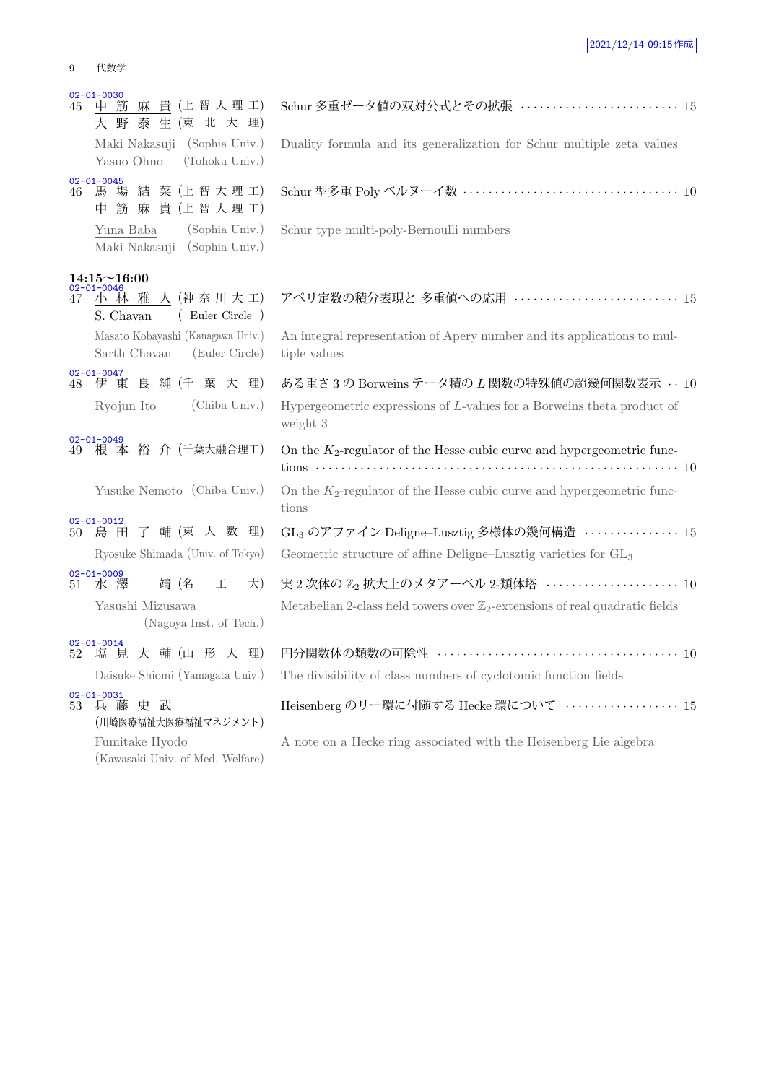| 代数学 |
|-----|
|     |

| 45  | $02 - 01 - 0030$<br>中筋麻貴(上智大理工)<br>大野泰生(東北大理)                    | Schur 多重ゼータ値の双対公式とその拡張 ························ 15                                       |  |
|-----|------------------------------------------------------------------|------------------------------------------------------------------------------------------|--|
|     | Maki Nakasuji (Sophia Univ.)<br>(Tohoku Univ.)<br>Yasuo Ohno     | Duality formula and its generalization for Schur multiple zeta values                    |  |
| 46  | $02 - 01 - 0045$<br>馬 場 結 菜 (上智大理工)<br>中筋麻貴(上智大理工)               |                                                                                          |  |
|     | (Sophia Univ.)<br>Yuna Baba<br>Maki Nakasuji (Sophia Univ.)      | Schur type multi-poly-Bernoulli numbers                                                  |  |
|     | $14\mathord{:}15\verb!^!16\mathord{:}00$                         |                                                                                          |  |
|     | 47 小林雅人(神奈川大工)<br>(Euler Circle)<br>S. Chavan                    | アペリ定数の積分表現と 多重値への応用  15                                                                  |  |
|     | Masato Kobayashi (Kanagawa Univ.)<br>Sarth Chavan (Euler Circle) | An integral representation of Apery number and its applications to mul-<br>tiple values  |  |
|     | $02 - 01 - 0047$<br>48 伊 東 良 純 (千 葉 大 理)                         | ある重さ3の Borweins テータ積のL 関数の特殊値の超幾何関数表示 … 10                                               |  |
|     | (Chiba Univ.)<br>Ryojun Ito                                      | Hypergeometric expressions of $L$ -values for a Borweins theta product of<br>weight 3    |  |
|     | $02 - 01 - 0049$<br>49 根本 裕介 (千葉大融合理工)                           | On the $K_2$ -regulator of the Hesse cubic curve and hypergeometric func-                |  |
|     | Yusuke Nemoto (Chiba Univ.)                                      | On the $K_2$ -regulator of the Hesse cubic curve and hypergeometric func-<br>tions       |  |
| 50- | $02 - 01 - 0012$<br>島田了輔(東大数理)                                   | GL <sub>3</sub> のアファイン Deligne–Lusztig 多様体の幾何構造 ················ 15                      |  |
|     | Ryosuke Shimada (Univ. of Tokyo)                                 | Geometric structure of affine Deligne-Lusztig varieties for GL <sub>3</sub>              |  |
|     | $02 - 01 - 0009$<br>51 水澤<br>靖 (名<br>工<br>大)                     | 実2次体の Z2 拡大上のメタアーベル 2-類体塔 ···················· 10                                        |  |
|     | Yasushi Mizusawa<br>(Nagoya Inst. of Tech.)                      | Metabelian 2-class field towers over $\mathbb{Z}_2$ -extensions of real quadratic fields |  |
| 52  | $02 - 01 - 0014$<br>塩見大輔(山形大理)                                   |                                                                                          |  |
|     | Daisuke Shiomi (Yamagata Univ.)                                  | The divisibility of class numbers of cyclotomic function fields                          |  |
|     | $02 - 01 - 0031$<br>53 兵藤史武<br>(川崎医療福祉大医療福祉マネジメント)               | Heisenberg のリー環に付随する Hecke 環について ·················· 15                                   |  |
|     | Fumitake Hyodo<br>(Kawasaki Univ. of Med. Welfare)               | A note on a Hecke ring associated with the Heisenberg Lie algebra                        |  |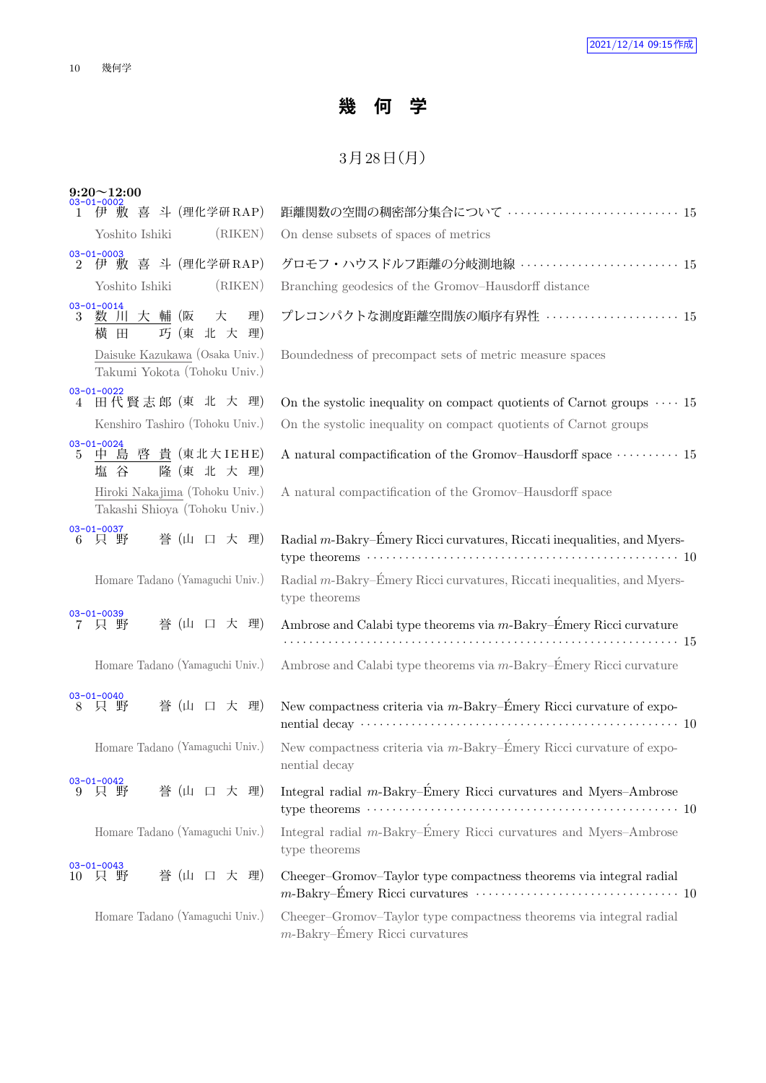## **幾 何 学**

## $3$ 月 $28$ 日 $(H)$

| $9:20 \sim 12:00$<br>03-01-0002                                         |                                                                                                          |
|-------------------------------------------------------------------------|----------------------------------------------------------------------------------------------------------|
| 伊 敷 喜 斗 (理化学研RAP)<br>$\mathbf{1}$                                       | 距離関数の空間の稠密部分集合について …………………………… 15                                                                        |
| (RIKEN)<br>Yoshito Ishiki                                               | On dense subsets of spaces of metrics                                                                    |
| $03 - 01 - 0003$<br>伊 敷 喜 斗 (理化学研RAP)<br>$2^{\circ}$                    | グロモフ・ハウスドルフ距離の分岐測地線  15                                                                                  |
| Yoshito Ishiki<br>(RIKEN)                                               | Branching geodesics of the Gromov-Hausdorff distance                                                     |
| $03 - 01 - 0014$<br>数 川 大 輔 (阪<br>大<br>理)<br>3<br>巧 (東 北 大<br>理)<br>横 田 | プレコンパクトな測度距離空間族の順序有界性  15                                                                                |
| Daisuke Kazukawa (Osaka Univ.)<br>Takumi Yokota (Tohoku Univ.)          | Boundedness of precompact sets of metric measure spaces                                                  |
| $03 - 01 - 0022$<br>田代賢志郎 (東 北 大 理)<br>4                                | On the systolic inequality on compact quotients of Carnot groups $\cdots$ 15                             |
| Kenshiro Tashiro (Tohoku Univ.)                                         | On the systolic inequality on compact quotients of Carnot groups                                         |
| 03-01-0024<br>5 <u>中 島 啓 貴</u> (東北大IEHE)<br>隆 (東 北 大 理)<br>塩<br>谷       | A natural compactification of the Gromov–Hausdorff space $\cdots \cdots \cdots 15$                       |
| Hiroki Nakajima (Tohoku Univ.)<br>Takashi Shioya (Tohoku Univ.)         | A natural compactification of the Gromov-Hausdorff space                                                 |
| $03 - 01 - 0037$<br>只野<br>誉 (山 口 大 理)<br>6                              | Radial m-Bakry-Émery Ricci curvatures, Riccati inequalities, and Myers-                                  |
| Homare Tadano (Yamaguchi Univ.)                                         | Radial m-Bakry–Emery Ricci curvatures, Riccati inequalities, and Myers-<br>type theorems                 |
| $03 - 01 - 0039$<br>誉 (山 口 大 理)<br>7 只 野                                | Ambrose and Calabi type theorems via m-Bakry-Emery Ricci curvature                                       |
| Homare Tadano (Yamaguchi Univ.)                                         | Ambrose and Calabi type theorems via m-Bakry-Émery Ricci curvature                                       |
| $03 - 01 - 0040$<br>誉 (山 口 大 理)<br>只 野<br>8                             | New compactness criteria via $m$ -Bakry–Émery Ricci curvature of expo-                                   |
| Homare Tadano (Yamaguchi Univ.)                                         | New compactness criteria via $m$ -Bakry–Émery Ricci curvature of expo-<br>nential decay                  |
| $03 - 01 - 0042$<br>誉 (山 口 大 理)<br>野<br>9<br>只                          | Integral radial $m$ -Bakry–Émery Ricci curvatures and Myers–Ambrose                                      |
| Homare Tadano (Yamaguchi Univ.)                                         | Integral radial $m$ -Bakry–Émery Ricci curvatures and Myers–Ambrose<br>type theorems                     |
| $03 - 01 - 0043$<br>誉 (山 口 大 理)<br>一只 野<br>10                           | Cheeger-Gromov-Taylor type compactness theorems via integral radial                                      |
| Homare Tadano (Yamaguchi Univ.)                                         | Cheeger-Gromov-Taylor type compactness theorems via integral radial<br>$m$ -Bakry–Émery Ricci curvatures |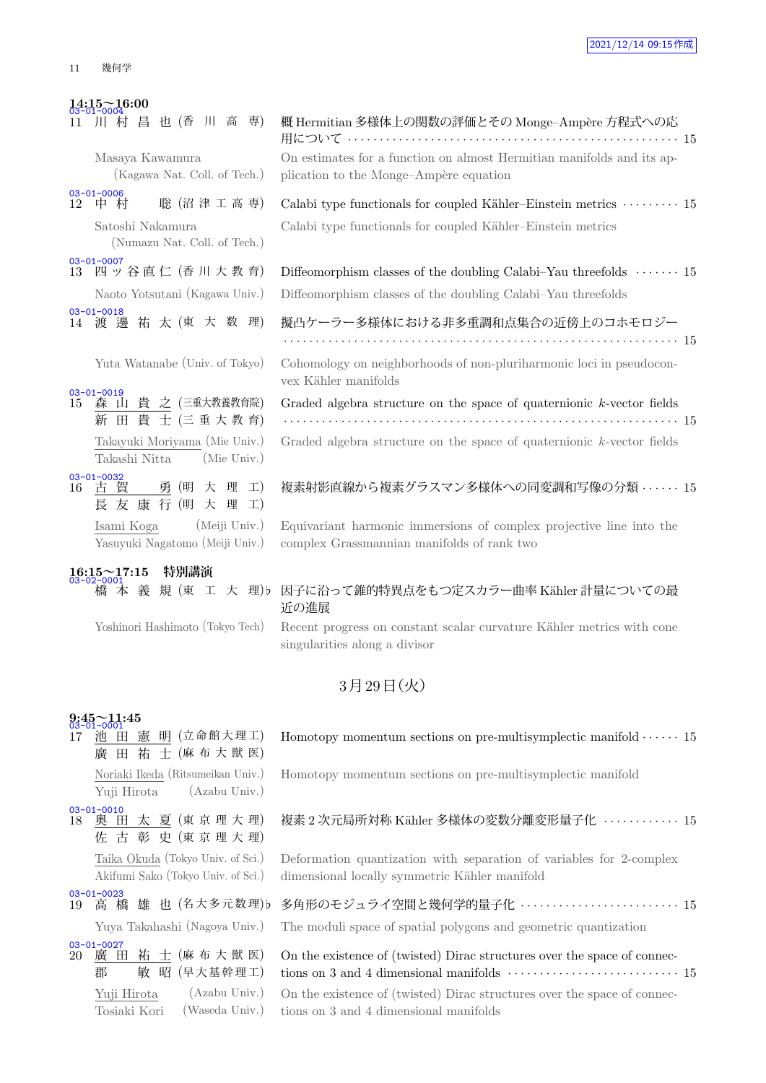**14:15~16:00**

|    | 14:15~16:00<br>03-01-0004                                          |                                                                                                                   |
|----|--------------------------------------------------------------------|-------------------------------------------------------------------------------------------------------------------|
|    | 川村昌也(香川高専)                                                         | 概 Hermitian 多様体上の関数の評価とその Monge-Ampère 方程式への応                                                                     |
|    | Masaya Kawamura                                                    | On estimates for a function on almost Hermitian manifolds and its ap-                                             |
|    | (Kagawa Nat. Coll. of Tech.)                                       | plication to the Monge-Ampère equation                                                                            |
|    | $03 - 01 - 0006$<br>聡 (沼津工高専)<br>12 中村                             | Calabi type functionals for coupled Kähler–Einstein metrics $\cdots \cdots$                                       |
|    | Satoshi Nakamura                                                   | Calabi type functionals for coupled Kähler-Einstein metrics                                                       |
|    | (Numazu Nat. Coll. of Tech.)                                       |                                                                                                                   |
|    | $03 - 01 - 0007$<br>13 四ッ谷直仁 (香川大教育)                               | Diffeomorphism classes of the doubling Calabi–Yau threefolds $\dots\dots$                                         |
|    | Naoto Yotsutani (Kagawa Univ.)                                     | Diffeomorphism classes of the doubling Calabi-Yau threefolds                                                      |
|    | $03 - 01 - 0018$<br>14 渡 邊 祐 太 (東 大 数 理)                           | 擬凸ケーラー多様体における非多重調和点集合の近傍上のコホモロジー                                                                                  |
|    | Yuta Watanabe (Univ. of Tokyo)                                     | Cohomology on neighborhoods of non-pluriharmonic loci in pseudocon-<br>vex Kähler manifolds                       |
| 15 | $03 - 01 - 0019$<br>森山貴之 (三重大教養教育院)<br>新田貴士(三重大教育)                 | Graded algebra structure on the space of quaternionic k-vector fields                                             |
|    | Takayuki Moriyama (Mie Univ.)<br>(Mie Univ.)<br>Takashi Nitta      | Graded algebra structure on the space of quaternionic k-vector fields                                             |
| 16 | $03 - 01 - 0032$<br>古賀<br>勇 (明 大 理<br>$\pm$ )<br>長 友 康 行 (明 大 理 工) | 複素射影直線から複素グラスマン多様体への同変調和写像の分類 ・・・・・・                                                                              |
|    | (Meiji Univ.)<br>Isami Koga<br>Yasuyuki Nagatomo (Meiji Univ.)     | Equivariant harmonic immersions of complex projective line into the<br>complex Grassmannian manifolds of rank two |

# **16:15~17:15 特別講演** 03-02-0001

|                                                  | 用について ‥‥‥‥‥‥‥‥‥‥‥‥‥‥‥‥‥‥‥‥‥‥‥‥‥‥‥‥ 15                                                       |  |
|--------------------------------------------------|---------------------------------------------------------------------------------------------|--|
| Masaya Kawamura                                  | On estimates for a function on almost Hermitian manifolds and its ap-                       |  |
| (Kagawa Nat. Coll. of Tech.)                     | plication to the Monge-Ampère equation                                                      |  |
| $03 - 01 - 0006$<br>聡 (沼津工高専)<br>12 中村村          | Calabi type functionals for coupled Kähler-Einstein metrics  15                             |  |
| Satoshi Nakamura<br>(Numazu Nat. Coll. of Tech.) | Calabi type functionals for coupled Kähler–Einstein metrics                                 |  |
| $03 - 01 - 0007$<br>13 四ッ谷直仁 (香川大教育)             | Diffeomorphism classes of the doubling Calabi–Yau threefolds $\cdots$ 15                    |  |
| Naoto Yotsutani (Kagawa Univ.)                   | Diffeomorphism classes of the doubling Calabi-Yau threefolds                                |  |
| $03 - 01 - 0018$<br>14 渡 邊 祐 太 (東 大 数 理)         | 擬凸ケーラー多様体における非多重調和点集合の近傍上のコホモロジー                                                            |  |
| Yuta Watanabe (Univ. of Tokyo)                   | Cohomology on neighborhoods of non-pluriharmonic loci in pseudocon-<br>vex Kähler manifolds |  |

### 複素射影直線から複素グラスマン多様体への同変調和写像の分類 *· · · · · ·* 15

ons of complex projective line into the ex Grassmannian manifolds of rank two

### -  $\vec{a}$  本 義 規 (東 工 大 理)♭ 因子に沿って錐的特異点をもつ定スカラー曲率 Kähler 計量についての最 近の進展

Yoshinori Hashimoto (Tokyo Tech) Recent progress on constant scalar curvature Kähler metrics with cone singularities along a divisor

## 3月29日 (火)

## **9:45~11:45** 03-01-0001

17 池 田 憲 明 (立命館大理工) 廣 田 祐 士 (麻 布 大 獣 医) Noriaki Ikeda (Ritsumeikan Univ.) Yuji Hirota (Azabu Univ.) 03-01-0010<br>18 奥 田 太 夏 (東 京 理 大 理) 佐 古 彰 史 (東 京 理 大 理) Taika Okuda (Tokyo Univ. of Sci.) Akifumi Sako (Tokyo Univ. of Sci.) 03-01-0023 19 高 橋 雄 也 (名大多元数理) *•* · 03-01-0027<br>20 廣 日 田 祐 士 (麻 布 大 獣 医)

郡 敏昭 (早大基幹理工) Yuji Hirota (Azabu Univ.) Tosiaki Kori (Waseda Univ.)

| Homotopy momentum sections on pre-multisymplectic manifold $\cdots$ 15 |  |  |  |  |  |
|------------------------------------------------------------------------|--|--|--|--|--|
|------------------------------------------------------------------------|--|--|--|--|--|

Homotopy momentum sections on pre-multisymplectic manifold

### 複素 2 次元局所対称 Kähler 多様体の変数分離変形量子化 · · · · · · · · · · · · · 15

Deformation quantization with separation of variables for 2-complex dimensional locally symmetric Kähler manifold

| -uuza | <sup>-</sup> 高 <sup>-</sup> 橋 雄 也 (名大多元数理)b 多角形のモジュライ空間と幾何学的量子化 ・・・・・・・・・・・・・・・・・・・・・・15      |  |
|-------|-----------------------------------------------------------------------------------------------|--|
|       | Yuya Takahashi (Nagoya Univ.) The moduli space of spatial polygons and geometric quantization |  |

| On the existence of (twisted) Dirac structures over the space of connec- |  |  |  |  |
|--------------------------------------------------------------------------|--|--|--|--|
|                                                                          |  |  |  |  |
| On the existence of (twisted) Dirac structures over the space of connec- |  |  |  |  |
| tions on 3 and 4 dimensional manifolds                                   |  |  |  |  |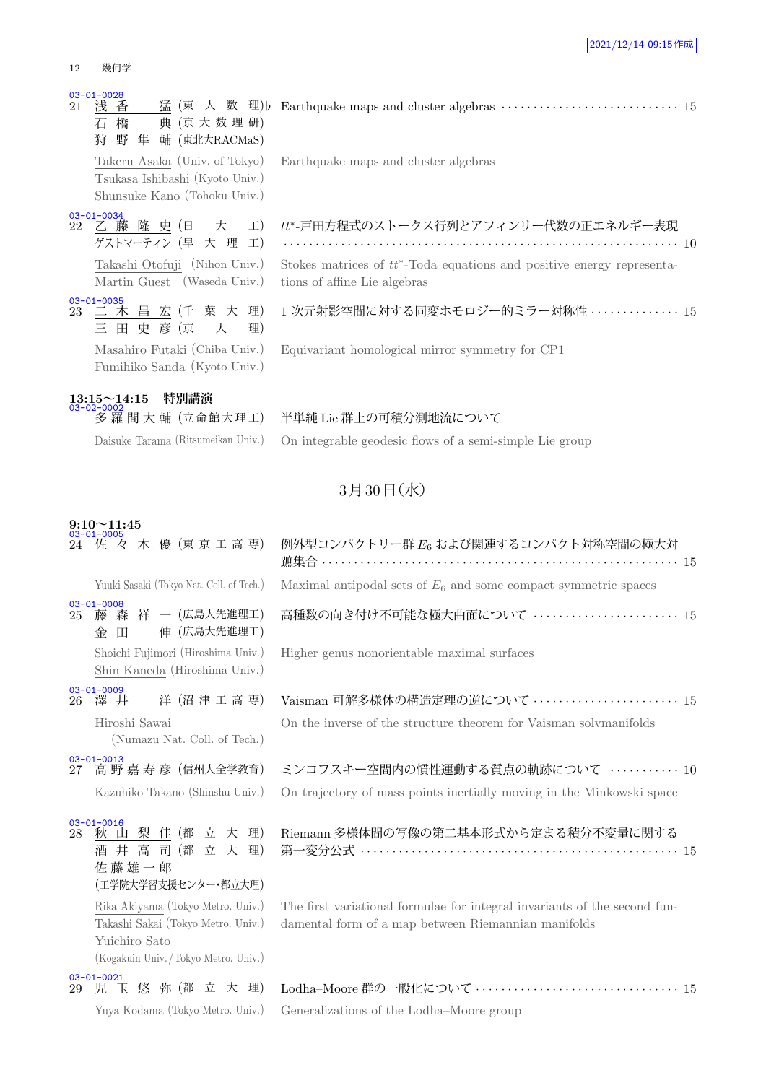#### 12 幾何学

## 03-01-0028<br>21 浅 香

猛 (東 大 数 理) b 石 橋 典 (京 大 数 理 研) 狩 野 隼 輔 (東北大RACMaS)

Takeru Asaka (Univ. of Tokyo) Tsukasa Ishibashi (Kyoto Univ.) Shunsuke Kano (Tohoku Univ.)

03-01-0034<br>22 乙藤 隆 史 (日 大 工) ゲストマーティン (早 大 理 工)

> Takashi Otofuji (Nihon Univ.) Martin Guest (Waseda Univ.)

 $\frac{03-01-0035}{23}$ 二 木 昌 宏 (千 葉 大 理) 三 田 史 彦 (京 大 理) Masahiro Futaki (Chiba Univ.) Fumihiko Sanda (Kyoto Univ.)

## **13:15~14:15 特別講演** 03-02-0002

| Earthquake maps and cluster algebras |  |
|--------------------------------------|--|
|                                      |  |

### *tt∗* -戸田方程式のストークス行列とアフィンリー代数の正エネルギー表現

*· · · · · · · · · · · · · · · · · · · · · · · · · · · · · · · · · · · · · · · · · · · · · · · · · · · · · · · · · · · · · ·* 10 Stokes matrices of  $tt^*$ -Toda equations and positive energy representations of affine Lie algebras

1 次元射影空間に対する同変ホモロジー的ミラー対称性 *· · · · · · · · · · · · · ·* 15

Equivariant homological mirror symmetry for CP1

### 多 羅 間 大 輔 (立 命 館 大 理 工) 半単純 Lie 群上の可積分測地流について

Daisuke Tarama (Ritsumeikan Univ.) On integrable geodesic flows of a semi-simple Lie group

### $3$ 月 $30$ 日 $($ 水 $)$

| $03 - 01 - 0005$                 | 24 佐 々 木 優 (東 京 工 高 専)                                              | 例外型コンパクトリー群 E6 および関連するコンパクト対称空間の極大対                                                                                                                                                                                                                                                                                                                                                                                              |
|----------------------------------|---------------------------------------------------------------------|----------------------------------------------------------------------------------------------------------------------------------------------------------------------------------------------------------------------------------------------------------------------------------------------------------------------------------------------------------------------------------------------------------------------------------|
|                                  | Yuuki Sasaki (Tokyo Nat. Coll. of Tech.)                            | Maximal antipodal sets of $E_6$ and some compact symmetric spaces                                                                                                                                                                                                                                                                                                                                                                |
| $03 - 01 - 0008$<br>25 -         | 藤 森 祥 一(広島大先進理工)<br>金 田 伸 (広島大先進理工)                                 | 高種数の向き付け不可能な極大曲面について  15                                                                                                                                                                                                                                                                                                                                                                                                         |
|                                  | Shoichi Fujimori (Hiroshima Univ.)<br>Shin Kaneda (Hiroshima Univ.) | Higher genus nonorientable maximal surfaces                                                                                                                                                                                                                                                                                                                                                                                      |
| $03 - 01 - 0009$<br>澤 井<br>26    | 洋 (沼 津 工 高 専)                                                       | Vaisman 可解多様体の構造定理の逆について ······················· 15                                                                                                                                                                                                                                                                                                                                                                              |
| Hiroshi Sawai                    | (Numazu Nat. Coll. of Tech.)                                        | On the inverse of the structure theorem for Vaisman solvmanifolds                                                                                                                                                                                                                                                                                                                                                                |
| $03 - 01 - 0013$                 | 27 高 野 嘉 寿 彦(信州大全学教育)                                               | ミンコフスキー空間内の慣性運動する質点の軌跡について ………… 10                                                                                                                                                                                                                                                                                                                                                                                               |
|                                  | Kazuhiko Takano (Shinshu Univ.)                                     | On trajectory of mass points inertially moving in the Minkowski space                                                                                                                                                                                                                                                                                                                                                            |
| $03 - 01 - 0016$<br>28-<br>佐藤雄一郎 | 秋山梨佳(都立大理)<br>酒井高司(都立大理)<br>(工学院大学習支援センター・都立大理)                     | Riemann 多様体間の写像の第二基本形式から定まる積分不変量に関する<br>第一変分公式 …………………………………………………… 15                                                                                                                                                                                                                                                                                                                                                           |
|                                  | Rika Akiyama (Tokyo Metro. Univ.)                                   | The first variational formulae for integral invariants of the second fun-<br>$\overline{m}$ 1 $\overline{m}$ 1 $\overline{m}$ 1 $\overline{m}$ 1 $\overline{m}$ 1 $\overline{m}$ 1 $\overline{m}$ 1 $\overline{m}$ 1 $\overline{m}$ 1 $\overline{m}$ 1 $\overline{m}$ 1 $\overline{m}$ 1 $\overline{m}$ 1 $\overline{m}$ 1 $\overline{m}$ 1 $\overline{m}$ 1 $\overline{m}$ 1 $\overline{m}$ 1 $\overline{m}$ 1 $\overline{m}$ 1 |

damental form of a map between Riemannian manifolds

| - Lodha–Moore 群の一般化について ‥‥‥‥‥‥‥‥‥‥‥‥‥‥‥‥‥ 15 |  |
|----------------------------------------------|--|
| Generalizations of the Lodha–Moore group     |  |

## **9:10~11:45** 03-01-0005 **24 佐 々 木 優 (東京工高専** Yuuki Sasaki (Tokyo Nat. Coll. of Tech.) 03-01-0008 25 藤 森 祥 一 (広島大先進理工

| Kazuhiko Takano (Shinshu Univ.) |  |  |
|---------------------------------|--|--|
|                                 |  |  |

03-01-0016 28 秋 山 梨 佳 (都 立 大 理) 酒井 高 司 (都 立 大 理 佐 藤 雄 一 郎 (工学院大学習支援センター・都立大理) Rika Akiyama (Tokyo Metro. Univ.) Takashi Sakai (Tokyo Metro. Univ.) Yuichiro Sato (Kogakuin Univ. /Tokyo Metro. Univ.) 03-01-0021 29 児 玉 悠 弥 (都 立 大 理)

Yuya Kodama (Tokyo Metro. Univ.)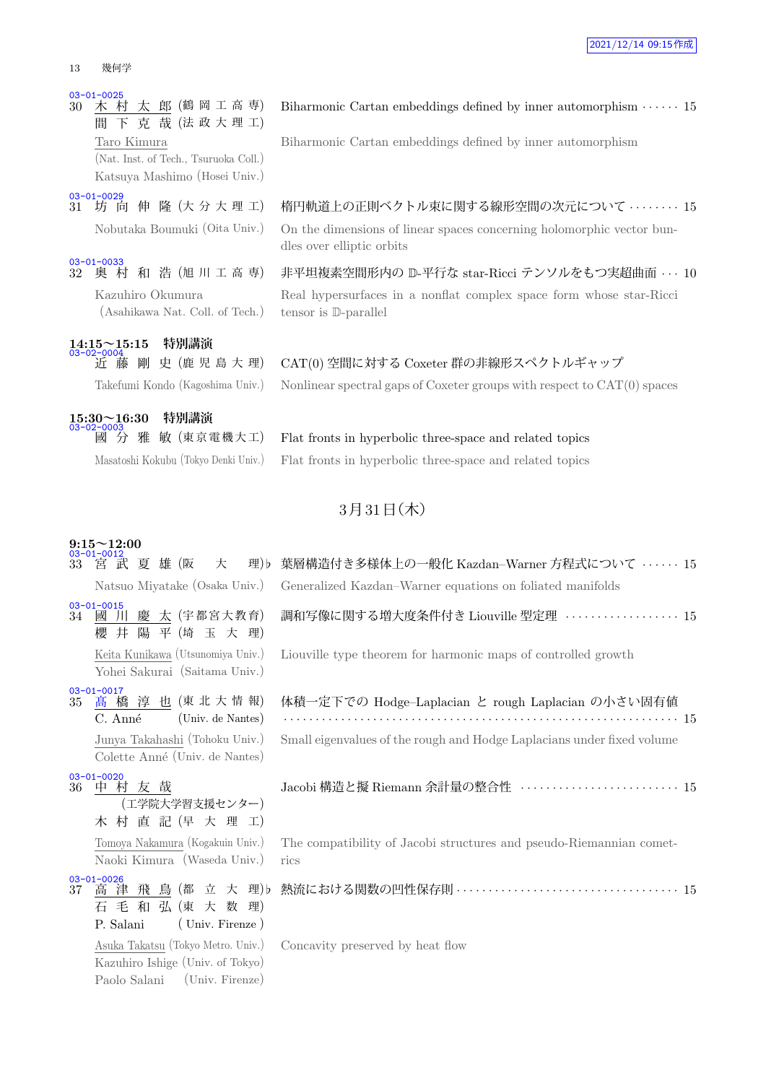#### 13 幾何学

03-01-0025<br>30 木 村 太 郎 (鶴 岡 工 高 専) 間 下 克 哉 (法 政 大 理 工) Taro Kimura (Nat. Inst. of Tech., Tsuruoka Coll.) Katsuya Mashimo (Hosei Univ.)

03-01-0029<br>31 坊 向 伸 隆 (大分大理工)

03-01-0033<br>32 奥 村 和 浩 (旭 川 工 高 専) Kazuhiro Okumura (Asahikawa Nat. Coll. of Tech.)

**14:15~15:15 特別講演** 03-02-0004

| $15:30\!\!\simeq\!\!16:30$<br>03-02-0003 |  | 特別講演 |  |
|------------------------------------------|--|------|--|
|                                          |  |      |  |

## Biharmonic Cartan embeddings defined by inner automorphism *· · · · · ·* 15 Biharmonic Cartan embeddings defined by inner automorphism

<sup>31</sup> 坊 向 伸 隆 (大 分 大 理 工) 楕円軌道上の正則ベクトル束に関する線形空間の次元について *· · · · · · · ·* <sup>15</sup> Nobutaka Boumuki (Oita Univ.) On the dimensions of linear spaces concerning holomorphic vector bundles over elliptic orbits

> 非平坦複素空間形内の D-平行な star-Ricci テンソルをもつ実超曲面 · · · 10 Real hypersurfaces in a nonflat complex space form whose star-Ricci tensor is D-parallel

## 近 藤 剛 史 (鹿 児 島 大 理) CAT(0) 空間に対する Coxeter 群の非線形スペクトルギャップ Takefumi Kondo (Kagoshima Univ.) Nonlinear spectral gaps of Coxeter groups with respect to CAT(0) spaces

雅 敏 (東京電機大工) Flat fronts in hyperbolic three-space and related topics Masatoshi Kokubu (Tokyo Denki Univ.) Flat fronts in hyperbolic three-space and related topics

### $3$ 月 $31$ 日 $($ 木 $)$

## **9:15~12:00** 03-01-0012

| 33 | 宮 武 夏 雄 (阪<br>大<br>理) b                                                                                   | 葉層構造付き多様体上の一般化 Kazdan-Warner 方程式について ・・・・・・15                               |
|----|-----------------------------------------------------------------------------------------------------------|-----------------------------------------------------------------------------|
|    | Natsuo Miyatake (Osaka Univ.)                                                                             | Generalized Kazdan–Warner equations on foliated manifolds                   |
|    | $03 - 01 - 0015$<br>34 國 川 慶 太 (宇都宮大教育)<br>櫻井陽平(埼玉大理)                                                     | <b>調和写像に関する増大度条件付き Liouville 型定理 ・・・・・・・・・・・・・・・・15</b>                     |
|    | Keita Kunikawa (Utsunomiya Univ.)<br>Yohei Sakurai (Saitama Univ.)                                        | Liouville type theorem for harmonic maps of controlled growth               |
| 35 | $03 - 01 - 0017$<br>高橋 淳也 (東北大情報)<br>(Univ. de Nantes)<br>C. Anné                                         | 体積一定下での Hodge-Laplacian と rough Laplacian の小さい固有値                           |
|    | Junya Takahashi (Tohoku Univ.)<br>Colette Anné (Univ. de Nantes)                                          | Small eigenvalues of the rough and Hodge Laplacians under fixed volume      |
| 36 | $03 - 01 - 0020$<br>中村友哉<br>(工学院大学習支援センター)<br>木 村 直 記 (早 大 理 工)                                           | Jacobi 構造と擬 Riemann 余計量の整合性 ························· 15                    |
|    | Tomoya Nakamura (Kogakuin Univ.)<br>Naoki Kimura (Waseda Univ.)                                           | The compatibility of Jacobi structures and pseudo-Riemannian comet-<br>rics |
| 37 | $03 - 01 - 0026$<br>高津飛鳥(都立大理)b<br>石毛和弘(東大数理)<br>P. Salani<br>(Univ. Firenze)                             |                                                                             |
|    | Asuka Takatsu (Tokyo Metro. Univ.)<br>Kazuhiro Ishige (Univ. of Tokyo)<br>(Univ. Firenze)<br>Paolo Salani | Concavity preserved by heat flow                                            |
|    |                                                                                                           |                                                                             |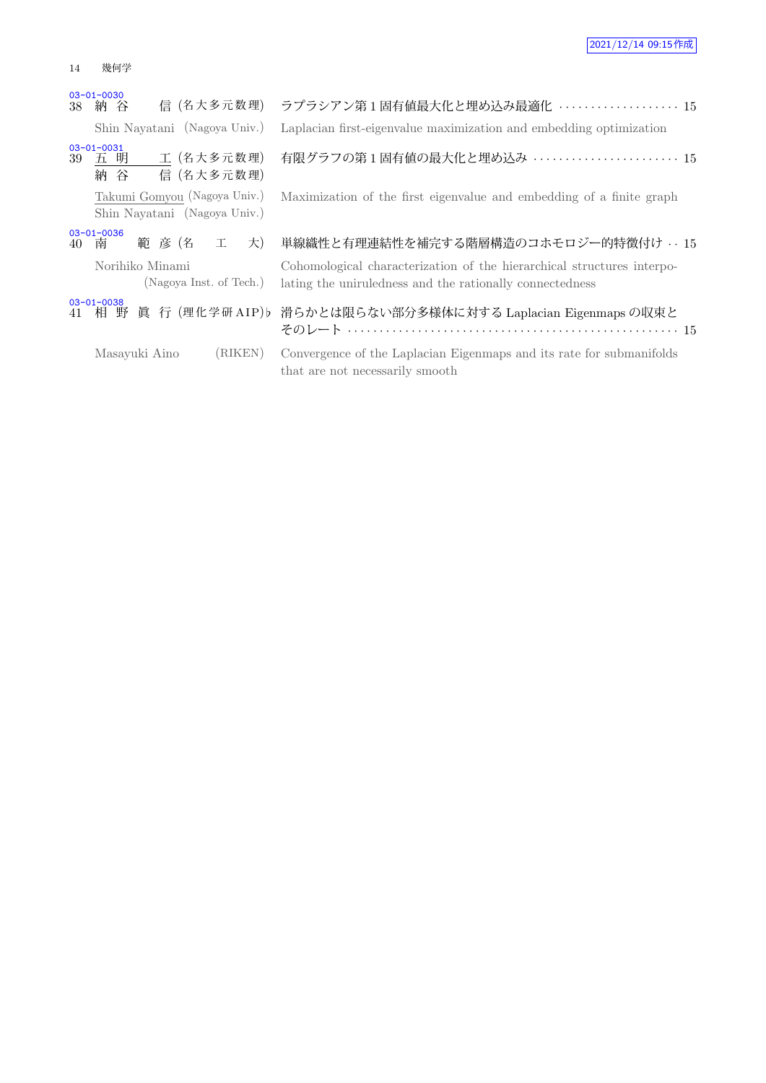### 14 幾何学

|    | $03 - 01 - 0030$<br>信 (名大多元数理)<br>38 納 谷                     | ラプラシアン第1固有値最大化と埋め込み最適化  15                                                                                                         |
|----|--------------------------------------------------------------|------------------------------------------------------------------------------------------------------------------------------------|
|    | Shin Nayatani (Nagoya Univ.)                                 | Laplacian first-eigenvalue maximization and embedding optimization                                                                 |
| 39 | $03 - 01 - 0031$<br>五 明 工 (名大多元数理)<br>信 (名大多元数理)<br>納谷       | 有限グラフの第1固有値の最大化と埋め込み  15                                                                                                           |
|    | Takumi Gomyou (Nagoya Univ.)<br>Shin Nayatani (Nagoya Univ.) | Maximization of the first eigenvalue and embedding of a finite graph                                                               |
|    | $03 - 01 - 0036$<br>範彦 (名<br>工<br>大)<br>40 南                 | 単線織性と有理連結性を補完する階層構造のコホモロジー的特徴付け … 15                                                                                               |
|    | Norihiko Minami<br>(Nagoya Inst. of Tech.)                   | Cohomological characterization of the hierarchical structures interpo-<br>lating the uniruledness and the rationally connectedness |
|    | $03 - 01 - 0038$                                             | 41 相 野 眞 行 (理化学研AIP)b 滑らかとは限らない部分多様体に対する Laplacian Eigenmaps の収束と                                                                  |
|    | (RIKEN)<br>Masayuki Aino                                     | Convergence of the Laplacian Eigenmaps and its rate for submanifolds<br>that are not necessarily smooth                            |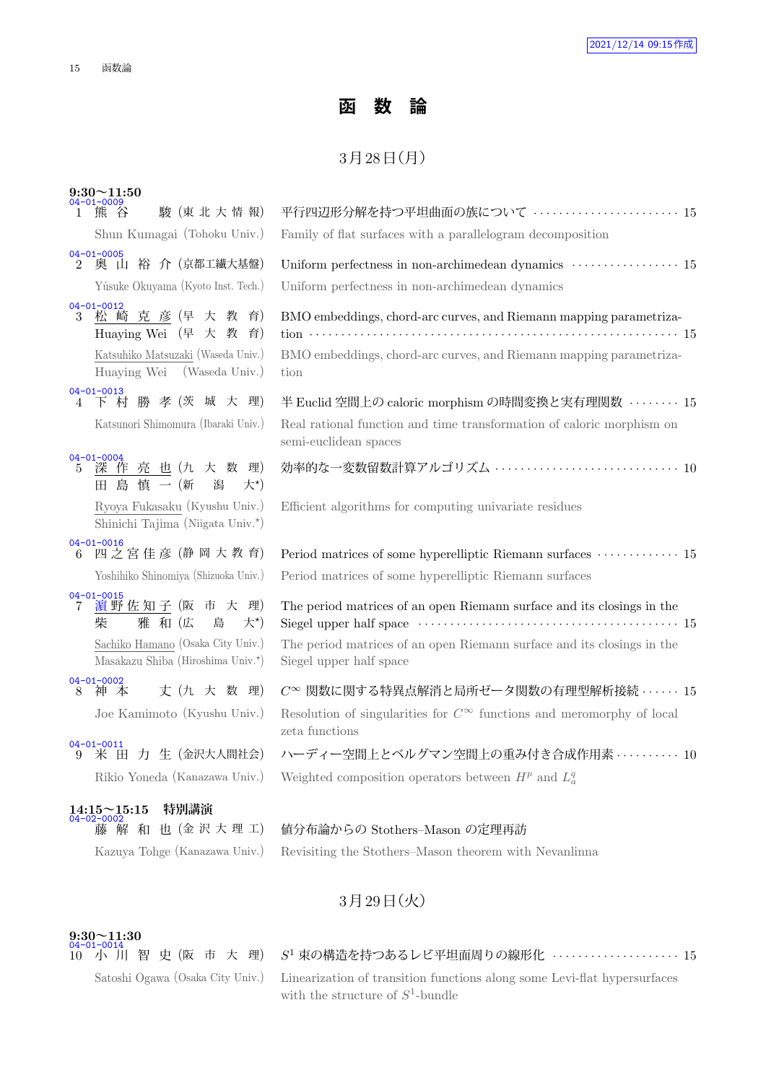## **函 数 論**

### $3738 \text{ H}$  (月)

| $9:30 \sim 11:50$<br>04-01-0009                                                                                                               |                                                                                                                                                                             |
|-----------------------------------------------------------------------------------------------------------------------------------------------|-----------------------------------------------------------------------------------------------------------------------------------------------------------------------------|
| 駿 (東北大情報)<br>1 熊 谷                                                                                                                            | 平行四辺形分解を持つ平坦曲面の族について ……………………… 15                                                                                                                                           |
| Shun Kumagai (Tohoku Univ.)                                                                                                                   | Family of flat surfaces with a parallelogram decomposition                                                                                                                  |
| $04 - 01 - 0005$<br>奥 山 裕 介 (京都工繊大基盤)<br>$\overline{2}$                                                                                       | Uniform perfectness in non-archimedean dynamics $\,\cdots\, \cdots\, \cdots\, \cdots\, \cdots\,$ 15                                                                         |
| Yûsuke Okuyama (Kyoto Inst. Tech.)                                                                                                            | Uniform perfectness in non-archimedean dynamics                                                                                                                             |
| $04 - 01 - 0012$<br>松崎克彦(早大教育)<br>3<br>Huaying Wei (早 大 教 育)                                                                                  | BMO embeddings, chord-arc curves, and Riemann mapping parametriza-                                                                                                          |
| Katsuhiko Matsuzaki (Waseda Univ.)<br>Huaying Wei<br>(Waseda Univ.)                                                                           | BMO embeddings, chord-arc curves, and Riemann mapping parametriza-<br>tion                                                                                                  |
| 04-01-0013<br>4 下村勝孝(茨城大理)                                                                                                                    | 半 Euclid 空間上の caloric morphism の時間変換と実有理関数 ········ 15                                                                                                                      |
| Katsunori Shimomura (Ibaraki Univ.)                                                                                                           | Real rational function and time transformation of caloric morphism on<br>semi-euclidean spaces                                                                              |
| $04 - 01 - 0004$<br>深作亮也(九大数理)<br>$5\overline{)}$<br>島 慎 一 (新<br>潟<br>大*)<br>田                                                                | 効率的な一変数留数計算アルゴリズム  10                                                                                                                                                       |
| Ryoya Fukasaku (Kyushu Univ.)<br>Shinichi Tajima (Niigata Univ.*)                                                                             | Efficient algorithms for computing univariate residues                                                                                                                      |
| $04 - 01 - 0016$<br>6 四之宮佳彦 (静岡大教育)                                                                                                           | Period matrices of some hyperelliptic Riemann surfaces $\cdots \cdots \cdots 15$                                                                                            |
| Yoshihiko Shinomiya (Shizuoka Univ.)                                                                                                          | Period matrices of some hyperelliptic Riemann surfaces                                                                                                                      |
| $04 - 01 - 0015$<br>濵野佐知子 (阪 市 大 理)<br>7<br>柴<br>雅 和 (広<br>大*)<br>島<br>Sachiko Hamano (Osaka City Univ.)<br>Masakazu Shiba (Hiroshima Univ.*) | The period matrices of an open Riemann surface and its closings in the<br>The period matrices of an open Riemann surface and its closings in the<br>Siegel upper half space |
| $04 - 01 - 0002$<br>丈 (九 大 数 理)<br>神本<br>8                                                                                                    | $C^{\infty}$ 関数に関する特異点解消と局所ゼータ関数の有理型解析接続 · · · · · · 15                                                                                                                     |
| Joe Kamimoto (Kyushu Univ.)                                                                                                                   | Resolution of singularities for $C^{\infty}$ functions and meromorphy of local<br>zeta functions                                                                            |
| $04 - 01 - 0011$<br>米田力生 (金沢大人間社会)<br>9                                                                                                       | ハーディー空間上とベルグマン空間上の重み付き合成作用素  10                                                                                                                                             |
| Rikio Yoneda (Kanazawa Univ.)                                                                                                                 | Weighted composition operators between $H^p$ and $L^q_a$                                                                                                                    |
| 特別講演<br>$14:15 \sim 15:15$                                                                                                                    |                                                                                                                                                                             |
| $04 - 02 - 0002$<br>解和也(金沢大理工)<br>滕                                                                                                           | 値分布論からの Stothers-Mason の定理再訪                                                                                                                                                |

Kazuya Tohge (Kanazawa Univ.) Revisiting the Stothers–Mason theorem with Nevanlinna

## 3月29日 (火)

## **9:30~11:30** 04-01-0014

04-01-0014<br>10 小 川 智 史 (阪 市 大 理)

### $S<sup>1</sup>$  束の構造を持つあるレビ平坦面周りの線形化 ····················· 15

Satoshi Ogawa (Osaka City Univ.) Linearization of transition functions along some Levi-flat hypersurfaces with the structure of  $S^1$ -bundle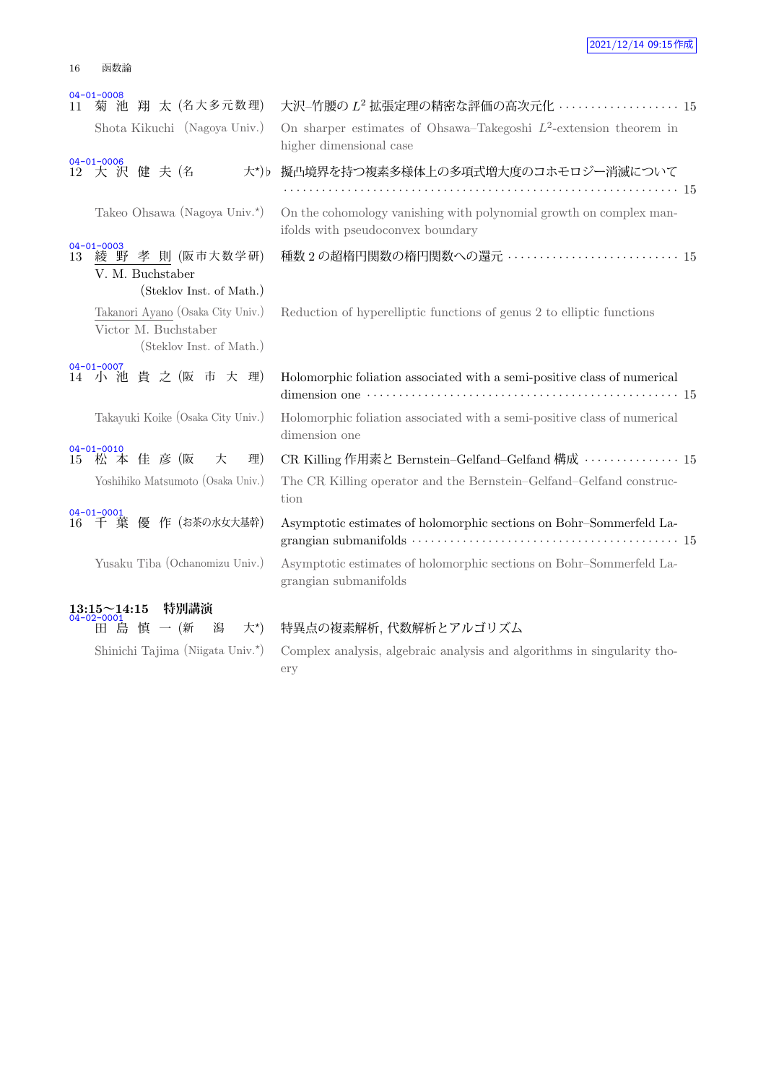| 16 | 函数論 |
|----|-----|
|    |     |

| 11 | $04 - 01 - 0008$<br>菊 池 翔 太 (名大多元数理)                                                  | 大沢-竹腰の L <sup>2</sup> 拡張定理の精密な評価の高次元化 ·················· 15                                             |
|----|---------------------------------------------------------------------------------------|---------------------------------------------------------------------------------------------------------|
|    | Shota Kikuchi (Nagoya Univ.)                                                          | On sharper estimates of Ohsawa–Takegoshi $L^2$ -extension theorem in<br>higher dimensional case         |
|    | $04 - 01 - 0006$<br>12 大 沢 健 夫 (名                                                     | 大*)b 擬凸境界を持つ複素多様体上の多項式増大度のコホモロジー消滅について                                                                  |
|    | Takeo Ohsawa (Nagoya Univ.*)                                                          | On the cohomology vanishing with polynomial growth on complex man-<br>ifolds with pseudoconvex boundary |
| 13 | $04 - 01 - 0003$<br>綾 野 孝 則 (阪市大数学研)<br>V. M. Buchstaber<br>(Steklov Inst. of Math.)  | 種数 2 の超楕円関数の楕円関数への還元 …………………………… 15                                                                     |
|    | Takanori Ayano (Osaka City Univ.)<br>Victor M. Buchstaber<br>(Steklov Inst. of Math.) | Reduction of hyperelliptic functions of genus 2 to elliptic functions                                   |
|    | $04 - 01 - 0007$<br>14 小池貴之(阪市大理)                                                     | Holomorphic foliation associated with a semi-positive class of numerical                                |
|    | Takayuki Koike (Osaka City Univ.)                                                     | Holomorphic foliation associated with a semi-positive class of numerical<br>dimension one               |
|    | $04 - 01 - 0010$<br>15 松本佳彦(阪<br>理)<br>大                                              | CR Killing 作用素と Bernstein-Gelfand-Gelfand 構成 ··············· 15                                         |
|    | Yoshihiko Matsumoto (Osaka Univ.)                                                     | The CR Killing operator and the Bernstein-Gelfand-Gelfand construc-<br>tion                             |
|    | $04 - 01 - 0001$<br>16 千 葉 優 作 (お茶の水女大基幹)                                             | Asymptotic estimates of holomorphic sections on Bohr-Sommerfeld La-                                     |
|    | Yusaku Tiba (Ochanomizu Univ.)                                                        | Asymptotic estimates of holomorphic sections on Bohr-Sommerfeld La-<br>grangian submanifolds            |
|    | 特別講演<br>$13:15 \sim 14:15$<br>04-02-0001                                              |                                                                                                         |
|    | 田島慎一(新<br>潟<br>大*)                                                                    | 特異点の複素解析, 代数解析とアルゴリズム                                                                                   |
|    | Shinichi Tajima (Niigata Univ.*)                                                      | Complex analysis, algebraic analysis and algorithms in singularity tho-                                 |

) Complex analysis, algebraic analysis and algorithms in singularity thoery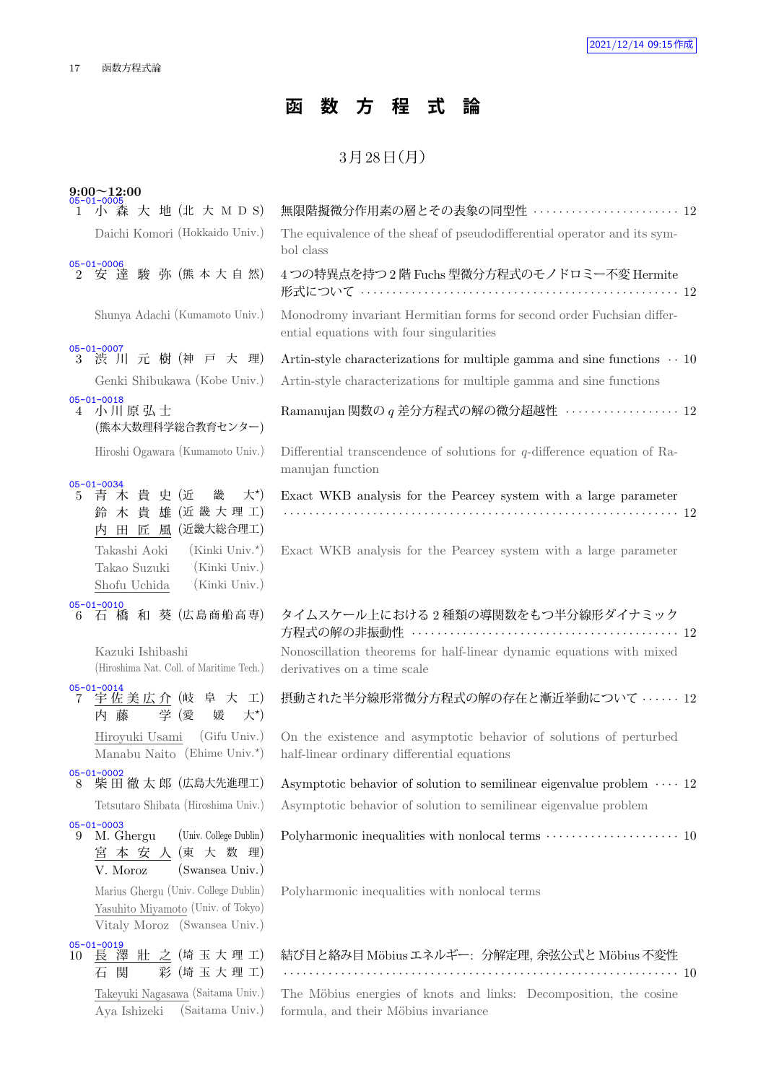## **函 数 方 程 式 論**

### $3<sup>7</sup>$   $3<sup>7</sup>$   $3<sup>8</sup>$   $\equiv$   $(1<sup>7</sup>)$

| $9:00 \sim 12:00$ |
|-------------------|
| $05 - 01 - 0005$  |

| $05 - 01 - 0005$<br>1 小 森 大 地 (北 大 M D S)                                                                        | 無限階擬微分作用素の層とその表象の同型性  12                                                                                                                               |
|------------------------------------------------------------------------------------------------------------------|--------------------------------------------------------------------------------------------------------------------------------------------------------|
| Daichi Komori (Hokkaido Univ.)                                                                                   | The equivalence of the sheaf of pseudodifferential operator and its sym-<br>bol class                                                                  |
| $05 - 01 - 0006$<br>2 安達 駿 弥 (熊本大自然)                                                                             | 4つの特異点を持つ2階 Fuchs 型微分方程式のモノドロミー不変 Hermite<br>形式について ……………………………………………………… 12                                                                           |
| Shunya Adachi (Kumamoto Univ.)                                                                                   | Monodromy invariant Hermitian forms for second order Fuchsian differ-<br>ential equations with four singularities                                      |
| $05 - 01 - 0007$<br>3 渋 川 元 樹 (神 戸 大 理)<br>Genki Shibukawa (Kobe Univ.)                                          | Artin-style characterizations for multiple gamma and sine functions $\cdots$ 10<br>Artin-style characterizations for multiple gamma and sine functions |
| $05 - 01 - 0018$<br>4 小川原弘士<br>(熊本大数理科学総合教育センター)                                                                 | Ramanujan 関数の $q \neq$ 分方程式の解の微分超越性 ·················· 12                                                                                              |
| Hiroshi Ogawara (Kumamoto Univ.)                                                                                 | Differential transcendence of solutions for $q$ -difference equation of Ra-<br>manujan function                                                        |
| $05 - 01 - 0034$<br>青木貴史(近<br>大*)<br>畿<br>$5 -$<br>鈴木貴雄 (近畿大理工)<br>内 田 匠 風 (近畿大総合理工)                             | Exact WKB analysis for the Pearcey system with a large parameter                                                                                       |
| $(Kinki$ Univ. <sup>*</sup> )<br>Takashi Aoki<br>(Kinki Univ.)<br>Takao Suzuki<br>(Kinki Univ.)<br>Shofu Uchida  | Exact WKB analysis for the Pearcey system with a large parameter                                                                                       |
| $05 - 01 - 0010$<br>6 石橋和葵 (広島商船高専)                                                                              | タイムスケール上における2種類の導関数をもつ半分線形ダイナミック                                                                                                                       |
| Kazuki Ishibashi<br>(Hiroshima Nat. Coll. of Maritime Tech.)                                                     | Nonoscillation theorems for half-linear dynamic equations with mixed<br>derivatives on a time scale                                                    |
| 05-01-0014<br>7 宇佐美広介 (岐 阜 大 工)<br>学 (愛<br>内 藤<br>大*)<br>媛                                                       | 摂動された半分線形常微分方程式の解の存在と漸近挙動について …… 12                                                                                                                    |
| Hiroyuki Usami (Gifu Univ.)<br>Manabu Naito (Ehime Univ. $\star$ )                                               | On the existence and asymptotic behavior of solutions of perturbed<br>half-linear ordinary differential equations                                      |
| $05 - 01 - 0002$<br>柴田 徹 太郎 (広島大先進理工)<br>8                                                                       | Asymptotic behavior of solution to semilinear eigenvalue problem $\cdots$ 12                                                                           |
| Tetsutaro Shibata (Hiroshima Univ.)                                                                              | Asymptotic behavior of solution to semilinear eigenvalue problem                                                                                       |
| $05 - 01 - 0003$<br>(Univ. College Dublin)<br>M. Ghergu<br>9<br>宮 本 安 人 (東 大 数 理)<br>(Swansea Univ.)<br>V. Moroz | Polyharmonic inequalities with nonlocal terms $\cdots \cdots \cdots \cdots \cdots \cdots 10$                                                           |
| Marius Ghergu (Univ. College Dublin)<br>Yasuhito Miyamoto (Univ. of Tokyo)<br>Vitaly Moroz (Swansea Univ.)       | Polyharmonic inequalities with nonlocal terms                                                                                                          |
| $05 - 01 - 0019$<br>10 長澤壯之(埼玉大理工)                                                                               | 結び目と絡み目 Möbius エネルギー: 分解定理, 余弦公式と Möbius 不変性                                                                                                           |

05-01-0019<br>10 長 澤 壮 之 (埼 玉 大 理 工) 石 関 彩 (埼玉大理工)

Takeyuki Nagasawa (Saitama Univ.) Aya Ishizeki (Saitama Univ.)

### The Möbius energies of knots and links: Decomposition, the cosine formula, and their Möbius invariance

*· · · · · · · · · · · · · · · · · · · · · · · · · · · · · · · · · · · · · · · · · · · · · · · · · · · · · · · · · · · · · ·* 10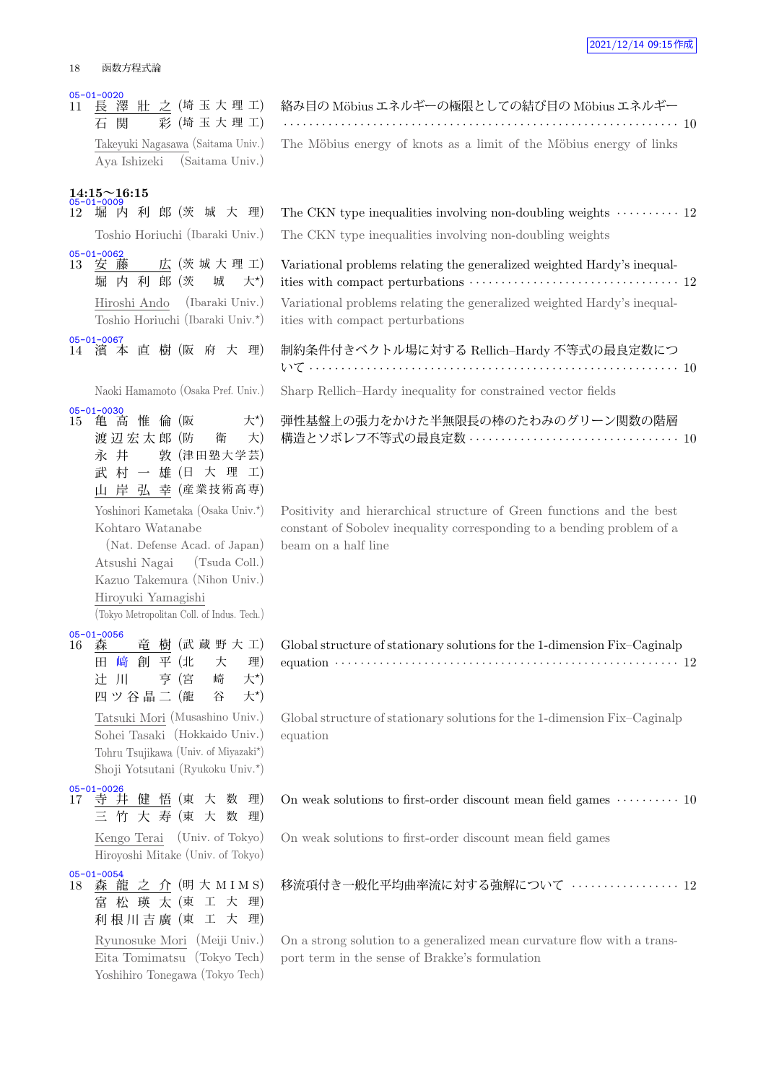#### 18 函数方程式論

05-01-0020<br>11 長 澤 壯 之 (埼玉大理工) 石 関 彩 (埼玉大理工) Takeyuki Nagasawa (Saitama Univ.) Aya Ishizeki (Saitama Univ.)

### **14:15~16:15**

Toshio Horiuchi (Ibaraki Univ.) 05-01-0062<br>13 安藤 広 (茨城大理工) 堀 内 利 郎 (茨 城 大*<sup>⋆</sup>*  $+$ \*) Hiroshi Ando (Ibaraki Univ.) Toshio Horiuchi (Ibaraki Univ.*<sup>⋆</sup>* ) 05-01-0067 14 濱 本 直 樹 (阪 府 大 理)

05-01-0030

15 亀 高 惟 倫 (阪  $+^{\star}$ 渡 辺 宏 太 郎 (防 衛 大) 永 井 敦 (津田塾大学芸) 武 村 一 雄 (日 大 理 工) 山 岸 弘 幸 (産業技術高専) Yoshinori Kametaka (Osaka Univ.*<sup>⋆</sup>* ) Kohtaro Watanabe (Nat. Defense Acad. of Japan) Atsushi Nagai (Tsuda Coll.) Kazuo Takemura (Nihon Univ.) Hiroyuki Yamagishi (Tokyo Metropolitan Coll. of Indus. Tech.)

05-01-0056<br>16 森 竜 樹 (武 蔵 野 大 工) 田 崎 創 平 (北 大 理) 辻 川 亨 (宮 崎 大*<sup>⋆</sup>*  $+^{\star}$ 四ツ谷晶二 (龍 谷  $\pm^{\star}$ Tatsuki Mori (Musashino Univ.) Sohei Tasaki (Hokkaido Univ.) Tohru Tsujikawa (Univ. of Miyazaki*<sup>⋆</sup>* ) Shoji Yotsutani (Ryukoku Univ.*<sup>⋆</sup>* )

- 05-01-0026<br>17 寺 井 健 悟 (東 大 数 理) 三 竹 大 寿 (東 大 数 理) Kengo Terai (Univ. of Tokyo) Hiroyoshi Mitake (Univ. of Tokyo)
- 05-01-0054<br>18 森龍 之 介 (明 大 M I M S) 富 松 瑛 太 (東 工 大 理) 利根川吉廣 (東 工 大 理) Ryunosuke Mori (Meiji Univ.) Eita Tomimatsu (Tokyo Tech) Yoshihiro Tonegawa (Tokyo Tech)

|  |  | 絡み目の Möbius エネルギーの極限としての結び目の Möbius エネルギー                           |  |  |  |  |
|--|--|---------------------------------------------------------------------|--|--|--|--|
|  |  |                                                                     |  |  |  |  |
|  |  | The Möbius energy of knots as a limit of the Möbius energy of links |  |  |  |  |
|  |  |                                                                     |  |  |  |  |

| 05-01-0009 | 12 堀 内 利 郎 (茨 城 大 理) The CKN type inequalities involving non-doubling weights ………… 12    |
|------------|------------------------------------------------------------------------------------------|
|            | Toshio Horiuchi (Ibaraki Univ.) The CKN type inequalities involving non-doubling weights |

Variational problems relating the generalized weighted Hardy's inequalities with compact perturbations  $\cdots \cdots \cdots \cdots \cdots \cdots \cdots \cdots \cdots \cdots \cdots$  12

Variational problems relating the generalized weighted Hardy's inequalities with compact perturbations

| 制約条件付きベクトル場に対する Rellich–Hardy 不等式の最良定数につ |  |
|------------------------------------------|--|
|                                          |  |

Naoki Hamamoto (Osaka Pref. Univ.) Sharp Rellich–Hardy inequality for constrained vector fields

弾性基盤上の張力をかけた半無限長の棒のたわみのグリーン関数の階層 構造とソボレフ不等式の最良定数 *· · · · · · · · · · · · · · · · · · · · · · · · · · · · · · · · ·* 10

Positivity and hierarchical structure of Green functions and the best constant of Sobolev inequality corresponding to a bending problem of a beam on a half line

| Global structure of stationary solutions for the 1-dimension Fix-Caginalp                                                                                |  |
|----------------------------------------------------------------------------------------------------------------------------------------------------------|--|
| equation $\cdots$ $\cdots$ $\cdots$ $\cdots$ $\cdots$ $\cdots$ $\cdots$ $\cdots$ $\cdots$ $\cdots$ $\cdots$ $\cdots$ $\cdots$ $\cdots$ $\cdots$ $\cdots$ |  |

Global structure of stationary solutions for the 1-dimension Fix–Caginalp equation

#### On weak solutions to first-order discount mean field games  $\cdots \cdots \cdots$  10

On weak solutions to first-order discount mean field games

移流項付き一般化平均曲率流に対する強解について *· · · · · · · · · · · · · · · · ·* 12

On a strong solution to a generalized mean curvature flow with a transport term in the sense of Brakke's formulation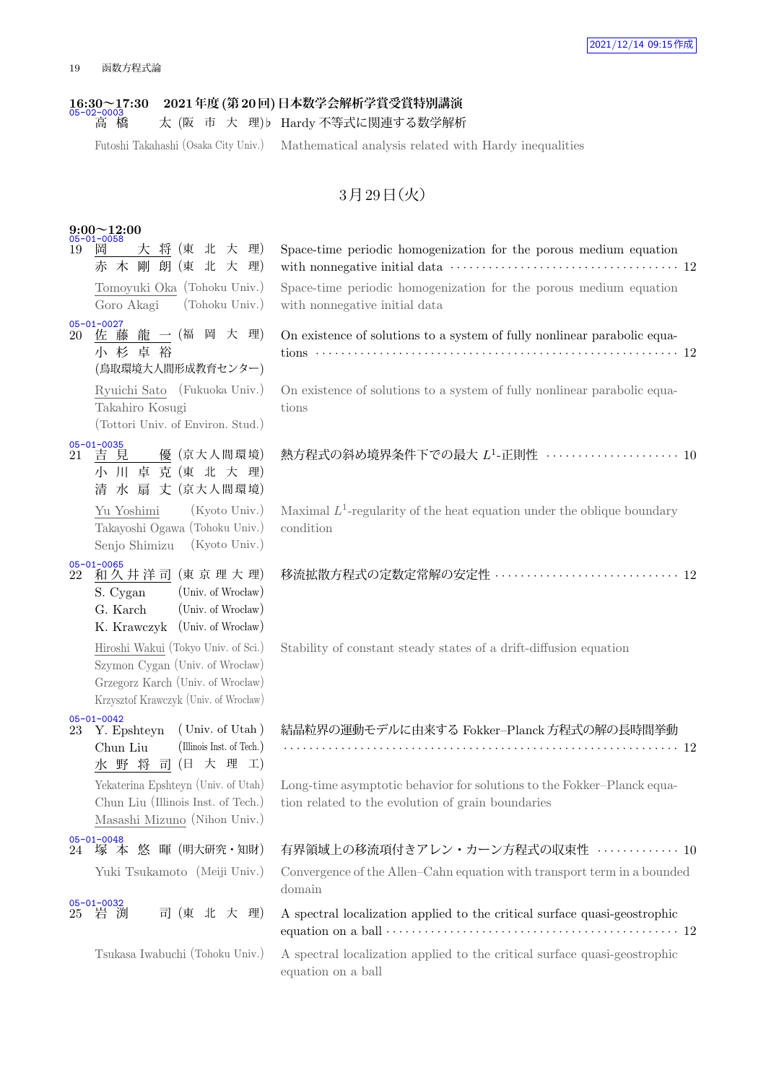## **16:30~17:30 2021年度(第20回)日本数学会解析学賞受賞特別講演** 05-02-0003

<u>- 3000</u><br>高 橋 太 (阪 市 大 理)♭ Hardy 不等式に関連する数学解析

Futoshi Takahashi (Osaka City Univ.) Mathematical analysis related with Hardy inequalities

## 3月29日 (火)

|    | $9:00 \sim 12:00$<br>05-01-0058                                                                                                                      |                                                                                                                                                                                                                               |
|----|------------------------------------------------------------------------------------------------------------------------------------------------------|-------------------------------------------------------------------------------------------------------------------------------------------------------------------------------------------------------------------------------|
| 19 | 大 将 (東 北 大 理)<br>岡<br>赤木剛朗(東北大理)                                                                                                                     | Space-time periodic homogenization for the porous medium equation                                                                                                                                                             |
|    | Tomoyuki Oka (Tohoku Univ.)<br>(Tohoku Univ.)<br>Goro Akagi                                                                                          | Space-time periodic homogenization for the porous medium equation<br>with nonnegative initial data                                                                                                                            |
|    | 05-01-0027<br>20 佐藤龍一(福岡大理)<br>小杉卓裕<br>(鳥取環境大人間形成教育センター)                                                                                             | On existence of solutions to a system of fully nonlinear parabolic equa-                                                                                                                                                      |
|    | Ryuichi Sato (Fukuoka Univ.)<br>Takahiro Kosugi<br>(Tottori Univ. of Environ. Stud.)                                                                 | On existence of solutions to a system of fully nonlinear parabolic equa-<br>tions                                                                                                                                             |
| 21 | $05 - 01 - 0035$<br>吉見<br>優 (京大人間環境)<br>小 川 卓 克 (東 北 大 理)<br>清 水 扇 丈 (京大人間環境)                                                                        | 熱方程式の斜め境界条件下での最大 L <sup>1</sup> -正則性 ····················· 10                                                                                                                                                                 |
|    | $(Kyoto$ Univ.)<br>Yu Yoshimi<br>Takayoshi Ogawa (Tohoku Univ.)<br>Senjo Shimizu<br>$(Kyoto$ Univ.)                                                  | Maximal $L^1$ -regularity of the heat equation under the oblique boundary<br>condition                                                                                                                                        |
|    | 05-01-0065<br>22 和久井洋司(東京理大理)<br>(Univ. of Wrocław)<br>S. Cygan<br>G. Karch<br>(Univ. of Wrocław)<br>K. Krawczyk (Univ. of Wrocław)                  | 移流拡散方程式の定数定常解の安定性  12                                                                                                                                                                                                         |
|    | Hiroshi Wakui (Tokyo Univ. of Sci.)<br>Szymon Cygan (Univ. of Wrocław)<br>Grzegorz Karch (Univ. of Wrocław)<br>Krzysztof Krawczyk (Univ. of Wrocław) | Stability of constant steady states of a drift-diffusion equation                                                                                                                                                             |
| 23 | $05 - 01 - 0042$<br>Y. Epshteyn<br>(Univ. of Utah)<br>Chun Liu<br>(Illinois Inst. of Tech.)<br>水野将司(日大理工)                                            | 結晶粒界の運動モデルに由来する Fokker-Planck 方程式の解の長時間挙動                                                                                                                                                                                     |
|    | Yekaterina Epshteyn (Univ. of Utah)<br>Chun Liu (Illinois Inst. of Tech.)<br>Masashi Mizuno (Nihon Univ.)                                            | Long-time asymptotic behavior for solutions to the Fokker-Planck equa-<br>tion related to the evolution of grain boundaries                                                                                                   |
|    | 05-01-0048<br>24 塚 本 悠 暉 (明大研究・知財)                                                                                                                   | 有界領域上の移流項付きアレン・カーン方程式の収束性 …………… 10                                                                                                                                                                                            |
|    | Yuki Tsukamoto (Meiji Univ.)                                                                                                                         | Convergence of the Allen-Cahn equation with transport term in a bounded<br>domain                                                                                                                                             |
|    | 05-01-0032<br>25 岩 渕<br>司 (東 北 大 理)                                                                                                                  | A spectral localization applied to the critical surface quasi-geostrophic<br>equation on a ball $\cdots$ $\cdots$ $\cdots$ $\cdots$ $\cdots$ $\cdots$ $\cdots$ $\cdots$ $\cdots$ $\cdots$ $\cdots$ $\cdots$ $\cdots$ $\cdots$ |
|    | Tsukasa Iwabuchi (Tohoku Univ.)                                                                                                                      | A spectral localization applied to the critical surface quasi-geostrophic<br>equation on a ball                                                                                                                               |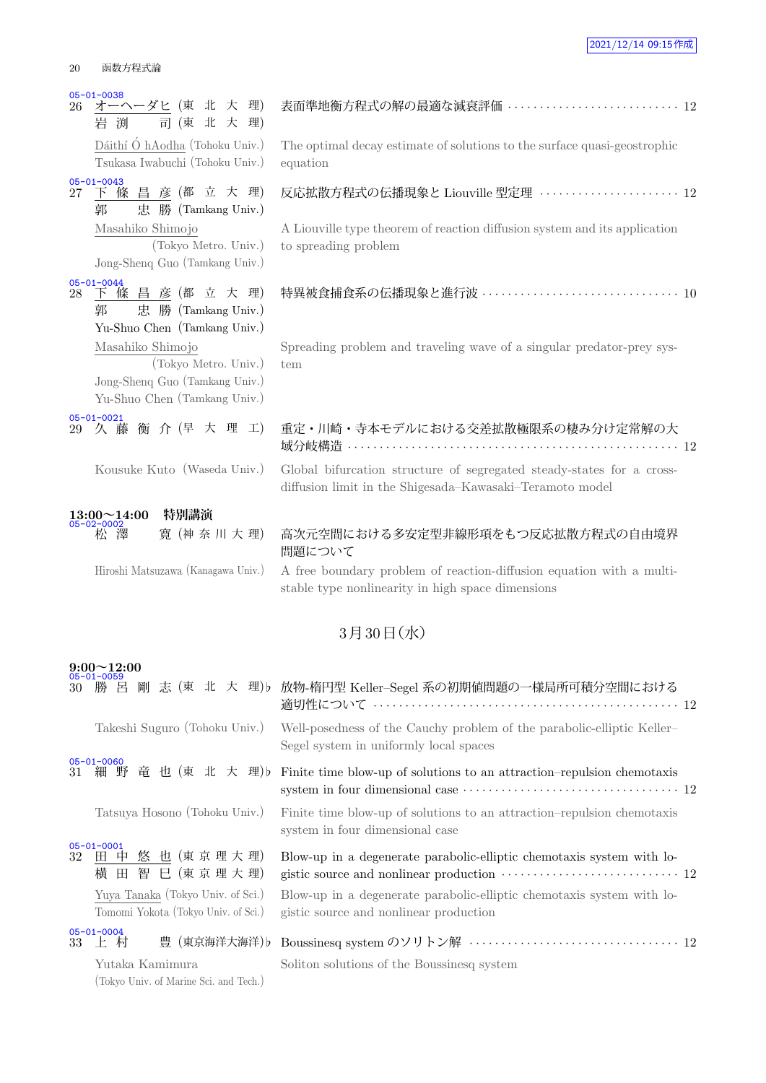| 20 | 函数方程式論 |
|----|--------|
|    |        |

| $05 - 01 - 0038$<br>オーヘーダヒ (東 北 大 理)<br>26<br>岩渕<br>司(東北大理)                                                | 表面準地衡方程式の解の最適な減衰評価  12                                                                                                            |
|------------------------------------------------------------------------------------------------------------|-----------------------------------------------------------------------------------------------------------------------------------|
| Dáithí Ó hAodha (Tohoku Univ.)<br>Tsukasa Iwabuchi (Tohoku Univ.)                                          | The optimal decay estimate of solutions to the surface quasi-geostrophic<br>equation                                              |
| $05 - 01 - 0043$<br>27 下條昌彦(都立大理)<br>忠 勝 (Tamkang Univ.)<br>郭                                              | 反応拡散方程式の伝播現象と Liouville 型定理 ······················ 12                                                                             |
| Masahiko Shimojo<br>(Tokyo Metro. Univ.)<br>Jong-Shenq Guo (Tamkang Univ.)                                 | A Liouville type theorem of reaction diffusion system and its application<br>to spreading problem                                 |
| 28 下條昌彦(都立大理)<br>忠 勝 (Tamkang Univ.)<br>郭<br>Yu-Shuo Chen (Tamkang Univ.)                                  | 特異被食捕食系の伝播現象と進行波 ………………………………… 10                                                                                                 |
| Masahiko Shimojo<br>(Tokyo Metro. Univ.)<br>Jong-Shenq Guo (Tamkang Univ.)<br>Yu-Shuo Chen (Tamkang Univ.) | Spreading problem and traveling wave of a singular predator-prey sys-<br>tem                                                      |
| $05 - 01 - 0021$<br>29 久藤衡介(早大理工)                                                                          | 重定・川崎・寺本モデルにおける交差拡散極限系の棲み分け定常解の大                                                                                                  |
| Kousuke Kuto (Waseda Univ.)                                                                                | Global bifurcation structure of segregated steady-states for a cross-<br>diffusion limit in the Shigesada-Kawasaki-Teramoto model |
| 特別講演                                                                                                       |                                                                                                                                   |
| $13:00~14:00$<br>05-02-0002<br>澤<br>寛 (神奈川大理)                                                              | 高次元空間における多安定型非線形項をもつ反応拡散方程式の自由境界<br>問題について                                                                                        |
| Hiroshi Matsuzawa (Kanagawa Univ.)                                                                         | A free boundary problem of reaction-diffusion equation with a multi-<br>stable type nonlinearity in high space dimensions         |
|                                                                                                            | 3月30日(水)                                                                                                                          |
| $9:00\!\!\simeq\!\!12:00$<br>$05 - 01 - 0059$                                                              |                                                                                                                                   |

| 30 | <u>UU UI UUUJ</u><br>勝 呂                                                 | 剛 志 (東 北 大 理)♭ 放物-楕円型 Keller–Segel 系の初期値問題の一様局所可積分空間における                                                                                                                     |
|----|--------------------------------------------------------------------------|------------------------------------------------------------------------------------------------------------------------------------------------------------------------------|
|    | Takeshi Suguro (Tohoku Univ.)                                            | Well-posedness of the Cauchy problem of the parabolic-elliptic Keller-<br>Segel system in uniformly local spaces                                                             |
| 31 | $05 - 01 - 0060$<br>細野竜也(東北大理)b                                          | Finite time blow-up of solutions to an attraction-repulsion chemotaxis                                                                                                       |
|    | Tatsuya Hosono (Tohoku Univ.)                                            | Finite time blow-up of solutions to an attraction-repulsion chemotaxis<br>system in four dimensional case                                                                    |
| 32 | $05 - 01 - 0001$<br>田 中 悠 也 (東 京 理 大 理)<br>横 田 智 巳 (東京理大理)               | Blow-up in a degenerate parabolic-elliptic chemotaxis system with lo-<br>gistic source and nonlinear production $\cdots \cdots \cdots \cdots \cdots \cdots \cdots \cdots$ 12 |
|    | Yuya Tanaka (Tokyo Univ. of Sci.)<br>Tomomi Yokota (Tokyo Univ. of Sci.) | Blow-up in a degenerate parabolic-elliptic chemotaxis system with lo-<br>gistic source and nonlinear production                                                              |
|    | $05 - 01 - 0004$<br>33 上村                                                |                                                                                                                                                                              |
|    | Yutaka Kamimura<br>(Tokyo Univ. of Marine Sci. and Tech.)                | Soliton solutions of the Boussinesq system                                                                                                                                   |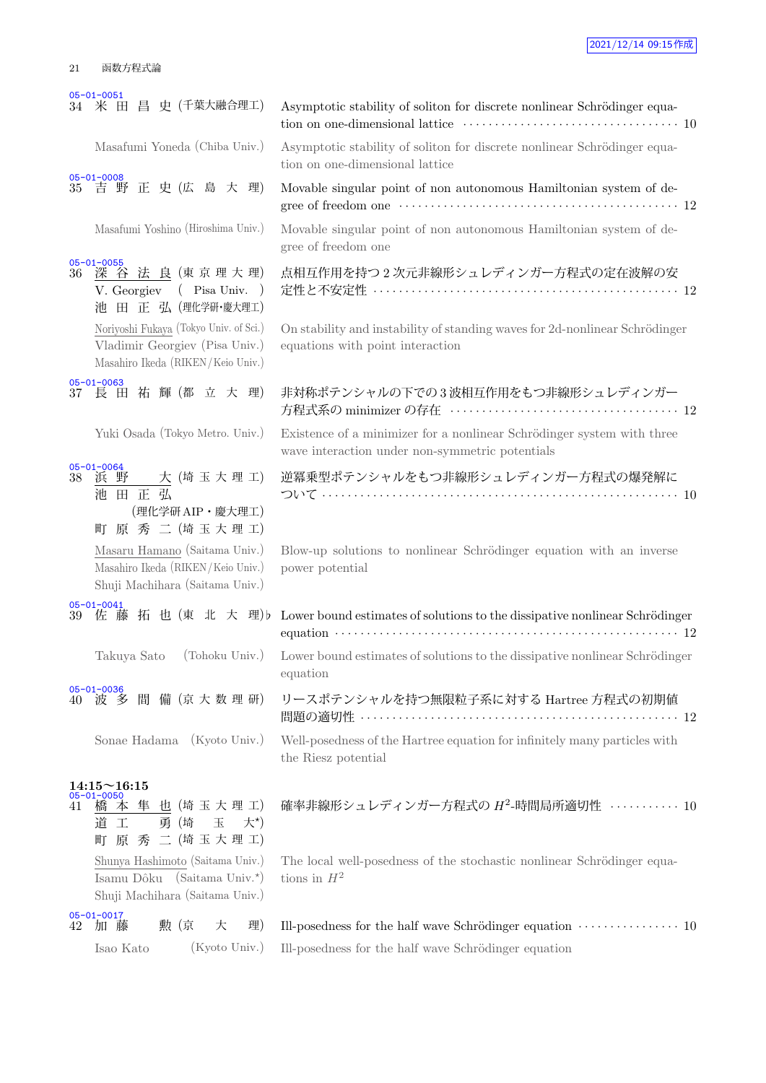|    | $05 - 01 - 0051$<br>34 米田昌史 (千葉大融合理工)                                                                                    | Asymptotic stability of soliton for discrete nonlinear Schrödinger equa-<br>tion on one-dimensional lattice $\hspace{0.1cm} \cdots \hspace{0.1cm} \cdots \hspace{0.1cm} \cdots \hspace{0.1cm} \cdots \hspace{0.1cm} \cdots \hspace{0.1cm} \cdots \hspace{0.1cm} \cdots \hspace{0.1cm} \cdots \hspace{0.1cm} \cdots \hspace{0.1cm} \cdots \hspace{0.1cm} 10$ |
|----|--------------------------------------------------------------------------------------------------------------------------|-------------------------------------------------------------------------------------------------------------------------------------------------------------------------------------------------------------------------------------------------------------------------------------------------------------------------------------------------------------|
|    | Masafumi Yoneda (Chiba Univ.)                                                                                            | Asymptotic stability of soliton for discrete nonlinear Schrödinger equa-<br>tion on one-dimensional lattice                                                                                                                                                                                                                                                 |
|    | 05-01-0008<br>35 吉野正史(広島大理)                                                                                              | Movable singular point of non autonomous Hamiltonian system of de-                                                                                                                                                                                                                                                                                          |
|    | Masafumi Yoshino (Hiroshima Univ.)                                                                                       | Movable singular point of non autonomous Hamiltonian system of de-<br>gree of freedom one                                                                                                                                                                                                                                                                   |
|    | 05-01-0055<br>36 深谷法良(東京理大理)<br>V. Georgiev (Pisa Univ.)<br>池 田 正 弘 (理化学研·慶大理工)                                          | 点相互作用を持つ2次元非線形シュレディンガー方程式の定在波解の安<br>定性と不安定性 …………………………………………………… 12                                                                                                                                                                                                                                                                                         |
|    | Noriyoshi Fukaya (Tokyo Univ. of Sci.)<br>Vladimir Georgiev (Pisa Univ.)<br>Masahiro Ikeda (RIKEN/Keio Univ.)            | On stability and instability of standing waves for 2d-nonlinear Schrödinger<br>equations with point interaction                                                                                                                                                                                                                                             |
| 37 | $05 - 01 - 0063$<br>長 田 祐 輝 (都 立 大 理)                                                                                    | 非対称ポテンシャルの下での3波相互作用をもつ非線形シュレディンガー                                                                                                                                                                                                                                                                                                                           |
|    | Yuki Osada (Tokyo Metro. Univ.)                                                                                          | Existence of a minimizer for a nonlinear Schrödinger system with three<br>wave interaction under non-symmetric potentials                                                                                                                                                                                                                                   |
|    | 05-01-0064<br>38 浜 野<br>大 (埼 玉 大 理 工)<br>池田正弘<br>(理化学研AIP·慶大理工)                                                          | 逆冪乗型ポテンシャルをもつ非線形シュレディンガー方程式の爆発解に                                                                                                                                                                                                                                                                                                                            |
|    | 町 原 秀 二 (埼玉大理工)<br>Masaru Hamano (Saitama Univ.)<br>Masahiro Ikeda (RIKEN/Keio Univ.)<br>Shuji Machihara (Saitama Univ.) | Blow-up solutions to nonlinear Schrödinger equation with an inverse<br>power potential                                                                                                                                                                                                                                                                      |
| 39 | $05 - 01 - 0041$                                                                                                         | 佐藤拓也(東北大理) Lower bound estimates of solutions to the dissipative nonlinear Schrödinger<br>equation $\cdots$ $\cdots$ $\cdots$ $\cdots$ $\cdots$ $\cdots$ $\cdots$ $\cdots$ $\cdots$ $\cdots$ $\cdots$ $\cdots$ $\cdots$ $\cdots$ $\cdots$ $\cdots$                                                                                                          |
|    | (Tohoku Univ.)<br>Takuya Sato                                                                                            | Lower bound estimates of solutions to the dissipative nonlinear Schrödinger<br>equation                                                                                                                                                                                                                                                                     |
| 40 | $05 - 01 - 0036$<br>間 備 (京大数理研)<br>波 多                                                                                   | リースポテンシャルを持つ無限粒子系に対する Hartree 方程式の初期値                                                                                                                                                                                                                                                                                                                       |
|    | Sonae Hadama (Kyoto Univ.)                                                                                               | Well-posedness of the Hartree equation for infinitely many particles with<br>the Riesz potential                                                                                                                                                                                                                                                            |
| 41 | $14:15 \sim 16:15$<br>05-01-0050<br>橋本隼也(埼玉大理工)<br>玉<br>勇 (埼<br>工<br>$\pm$ *)<br>道<br>原 秀 二 (埼玉大理工)<br>町                 | 確率非線形シュレディンガー方程式の $H^2$ -時間局所適切性 ··········· 10                                                                                                                                                                                                                                                                                                             |
|    | Shunya Hashimoto (Saitama Univ.)<br>Isamu Dôku (Saitama Univ.*)<br>Shuji Machihara (Saitama Univ.)                       | The local well-posedness of the stochastic nonlinear Schrödinger equa-<br>tions in $H^2$                                                                                                                                                                                                                                                                    |
| 42 | $05 - 01 - 0017$<br>勲(京<br>加 藤<br>大<br>理)                                                                                | Ill-posedness for the half wave Schrödinger equation $\,\cdots\, \cdots\, \cdots\, \cdots\, \cdots\, \, 10$                                                                                                                                                                                                                                                 |
|    | (Kyoto Univ.)<br>Isao Kato                                                                                               | Ill-posedness for the half wave Schrödinger equation                                                                                                                                                                                                                                                                                                        |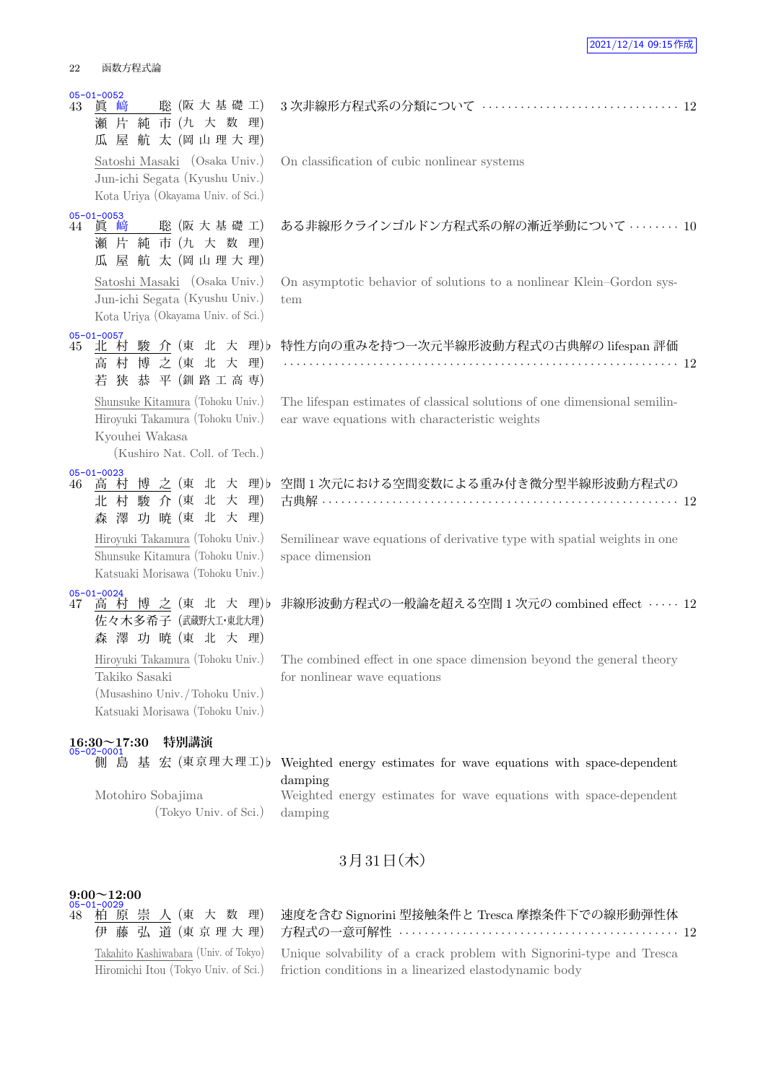|    | <mark>05-01-0052</mark><br>43 眞 崎<br>聡 (阪大基礎工)<br>﨑<br>瀬 片<br>純 市 (九 大 数 理)<br>航太 (岡山理大理)<br>屋<br>瓜                     | 3次非線形方程式系の分類について ………………………………… 12                                                                                                                            |  |
|----|-------------------------------------------------------------------------------------------------------------------------|--------------------------------------------------------------------------------------------------------------------------------------------------------------|--|
|    | Satoshi Masaki (Osaka Univ.)<br>Jun-ichi Segata (Kyushu Univ.)<br>Kota Uriya (Okayama Univ. of Sci.)                    | On classification of cubic nonlinear systems                                                                                                                 |  |
| 44 | $05 - 01 - 0053$<br>聡 (阪大基礎工)<br>眞<br>﨑<br>瀬片純市(九大数理)<br>屋 航 太 (岡山理大理)<br>瓜                                             | ある非線形クラインゴルドン方程式系の解の漸近挙動について ……… 10                                                                                                                          |  |
|    | Satoshi Masaki (Osaka Univ.)<br>Jun-ichi Segata (Kyushu Univ.)<br>Kota Uriya (Okayama Univ. of Sci.)                    | On asymptotic behavior of solutions to a nonlinear Klein-Gordon sys-<br>tem                                                                                  |  |
| 45 | $05 - 01 - 0057$<br>北村駿介(東北大理)b<br>高村博之(東北大理)<br>若狭恭平(釧路工高専)                                                            | 特性方向の重みを持つ一次元半線形波動方程式の古典解の lifespan 評価                                                                                                                       |  |
|    | Shunsuke Kitamura (Tohoku Univ.)<br>Hiroyuki Takamura (Tohoku Univ.)<br>Kyouhei Wakasa<br>(Kushiro Nat. Coll. of Tech.) | The lifespan estimates of classical solutions of one dimensional semilin-<br>ear wave equations with characteristic weights                                  |  |
| 46 | 05-01-0023<br>高 村 博 之 (東 北 大 理) b<br>北村駿介(東北大<br>理)<br>森澤功暁(東北大理)                                                       | 空間1次元における空間変数による重み付き微分型半線形波動方程式の<br>古典解 ……………………………………………………………… 12                                                                                          |  |
|    | Hiroyuki Takamura (Tohoku Univ.)<br>Shunsuke Kitamura (Tohoku Univ.)<br>Katsuaki Morisawa (Tohoku Univ.)                | Semilinear wave equations of derivative type with spatial weights in one<br>space dimension                                                                  |  |
| 47 | $05 - 01 - 0024$<br>高村博之(東北大理)b<br>佐々木多希子 (武蔵野大工·東北大理)<br>森澤功暁(東北大理)                                                    | 非線形波動方程式の一般論を超える空間1次元の combined effect ····· 12                                                                                                              |  |
|    | Hiroyuki Takamura (Tohoku Univ.)<br>Takiko Sasaki<br>(Musashino Univ./Tohoku Univ.)<br>Katsuaki Morisawa (Tohoku Univ.) | The combined effect in one space dimension beyond the general theory<br>for nonlinear wave equations                                                         |  |
|    | 特別講演<br>$16:30 \sim 17:30$<br>05-02-0001                                                                                |                                                                                                                                                              |  |
|    | 側島基<br>宏 (東京理大理工)b<br>Motohiro Sobajima<br>(Tokyo Univ. of Sci.)                                                        | Weighted energy estimates for wave equations with space-dependent<br>damping<br>Weighted energy estimates for wave equations with space-dependent<br>damping |  |

### 3月31日 (木)

## **9:00~12:00** 05-01-0029

48 柏 原 崇 人 (東 大 数 理) 伊 藤 弘 道 (東 京 理 大 理) Takahito Kashiwabara (Univ. of Tokyo) Hiromichi Itou (Tokyo Univ. of Sci.)

速度を含む Signorini 型接触条件と Tresca 摩擦条件下での線形動弾性体 方程式の一意可解性 *· · · · · · · · · · · · · · · · · · · · · · · · · · · · · · · · · · · · · · · · · · · ·* 12

Unique solvability of a crack problem with Signorini-type and Tresca friction conditions in a linearized elastodynamic body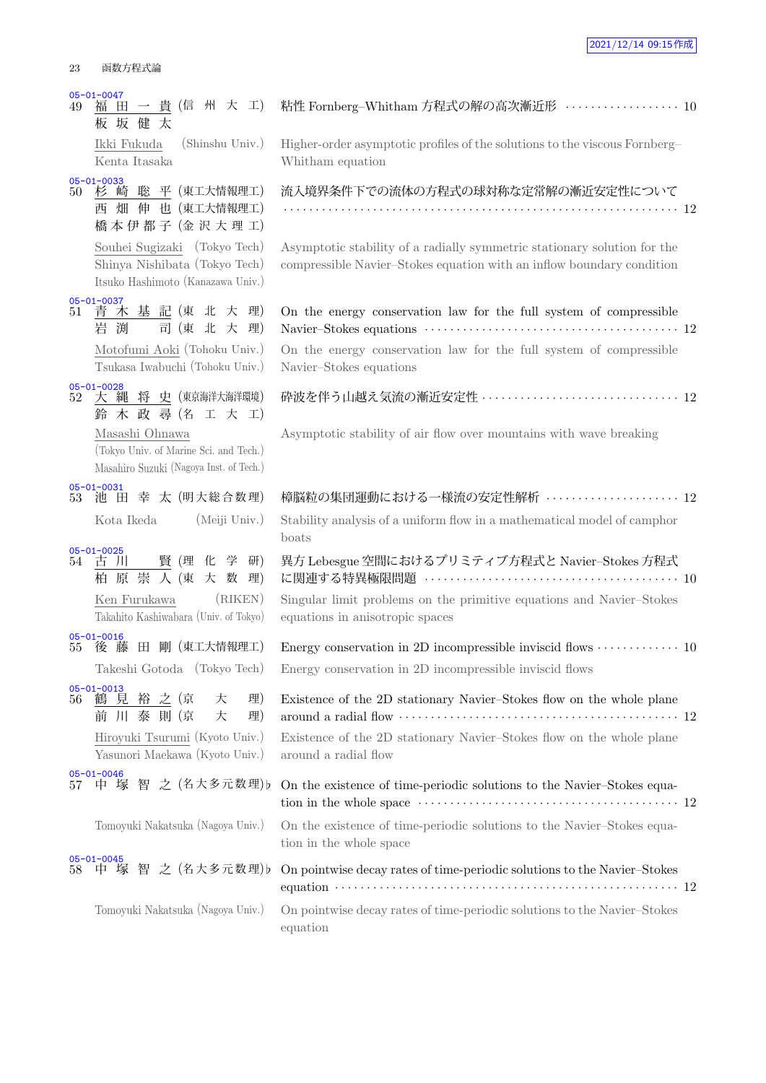23 函数方程式論 05-01-0047 49 福 田 一 貴 (信 州 大 工) 板 坂 健 太 Ikki Fukuda (Shinshu Univ.) Kenta Itasaka <u>05-01-0033</u><br>50 杉 崎 聡 平(東工大情報理工) 西 畑 伸 也 (東工大情報理工) 橋本伊都子 (金沢大理工) Souhei Sugizaki (Tokyo Tech) Shinya Nishibata (Tokyo Tech) Itsuko Hashimoto (Kanazawa Univ.) 05-01-0037<br>51 青 木 基 記 (東 北 大 理) 岩 渕 司 (東 北 大 理) Motofumi Aoki (Tohoku Univ.) Tsukasa Iwabuchi (Tohoku Univ.) 05-01-0028 52 大 縄 将 史 (東京海洋大海洋環境) 鈴 木 政 尋 (名 工 大 工) Masashi Ohnawa (Tokyo Univ. of Marine Sci. and Tech.) Masahiro Suzuki (Nagoya Inst. of Tech.) 05-01-0031 53 池 田 幸 太 (明大総合数理)  $05-01-0025$ <br> $54 \quad \underline{\text{+}}$  ) 賢 (理 化 学 研) 柏 原 崇 人 (東 大 数 理) Ken Furukawa (RIKEN) Takahito Kashiwabara (Univ. of Tokyo) 05-01-0016<br>55 後 藤 田 剛 (東工大情報理工) Takeshi Gotoda (Tokyo Tech) <u>05-01-0013</u><br>56 鶴 見 裕 之(京 大 理) 前 川 泰 則 (京 大 理) Hiroyuki Tsurumi (Kyoto Univ.) Yasunori Maekawa (Kyoto Univ.) Tomoyuki Nakatsuka (Nagoya Univ.) 05-01-0045<br>58 中 塚

equation

| 05-01-00 <del>4</del> 7<br>福 田 一 貴 (信 州 大 工)<br>49<br>板坂健太                                          | 粘性 Fornberg-Whitham 方程式の解の高次漸近形 ·················· 10                                                                                                                                                                                |  |
|-----------------------------------------------------------------------------------------------------|--------------------------------------------------------------------------------------------------------------------------------------------------------------------------------------------------------------------------------------|--|
| Ikki Fukuda<br>(Shinshu Univ.)<br>Kenta Itasaka                                                     | Higher-order asymptotic profiles of the solutions to the viscous Fornberg-<br>Whitham equation                                                                                                                                       |  |
| $05 - 01 - 0033$<br>杉 崎 聡 平 (東工大情報理工)<br>50<br>西 畑 伸 也 (東工大情報理工)<br>橋本伊都子 (金沢大理工)                   | 流入境界条件下での流体の方程式の球対称な定常解の漸近安定性について                                                                                                                                                                                                    |  |
| Souhei Sugizaki (Tokyo Tech)<br>Shinya Nishibata (Tokyo Tech)<br>Itsuko Hashimoto (Kanazawa Univ.)  | Asymptotic stability of a radially symmetric stationary solution for the<br>compressible Navier-Stokes equation with an inflow boundary condition                                                                                    |  |
| $05 - 01 - 0037$<br>青木基記(東北大理)<br>51<br>岩渕<br>司 (東 北 大 理)                                           | On the energy conservation law for the full system of compressible                                                                                                                                                                   |  |
| Motofumi Aoki (Tohoku Univ.)<br>Tsukasa Iwabuchi (Tohoku Univ.)                                     | On the energy conservation law for the full system of compressible<br>Navier-Stokes equations                                                                                                                                        |  |
| $05 - 01 - 0028$<br>大 縄 将 史 (東京海洋大海洋環境)<br>52<br>鈴 木 政 尋 (名 工 大 工)                                  | 砕波を伴う山越え気流の漸近安定性  12                                                                                                                                                                                                                 |  |
| Masashi Ohnawa<br>(Tokyo Univ. of Marine Sci. and Tech.)<br>Masahiro Suzuki (Nagoya Inst. of Tech.) | Asymptotic stability of air flow over mountains with wave breaking                                                                                                                                                                   |  |
| 05-01-0031<br>池 田 幸 太 (明大総合数理)<br>53                                                                | 樟脳粒の集団運動における一様流の安定性解析  12                                                                                                                                                                                                            |  |
| (Meiji Univ.)<br>Kota Ikeda                                                                         | Stability analysis of a uniform flow in a mathematical model of camphor<br>boats                                                                                                                                                     |  |
| $05 - 01 - 0025$<br>賢 (理 化 学 研)<br>54 古 川<br>柏原崇人(東大数理)                                             | 異方 Lebesgue 空間におけるプリミティブ方程式と Navier–Stokes 方程式<br>に関連する特異極限問題 …………………………………………… 10                                                                                                                                                   |  |
| (RIKEN)<br>Ken Furukawa<br>Takahito Kashiwabara (Univ. of Tokyo)                                    | Singular limit problems on the primitive equations and Navier-Stokes<br>equations in anisotropic spaces                                                                                                                              |  |
| $05 - 01 - 0016$<br>後藤田剛 (東工大情報理工)<br>55                                                            | Energy conservation in 2D incompressible inviscid flows $\cdots \cdots \cdots \cdots 10$                                                                                                                                             |  |
| Takeshi Gotoda (Tokyo Tech)                                                                         | Energy conservation in 2D incompressible inviscid flows                                                                                                                                                                              |  |
| 05-01-0013<br>理)<br>鶴 見 裕 之 (京<br>56<br>大<br>前 川 泰 則 (京<br>大<br>理)                                  | Existence of the 2D stationary Navier-Stokes flow on the whole plane                                                                                                                                                                 |  |
| Hiroyuki Tsurumi (Kyoto Univ.)<br>Yasunori Maekawa (Kyoto Univ.)                                    | Existence of the 2D stationary Navier-Stokes flow on the whole plane<br>around a radial flow                                                                                                                                         |  |
| 05-01-0046<br>中 塚 智 之 (名大多元数理) b<br>57                                                              | On the existence of time-periodic solutions to the Navier-Stokes equa-                                                                                                                                                               |  |
| Tomoyuki Nakatsuka (Nagoya Univ.)                                                                   | On the existence of time-periodic solutions to the Navier-Stokes equa-<br>tion in the whole space                                                                                                                                    |  |
| 05-01-0045<br>中 塚 智 之 (名大多元数理)b<br>58                                                               | On pointwise decay rates of time-periodic solutions to the Navier-Stokes<br>equation $\cdots$ $\cdots$ $\cdots$ $\cdots$ $\cdots$ $\cdots$ $\cdots$ $\cdots$ $\cdots$ $\cdots$ $\cdots$ $\cdots$ $\cdots$ $\cdots$ $\cdots$ $\cdots$ |  |
| Tomoyuki Nakatsuka (Nagoya Univ.)                                                                   | On pointwise decay rates of time-periodic solutions to the Navier-Stokes                                                                                                                                                             |  |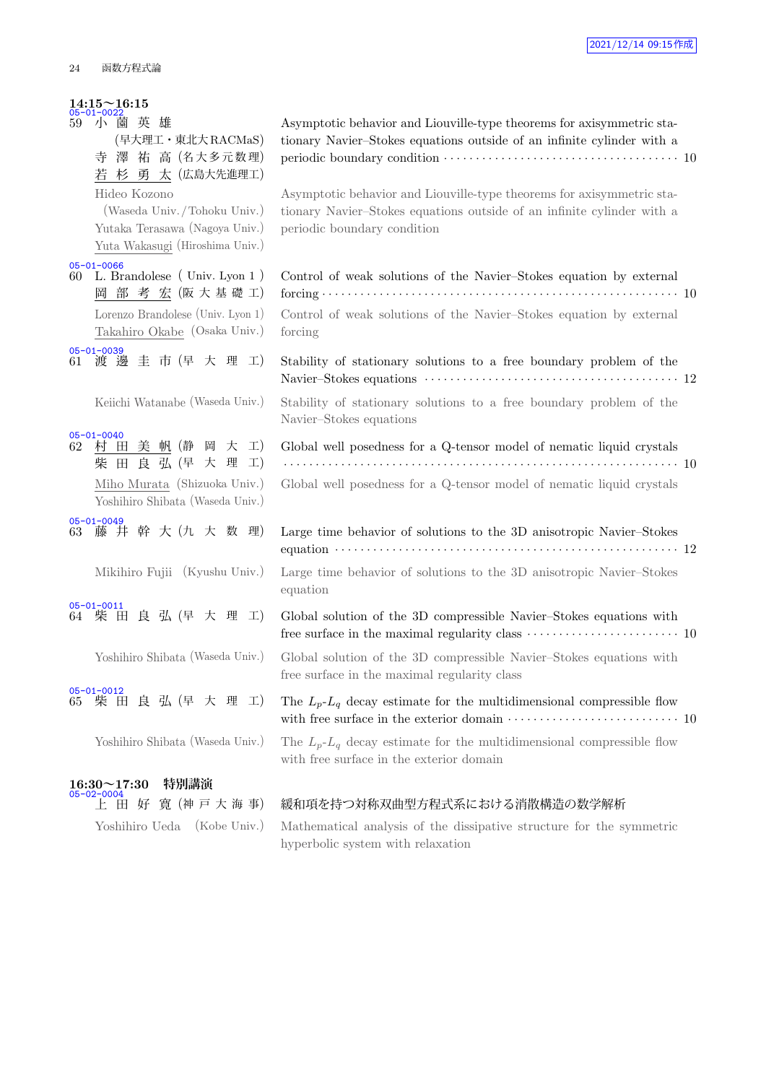## **14:15~16:15** 05-01-0022

| 05-01-0022             |               | 小薗英雄         |  |                                    |  |  |
|------------------------|---------------|--------------|--|------------------------------------|--|--|
| 59                     |               |              |  | (早大理工·東北大RACMaS)                   |  |  |
|                        |               |              |  | 寺 澤 祐 高 (名大多元数理)                   |  |  |
|                        |               |              |  | 若杉勇太(広島大先進理工)                      |  |  |
|                        |               | Hideo Kozono |  |                                    |  |  |
|                        |               |              |  | (Waseda Univ./Tohoku Univ.)        |  |  |
|                        |               |              |  | Yutaka Terasawa (Nagoya Univ.)     |  |  |
|                        |               |              |  | Yuta Wakasugi (Hiroshima Univ.)    |  |  |
| $05 - 01 - 0066$       |               |              |  |                                    |  |  |
| 60                     |               |              |  | L. Brandolese (Univ. Lyon 1)       |  |  |
|                        |               |              |  | 岡部考宏(阪大基礎工)                        |  |  |
|                        |               |              |  | Lorenzo Brandolese (Univ. Lyon 1)  |  |  |
|                        |               |              |  | Takahiro Okabe (Osaka Univ.)       |  |  |
|                        |               |              |  |                                    |  |  |
|                        |               |              |  | 05-01-0039<br>61 渡 邊 圭 市 (早 大 理 工) |  |  |
|                        |               |              |  |                                    |  |  |
|                        |               |              |  | Keiichi Watanabe (Waseda Univ.)    |  |  |
|                        |               |              |  |                                    |  |  |
| $05 - 01 - 0040$<br>62 | 村             |              |  | 田 美 帆 (静 岡 大 工)                    |  |  |
|                        | 柴             |              |  | 田良弘(早大理工)                          |  |  |
|                        |               |              |  | Miho Murata (Shizuoka Univ.)       |  |  |
|                        |               |              |  | Yoshihiro Shibata (Waseda Univ.)   |  |  |
| $05 - 01 - 0049$       |               |              |  |                                    |  |  |
|                        |               |              |  | 63 藤井幹大(九大数理)                      |  |  |
|                        |               |              |  |                                    |  |  |
|                        |               |              |  | Mikihiro Fujii (Kyushu Univ.)      |  |  |
|                        |               |              |  |                                    |  |  |
| $05 - 01 - 0011$       |               |              |  | 64 柴田良弘(早大理工)                      |  |  |
|                        |               |              |  |                                    |  |  |
|                        |               |              |  |                                    |  |  |
|                        |               |              |  | Yoshihiro Shibata (Waseda Univ.)   |  |  |
| ne.                    | $\sim$ $\sim$ | 0.010        |  |                                    |  |  |

| Yoshihiro Shibata (Waseda Univ.) |  |  |  |
|----------------------------------|--|--|--|
|----------------------------------|--|--|--|

## **16:30~17:30 特別講演** 05-02-0004

|  |  | 上田好寬伸戸大海                       |  |
|--|--|--------------------------------|--|
|  |  | -- - - - - - - <i>(--</i> - -- |  |

| 59 | $05 - 01 - 0022$<br>英雄<br>小<br>薗<br>(早大理工・東北大 RACMaS)<br>寺 澤 祐 高 (名大多元数理)<br>若 杉 勇 太 (広島大先進理工)                   | Asymptotic behavior and Liouville-type theorems for axisymmetric sta-<br>tionary Navier-Stokes equations outside of an infinite cylinder with a                                                                                  |
|----|------------------------------------------------------------------------------------------------------------------|----------------------------------------------------------------------------------------------------------------------------------------------------------------------------------------------------------------------------------|
|    | Hideo Kozono<br>(Waseda Univ./Tohoku Univ.)<br>Yutaka Terasawa (Nagoya Univ.)<br>Yuta Wakasugi (Hiroshima Univ.) | Asymptotic behavior and Liouville-type theorems for axisymmetric sta-<br>tionary Navier-Stokes equations outside of an infinite cylinder with a<br>periodic boundary condition                                                   |
|    | $05 - 01 - 0066$<br>60 L. Brandolese (Univ. Lyon 1)<br>岡部考宏(阪大基礎工)                                               | Control of weak solutions of the Navier-Stokes equation by external                                                                                                                                                              |
|    | Lorenzo Brandolese (Univ. Lyon 1)<br>Takahiro Okabe (Osaka Univ.)                                                | Control of weak solutions of the Navier-Stokes equation by external<br>forcing                                                                                                                                                   |
|    | 05-01-0039<br>61 渡 邊 圭 市 (早 大 理 工)                                                                               | Stability of stationary solutions to a free boundary problem of the                                                                                                                                                              |
|    | Keiichi Watanabe (Waseda Univ.)                                                                                  | Stability of stationary solutions to a free boundary problem of the<br>Navier-Stokes equations                                                                                                                                   |
|    | $05 - 01 - 0040$<br>62 村 田 美 帆 (静 岡 大 工)<br>柴田良弘(早大理工)                                                           | Global well posedness for a Q-tensor model of nematic liquid crystals                                                                                                                                                            |
|    | Miho Murata (Shizuoka Univ.)<br>Yoshihiro Shibata (Waseda Univ.)                                                 | Global well posedness for a Q-tensor model of nematic liquid crystals                                                                                                                                                            |
|    | $05 - 01 - 0049$<br>63 藤 井 幹 大 (九 大 数 理)                                                                         | Large time behavior of solutions to the 3D anisotropic Navier-Stokes<br>equation $\cdots$ $\cdots$ $\cdots$ $\cdots$ $\cdots$ $\cdots$ $\cdots$ $\cdots$ $\cdots$ $\cdots$ $\cdots$ $\cdots$ $\cdots$ $\cdots$ $\cdots$ $\cdots$ |
|    | Mikihiro Fujii (Kyushu Univ.)                                                                                    | Large time behavior of solutions to the 3D anisotropic Navier-Stokes<br>equation                                                                                                                                                 |
|    | $05 - 01 - 0011$<br>64 柴 田 良 弘 (早 大 理 工)                                                                         | Global solution of the 3D compressible Navier-Stokes equations with<br>free surface in the maximal regularity class $\dots\dots\dots\dots\dots\dots\dots\dots\dots$ 10                                                           |
|    | Yoshihiro Shibata (Waseda Univ.)                                                                                 | Global solution of the 3D compressible Navier-Stokes equations with<br>free surface in the maximal regularity class                                                                                                              |
|    | 05-01-0012<br>良 弘 (早 大 理 工)<br>65 柴 田                                                                            | The $L_p$ - $L_q$ decay estimate for the multidimensional compressible flow                                                                                                                                                      |
|    | Yoshihiro Shibata (Waseda Univ.)                                                                                 | The $L_p$ - $L_q$ decay estimate for the multidimensional compressible flow<br>with free surface in the exterior domain                                                                                                          |
|    | 特別講演<br>$16:30\negthinspace\negthinspace\negthinspace\negthinspace\negthinspace 17:30\n$                         |                                                                                                                                                                                                                                  |
|    | 寛 (神戸大海事)<br>上田好                                                                                                 | 緩和項を持つ対称双曲型方程式系における消散構造の数学解析                                                                                                                                                                                                     |

Yoshihiro Ueda (Kobe Univ.) Mathematical analysis of the dissipative structure for the symmetric hyperbolic system with relaxation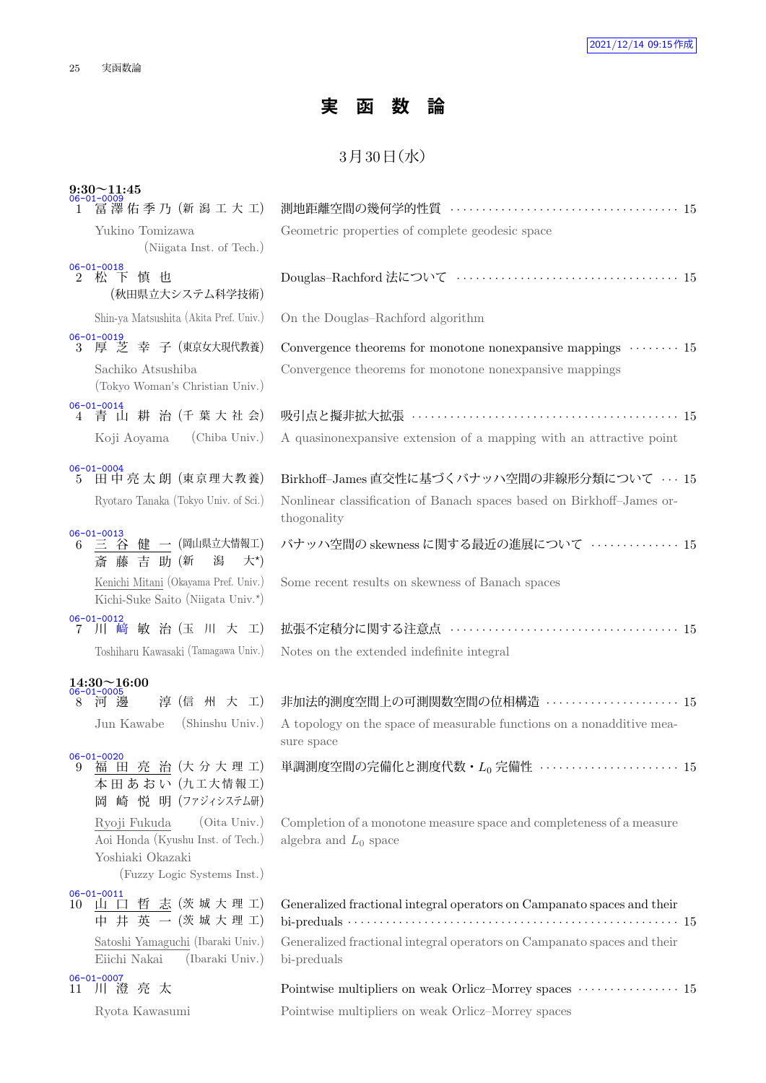## **実 函 数 論**

## $3$ 月 $30$ 日 $($ 水 $)$

|                                      | $9:30 - 11:45$                                                                                                       |                                                                                                                                                                                                                                                          |
|--------------------------------------|----------------------------------------------------------------------------------------------------------------------|----------------------------------------------------------------------------------------------------------------------------------------------------------------------------------------------------------------------------------------------------------|
|                                      | 冨澤佑季乃 (新潟工大工)                                                                                                        |                                                                                                                                                                                                                                                          |
|                                      | Yukino Tomizawa<br>(Niigata Inst. of Tech.)                                                                          | Geometric properties of complete geodesic space                                                                                                                                                                                                          |
| $06 - 01 - 0018$<br>$\mathfrak{D}^-$ | 松下慎也<br>(秋田県立大システム科学技術)                                                                                              |                                                                                                                                                                                                                                                          |
|                                      | Shin-ya Matsushita (Akita Pref. Univ.)                                                                               | On the Douglas-Rachford algorithm                                                                                                                                                                                                                        |
| $06 - 01 - 0019$                     | 3 厚 芝 幸 子 (東京女大現代教養)                                                                                                 | Convergence theorems for monotone nonexpansive mappings $\cdots$ 15                                                                                                                                                                                      |
|                                      | Sachiko Atsushiba<br>(Tokyo Woman's Christian Univ.)                                                                 | Convergence theorems for monotone nonexpansive mappings                                                                                                                                                                                                  |
| $06 - 01 - 0014$                     | 4 青山耕治(千葉大社会)                                                                                                        | 吸引点と擬非拡大拡張 ……………………………………………… 15                                                                                                                                                                                                                         |
|                                      | (Chiba Univ.)<br>Koji Aoyama                                                                                         | A quasinonexpansive extension of a mapping with an attractive point                                                                                                                                                                                      |
| $06 - 01 - 0004$<br>5.               | 田中亮太朗 (東京理大教養)<br>Ryotaro Tanaka (Tokyo Univ. of Sci.)                                                               | Birkhoff-James 直交性に基づくバナッハ空間の非線形分類について  15<br>Nonlinear classification of Banach spaces based on Birkhoff-James or-<br>thogonality                                                                                                                       |
|                                      | 06-01-0013<br>6 三 谷 健 一 (岡山県立大情報工)<br>斎藤吉助(新<br>潟<br>$\star$ *)                                                      | バナッハ空間の skewness に関する最近の進展について ·············· 15                                                                                                                                                                                                         |
|                                      | Kenichi Mitani (Okayama Pref. Univ.)<br>Kichi-Suke Saito (Niigata Univ.*)                                            | Some recent results on skewness of Banach spaces                                                                                                                                                                                                         |
| 7                                    | $06 - 01 - 0012$<br>川 﨑 敏 治 (玉 川 大 工)                                                                                |                                                                                                                                                                                                                                                          |
|                                      | Toshiharu Kawasaki (Tamagawa Univ.)                                                                                  | Notes on the extended indefinite integral                                                                                                                                                                                                                |
|                                      | $14:30\!\!\simeq\!\!16:00$                                                                                           |                                                                                                                                                                                                                                                          |
| 8                                    | -0005<br>淳 (信 州 大 工)<br>澷                                                                                            | 非加法的測度空間上の可測関数空間の位相構造  15                                                                                                                                                                                                                                |
|                                      | Jun Kawabe<br>(Shinshu Univ.)                                                                                        | A topology on the space of measurable functions on a nonadditive mea-<br>sure space                                                                                                                                                                      |
| $06 - 01 - 0020$<br>9                | 福田亮治(大分大理工)<br>本田あおい (九工大情報工)<br>岡 崎 悦 明 (ファジィシステム研)                                                                 | 単調測度空間の完備化と測度代数・ $L_0$ 完備性 ······················ 15                                                                                                                                                                                                     |
|                                      | (Oita Univ.)<br>Ryoji Fukuda<br>Aoi Honda (Kyushu Inst. of Tech.)<br>Yoshiaki Okazaki<br>(Fuzzy Logic Systems Inst.) | Completion of a monotone measure space and completeness of a measure<br>algebra and $L_0$ space                                                                                                                                                          |
| $06 - 01 - 0011$<br>10               | 山 口 哲 志 (茨城大理工)<br>中井英一(茨城大理工)                                                                                       | Generalized fractional integral operators on Campanato spaces and their<br>bi-preduals $\cdots$ $\cdots$ $\cdots$ $\cdots$ $\cdots$ $\cdots$ $\cdots$ $\cdots$ $\cdots$ $\cdots$ $\cdots$ $\cdots$ $\cdots$ $\cdots$ $\cdots$ $\cdots$ $\cdots$ $\cdots$ |
|                                      | Satoshi Yamaguchi (Ibaraki Univ.)<br>Eiichi Nakai<br>(Ibaraki Univ.)                                                 | Generalized fractional integral operators on Campanato spaces and their<br>bi-preduals                                                                                                                                                                   |
| $06 - 01 - 0007$                     | 11 川澄亮太                                                                                                              |                                                                                                                                                                                                                                                          |
|                                      | Ryota Kawasumi                                                                                                       | Pointwise multipliers on weak Orlicz-Morrey spaces                                                                                                                                                                                                       |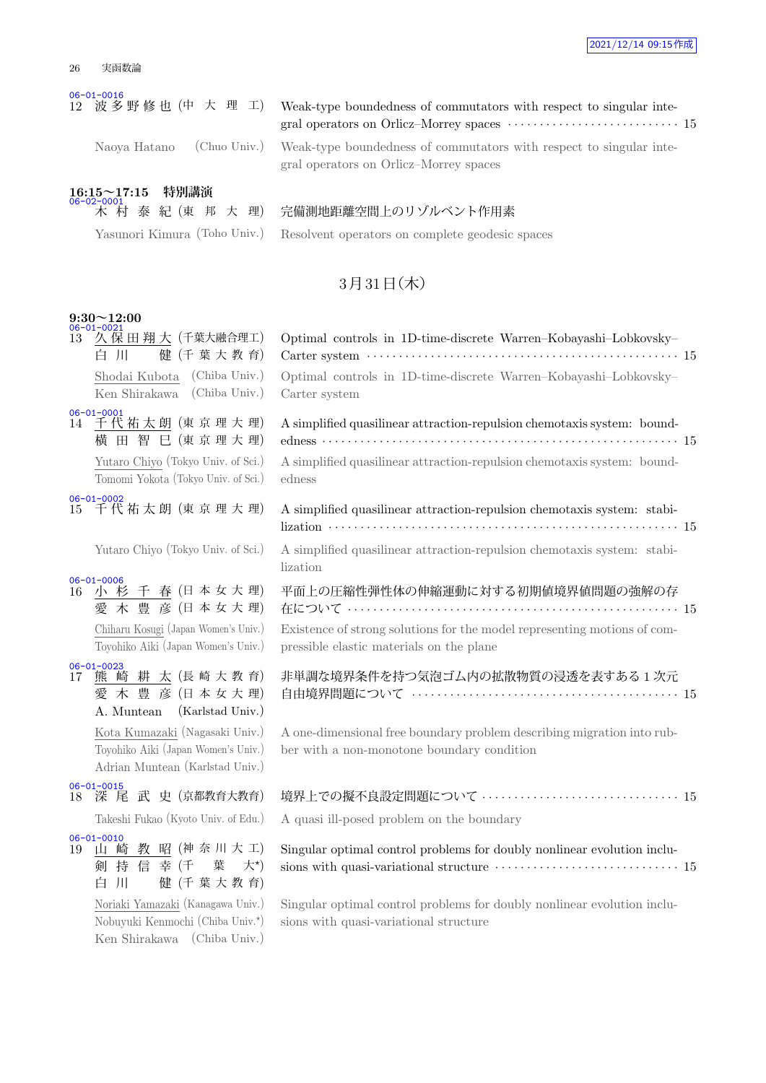| 実函数論 |
|------|
|      |

#### 06-01-0016

Naoya Hatano (Chuo Univ.) Weak-type boundedness of commutators with respect to singular integral operators on Orlicz–Morrey spaces

Weak-type boundedness of commutators with respect to singular integral operators on Orlicz–Morrey spaces *· · · · · · · · · · · · · · · · · · · · · · · · · · ·* 15

### **16:15~17:15 特別講演** - 木 村

木 村 泰 紀 (東 邦 大 理) 完備測地距離空間上のリゾルベント作用素

Yasunori Kimura (Toho Univ.) Resolvent operators on complete geodesic spaces

### $3$ 月 $31$ 日 $($ 木 $)$

### **9:30~12:00**

千 春 (日本女大理) 愛 木 豊 彦 (日本女大理) Chiharu Kosugi (Japan Women's Univ.) Toyohiko Aiki (Japan Women's Univ.) 06-01-0023<br>17 熊 崎 耕 太 (長崎大教育)

愛 木 豊 彦 (日本女大理) A. Muntean (Karlstad Univ.) Kota Kumazaki (Nagasaki Univ.) Toyohiko Aiki (Japan Women's Univ.) Adrian Muntean (Karlstad Univ.)

06-01-0015 18 深 尾 武 史 (京都教育大教育)

06-01-0010<br>19 山 崎 教 昭 (神奈川大工) 剣 持 信 幸 (千 葉 大*<sup>⋆</sup>*  $\pm$ \*) 白 川 健 (千 葉 大 教 育) Noriaki Yamazaki (Kanagawa Univ.) Nobuyuki Kenmochi (Chiba Univ.*<sup>⋆</sup>* ) Ken Shirakawa (Chiba Univ.)

| $06 - 01 - 0021$<br>14.00                                                   |                                                                                                                      |  |
|-----------------------------------------------------------------------------|----------------------------------------------------------------------------------------------------------------------|--|
| 13 久 保 田 翔 大(千葉大融合理工)<br>健(千葉大教育)<br>自 川                                    | Optimal controls in 1D-time-discrete Warren-Kobayashi-Lobkovsky-                                                     |  |
| Shodai Kubota (Chiba Univ.)<br>Ken Shirakawa (Chiba Univ.)                  | Optimal controls in 1D-time-discrete Warren-Kobayashi-Lobkovsky-<br>Carter system                                    |  |
| $06 - 01 - 0001$<br>14 千代祐太朗 (東京理大理)<br>横田智巳(東京理大理)                         | A simplified quasilinear attraction-repulsion chemotaxis system: bound-<br>edness …………………………………………………………… 15         |  |
| Yutaro Chiyo (Tokyo Univ. of Sci.)<br>Tomomi Yokota (Tokyo Univ. of Sci.)   | A simplified quasilinear attraction-repulsion chemotaxis system: bound-<br>edness                                    |  |
| $06 - 01 - 0002$<br>15 千代祐太朗 (東京理大理)                                        | A simplified quasilinear attraction-repulsion chemotaxis system: stabi-                                              |  |
| Yutaro Chiyo (Tokyo Univ. of Sci.)                                          | A simplified quasilinear attraction-repulsion chemotaxis system: stabi-<br>lization                                  |  |
| $06 - 01 - 0006$<br>16 小杉千春(日本女大理)<br>愛木豊彦(日本女大理)                           | 平面上の圧縮性弾性体の伸縮運動に対する初期値境界値問題の強解の存                                                                                     |  |
| Chiharu Kosugi (Japan Women's Univ.)<br>Toyohiko Aiki (Japan Women's Univ.) | Existence of strong solutions for the model representing motions of com-<br>pressible elastic materials on the plane |  |
| $06 - 01 - 0023$                                                            |                                                                                                                      |  |

非単調な境界条件を持つ気泡ゴム内の拡散物質の浸透を表すある 1 次元 自由境界問題について *· · · · · · · · · · · · · · · · · · · · · · · · · · · · · · · · · · · · · · · · · ·* 15

A one-dimensional free boundary problem describing migration into rubber with a non-monotone boundary condition

| 境界上での擬不良設定問題について  15 |  |
|----------------------|--|
|                      |  |

Takeshi Fukao (Kyoto Univ. of Edu.) A quasi ill-posed problem on the boundary

Singular optimal control problems for doubly nonlinear evolution inclusions with quasi-variational structure  $\cdots \cdots \cdots \cdots \cdots \cdots \cdots \cdots \cdots 15$ 

Singular optimal control problems for doubly nonlinear evolution inclusions with quasi-variational structure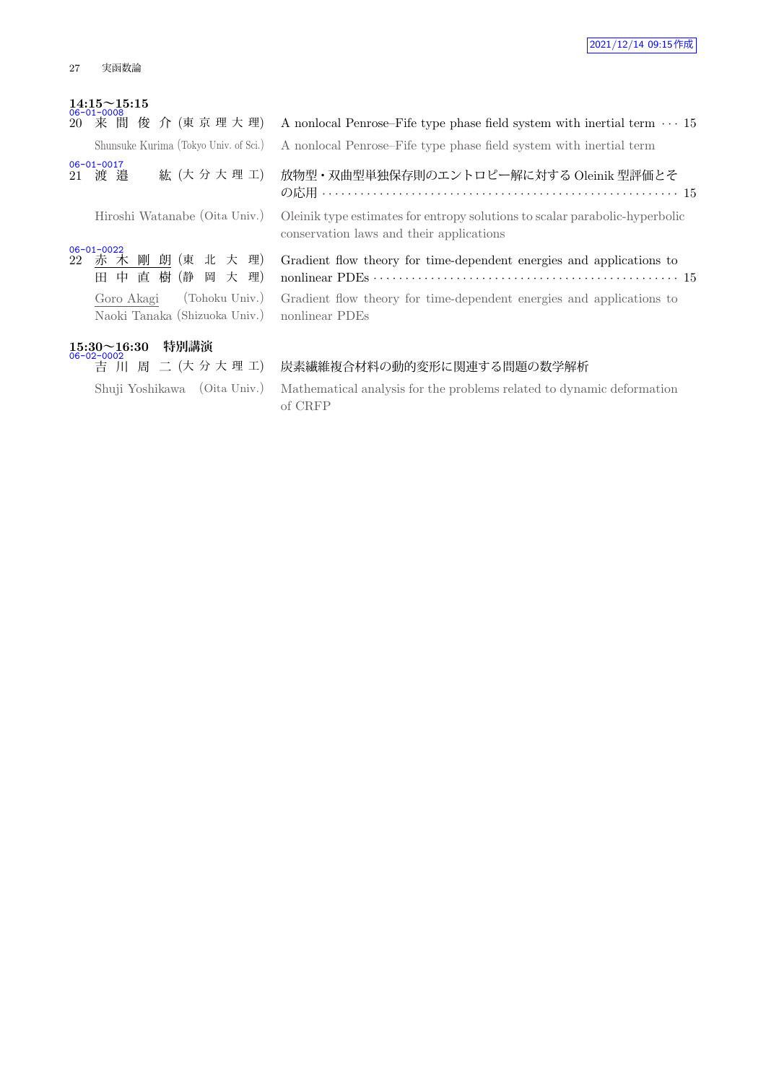## **14:15~15:15** 06-01-0008

|                      |  |  | 20 来 間 俊 介 (東 京 理 大 理)                |
|----------------------|--|--|---------------------------------------|
|                      |  |  | Shunsuke Kurima (Tokyo Univ. of Sci.) |
| 06-01-0017<br>21 渡 邉 |  |  | 紘(大分大理工)                              |

<u>06-01-0022</u><br>22 赤木剛朗(東北大理) 田 中 直 樹 (静 岡 大 理) Goro Akagi (Tohoku Univ.) Naoki Tanaka (Shizuoka Univ.)

### **15:30~16:30 特別講演** 2-0002<br>2-0002<br>吉 川 周 二 (大分大理工)

A nonlocal Penrose–Fife type phase field system with inertial term  $\cdots$  15 A nonlocal Penrose–Fife type phase field system with inertial term

放物型・双曲型単独保存則のエントロピー解に対する Oleinik 型評価とそ の応用 *· · · · · · · · · · · · · · · · · · · · · · · · · · · · · · · · · · · · · · · · · · · · · · · · · · · · · · · ·* 15

Hiroshi Watanabe (Oita Univ.) Oleinik type estimates for entropy solutions to scalar parabolic-hyperbolic conservation laws and their applications

> Gradient flow theory for time-dependent energies and applications to nonlinear PDEs *· · · · · · · · · · · · · · · · · · · · · · · · · · · · · · · · · · · · · · · · · · · · · · · ·* 15 Gradient flow theory for time-dependent energies and applications to nonlinear PDEs

#### 炭素繊維複合材料の動的変形に関連する問題の数学解析

Shuji Yoshikawa (Oita Univ.) Mathematical analysis for the problems related to dynamic deformation of CRFP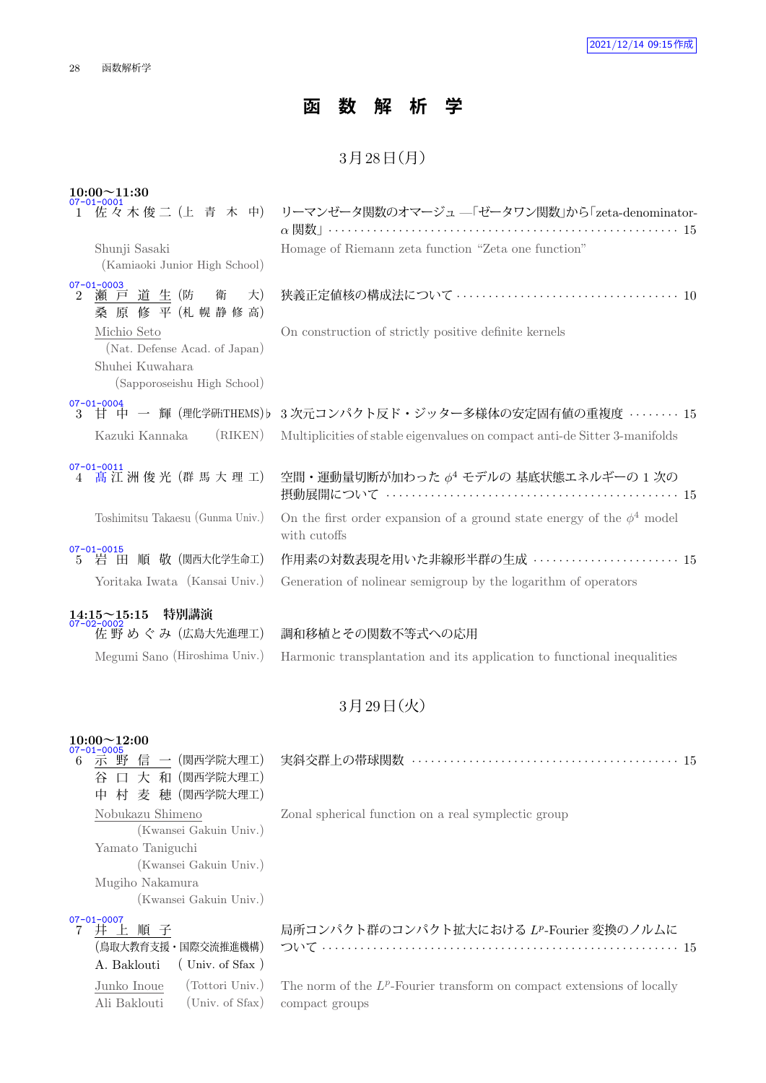## **函 数 解 析 学**

### $3738 \text{ H}$  (月)

| $10:00 \sim 11:30$                                                              |                                                                                                              |
|---------------------------------------------------------------------------------|--------------------------------------------------------------------------------------------------------------|
|                                                                                 | 1 佐々木俊二 (上 青 木 中) リーマンゼータ関数のオマージュ --「ゼータワン関数」から「zeta-denominator-<br>$\alpha$ 関数」……………………………………………………………… 15 |
| Shunji Sasaki<br>(Kamiaoki Junior High School)                                  | Homage of Riemann zeta function "Zeta one function"                                                          |
| $07 - 01 - 0003$<br>瀬 戸 道 生 (防 衛<br>大)<br>$\mathfrak{D}$<br>桑 原 修 平 (札 幌 静 修 高) |                                                                                                              |
| Michio Seto<br>(Nat. Defense Acad. of Japan)                                    | On construction of strictly positive definite kernels                                                        |
| Shuhei Kuwahara<br>(Sapporoseishu High School)                                  |                                                                                                              |
| $07 - 01 - 0004$                                                                | 3 甘 中 一 輝 (理化学研THEMS)b 3次元コンパクト反ド・ジッター多様体の安定固有値の重複度 15                                                       |
| (RIKEN)<br>Kazuki Kannaka                                                       | Multiplicities of stable eigenvalues on compact anti-de Sitter 3-manifolds                                   |
| $07 - 01 - 0011$<br>高江洲俊光 (群馬大理工)                                               | 空間・運動量切断が加わった $\phi^4$ モデルの 基底状態エネルギーの 1 次の                                                                  |
| Toshimitsu Takaesu (Gunma Univ.)                                                | On the first order expansion of a ground state energy of the $\phi^4$ model<br>with cutoffs                  |
| 07-01-0015<br>5 岩 田 順 敬 (関西大化学生命工)                                              | 作用素の対数表現を用いた非線形半群の生成 ······················· 15                                                              |
| Yoritaka Iwata (Kansai Univ.)                                                   | Generation of nolinear semigroup by the logarithm of operators                                               |
| 特別講演<br>$14:15 \sim 15:15$<br>07-02-0002<br>佐野めぐみ (広島大先進理工)                     | 調和移植とその関数不等式への応用                                                                                             |

## 3月29日 (火)

Megumi Sano (Hiroshima Univ.) Harmonic transplantation and its application to functional inequalities

## **10:00~12:00** 07-01-0005

Junko Inoue (Tottori Univ.) Ali Baklouti (Univ. of Sfax)

| $07 - 01 - 0005$<br>囗 大 和(関西学院大理工)<br>谷<br>中 村 麦 穂 (関西学院大理工)                                                                |                                                     |
|-----------------------------------------------------------------------------------------------------------------------------|-----------------------------------------------------|
| Nobukazu Shimeno<br>(Kwansei Gakuin Univ.)<br>Yamato Taniguchi<br>(Kwansei Gakuin Univ.)<br>Mugiho Nakamura                 | Zonal spherical function on a real symplectic group |
| (Kwansei Gakuin Univ.)<br>$07 - 01 - 0007$<br>井上順子<br>(鳥取大教育支援・国際交流推進機構)<br>$\left($ Univ. of Sfax $\right)$<br>A. Baklouti | 局所コンパクト群のコンパクト拡大における LP-Fourier 変換のノルムに             |

The norm of the  $L^p$ -Fourier transform on compact extensions of locally compact groups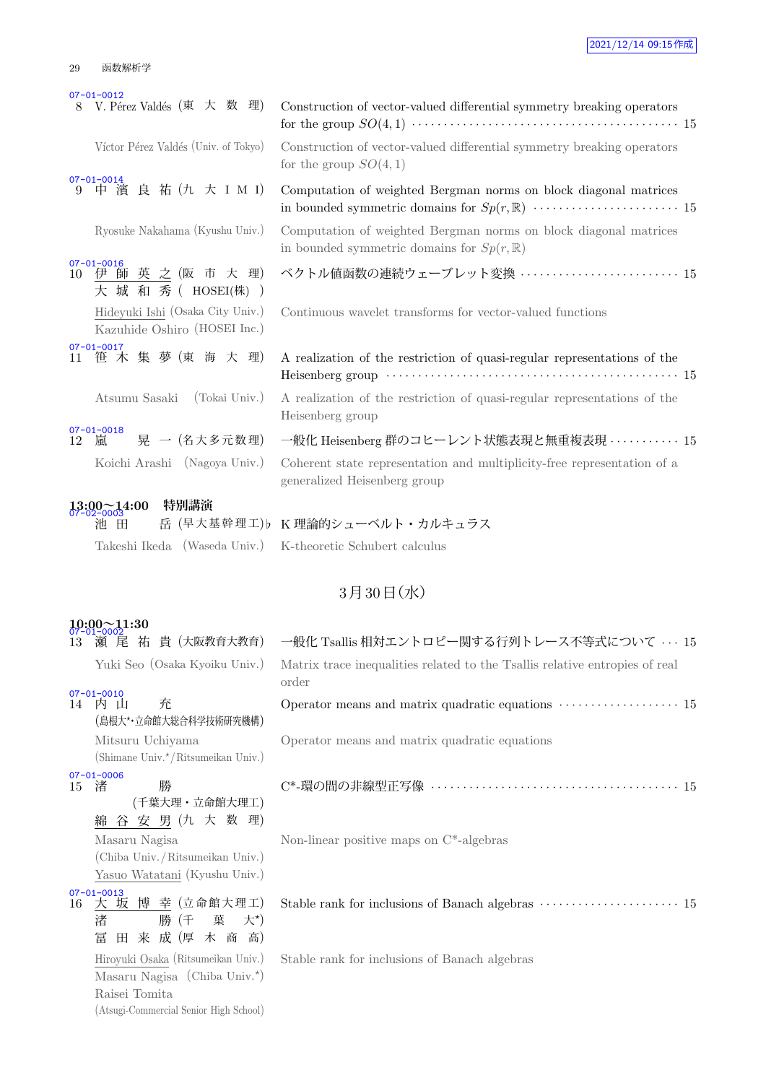### 2021/12/14 09:15作成

#### 29 函数解析学

|    | $07 - 01 - 0012$                                                 |                                                                                                                          |
|----|------------------------------------------------------------------|--------------------------------------------------------------------------------------------------------------------------|
|    | V. Pérez Valdés (東 大 数 理)                                        | Construction of vector-valued differential symmetry breaking operators                                                   |
|    | Víctor Pérez Valdés (Univ. of Tokyo)                             | Construction of vector-valued differential symmetry breaking operators<br>for the group $SO(4,1)$                        |
| 9  | $07 - 01 - 0014$<br>中 濱 良 祐 (九 大 I M I)                          | Computation of weighted Bergman norms on block diagonal matrices                                                         |
|    | Ryosuke Nakahama (Kyushu Univ.)                                  | Computation of weighted Bergman norms on block diagonal matrices<br>in bounded symmetric domains for $Sp(r, \mathbb{R})$ |
| 10 | $07 - 01 - 0016$<br>伊師英之(阪市大理)<br>大 城 和 秀 ( HOSEI(株) )           | ベクトル値函数の連続ウェーブレット変換  15                                                                                                  |
|    | Hideyuki Ishi (Osaka City Univ.)<br>Kazuhide Oshiro (HOSEI Inc.) | Continuous wavelet transforms for vector-valued functions                                                                |
| 11 | $07 - 01 - 0017$<br>笹木集夢(東海大理)                                   | A realization of the restriction of quasi-regular representations of the                                                 |
|    | Atsumu Sasaki (Tokai Univ.)                                      | A realization of the restriction of quasi-regular representations of the<br>Heisenberg group                             |
| 12 | $07 - 01 - 0018$<br>晃 一 (名大多元数理)<br>嵐                            | 一般化 Heisenberg 群のコヒーレント状態表現と無重複表現 ·········· 15                                                                          |
|    | Koichi Arashi (Nagoya Univ.)                                     | Coherent state representation and multiplicity-free representation of a<br>generalized Heisenberg group                  |
|    | 特別講演<br>$13:00 - 14:00$<br>07-02-0003                            |                                                                                                                          |
|    | 池 田                                                              | 岳 (早大基幹理工)b K理論的シューベルト・カルキュラス                                                                                            |
|    | Takeshi Ikeda (Waseda Univ.)                                     | K-theoretic Schubert calculus                                                                                            |
|    |                                                                  | 3月30日(水)                                                                                                                 |
|    |                                                                  |                                                                                                                          |
| 13 | $10:00 - 11:30$<br>尾 祐 貴 (大阪教育大教育)<br>瀬                          | 一般化 Tsallis 相対エントロピー関する行列トレース不等式について … 15                                                                                |
|    | Yuki Seo (Osaka Kyoiku Univ.)                                    | Matrix trace inequalities related to the Tsallis relative entropies of real<br>order                                     |

07-01-0010<br>14 内 山 充 (島根大*⋆*・立命館大総合科学技術研究機構) Mitsuru Uchiyama

(Shimane Univ.*<sup>⋆</sup>*/Ritsumeikan Univ.) 07-01-0006

|    | <u>ul-ni-nnno</u> |   |
|----|-------------------|---|
| 15 | 渚                 | 勝 |

|  |               | (千葉大理・立命館大理工)                   |  |  |
|--|---------------|---------------------------------|--|--|
|  |               | 綿 谷 安 男 (九 大 数 理)               |  |  |
|  | Masaru Nagisa |                                 |  |  |
|  |               | (Chiba Univ./Ritsumeikan Univ.) |  |  |
|  |               | Yasuo Watatani (Kyushu Univ.)   |  |  |

| $07 - 01 - 0013$ |  | 16 大坂博幸(立命館大理工) |  |  |
|------------------|--|-----------------|--|--|
| 渚                |  | 勝 (千 葉 大*)      |  |  |
|                  |  | 冨田来成(厚木商高)      |  |  |

Hiroyuki Osaka (Ritsumeikan Univ.) Masaru Nagisa (Chiba Univ.*<sup>⋆</sup>* ) Raisei Tomita (Atsugi-Commercial Senior High School)

# order Operator means and matrix quadratic equations  $\cdots$  · · · · · · · · · · · · · 15 Operator means and matrix quadratic equations C\*-環の間の非線型正写像 *· · · · · · · · · · · · · · · · · · · · · · · · · · · · · · · · · · · · · · ·* 15

Non-linear positive maps on C\*-algebras

Stable rank for inclusions of Banach algebras  $\cdots$  · · · · · · · · · · · · · · · · · 15

Stable rank for inclusions of Banach algebras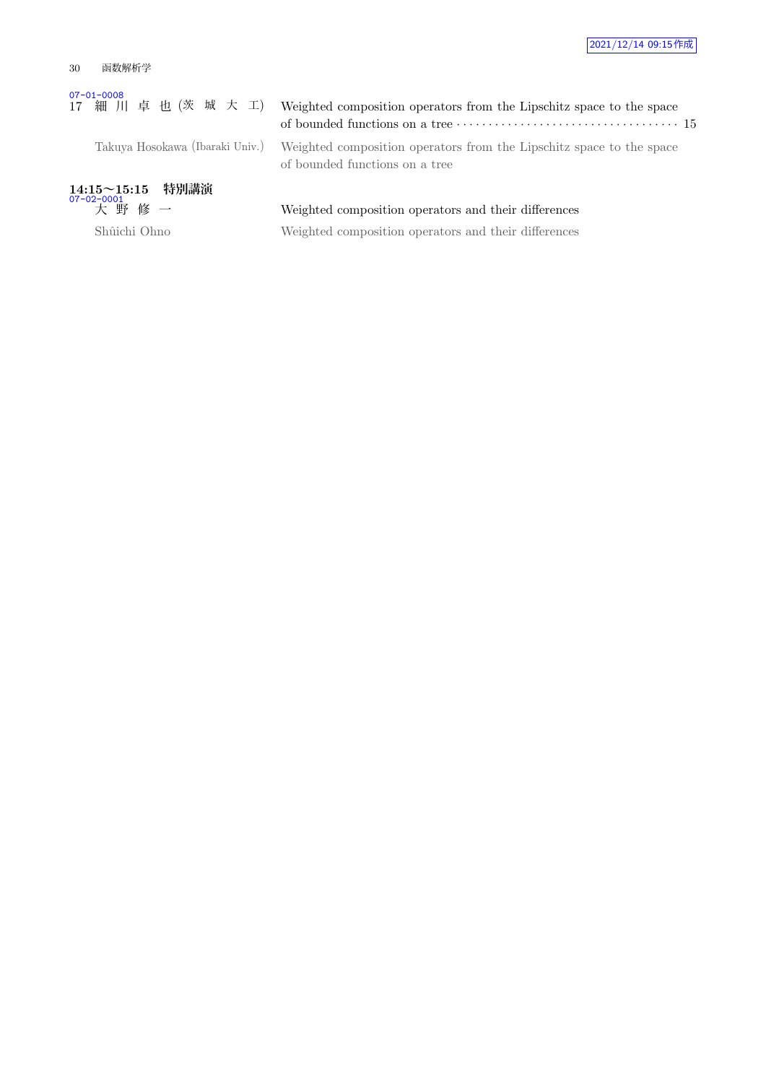#### 30 函数解析学

# 07-01-0008<br>17 細 川 卓 也 (茨 城 大 工) Weighted composition operators from the Lipschitz space to the space

Takuya Hosokawa (Ibaraki Univ.)

| Weighted composition operators from the Lipschitz space to the space |  |
|----------------------------------------------------------------------|--|
| of bounded functions on a tree                                       |  |

**14:15~15:15 特別講演** 07-02-0001

## Weighted composition operators and their differences

Shûichi Ohno Weighted composition operators and their differences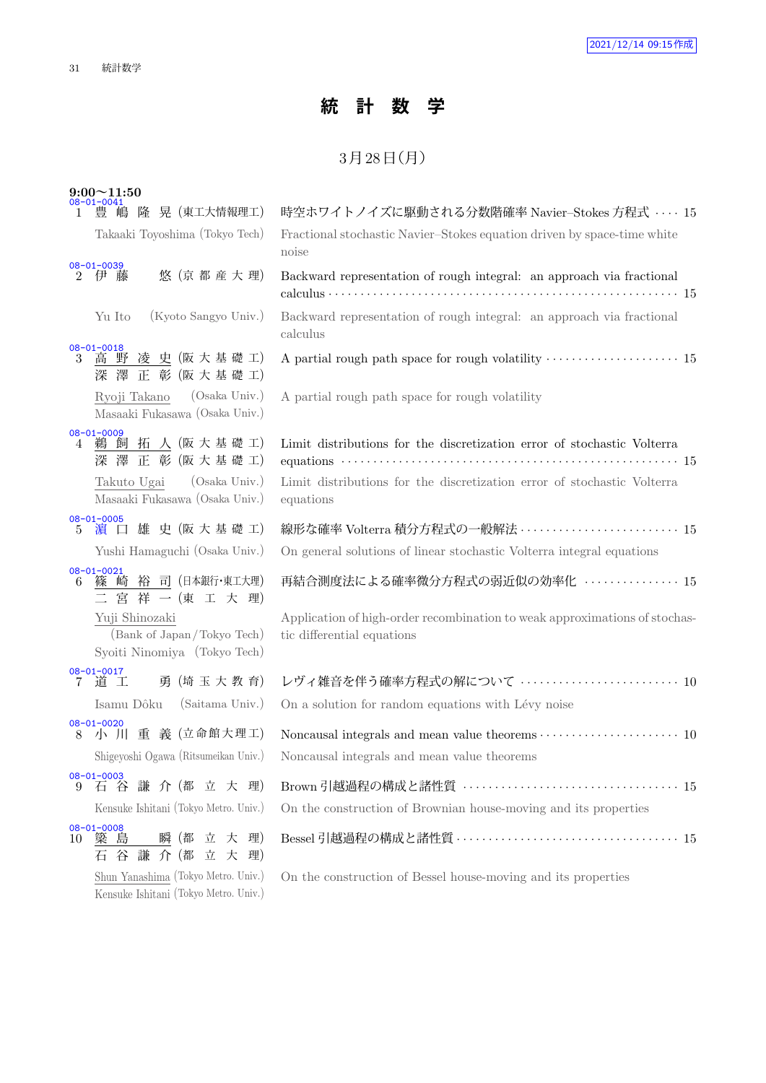## **統 計 数 学**

## $3$ 月 $28$ 日 $(H)$

|    | $9:00 \sim 11:50$<br>08-01-0041                                              |                                                                                                                                                                                                                                                     |
|----|------------------------------------------------------------------------------|-----------------------------------------------------------------------------------------------------------------------------------------------------------------------------------------------------------------------------------------------------|
| 1  | 豊 嶋 隆 晃 (東工大情報理工)                                                            | 時空ホワイトノイズに駆動される分数階確率 Navier-Stokes 方程式 ···· 15                                                                                                                                                                                                      |
|    | Takaaki Toyoshima (Tokyo Tech)                                               | Fractional stochastic Navier-Stokes equation driven by space-time white<br>noise                                                                                                                                                                    |
|    | $08 - 01 - 0039$<br>悠 (京都産大理)<br>2 伊 藤                                       | Backward representation of rough integral: an approach via fractional<br>calculus $\cdots$ $\cdots$ $\cdots$ $\cdots$ $\cdots$ $\cdots$ $\cdots$ $\cdots$ $\cdots$ $\cdots$ $\cdots$ $\cdots$ $\cdots$ $\cdots$ $\cdots$ $\cdots$ $\cdots$ $\cdots$ |
|    | (Kyoto Sangyo Univ.)<br>Yu Ito                                               | Backward representation of rough integral: an approach via fractional<br>calculus                                                                                                                                                                   |
|    | $08 - 01 - 0018$<br>3 高野凌史(阪大基礎工)<br>深澤正彰 (阪大基礎工)                            | A partial rough path space for rough volatility $\dots\dots\dots\dots\dots\dots\dots\dots$ 15                                                                                                                                                       |
|    | (Osaka Univ.)<br>Ryoji Takano<br>Masaaki Fukasawa (Osaka Univ.)              | A partial rough path space for rough volatility                                                                                                                                                                                                     |
| 4  | $08 - 01 - 0009$<br>鵜 飼 拓 人 (阪大基礎工)<br>深澤正彰 (阪大基礎工)                          | Limit distributions for the discretization error of stochastic Volterra<br>equations $\cdots$ and $\cdots$ and $\cdots$ and $\cdots$ and $\cdots$ and $\cdots$ and $\cdots$ and $\cdots$ and $\cdots$ and $\cdots$                                  |
|    | (Osaka Univ.)<br>Takuto Ugai<br>Masaaki Fukasawa (Osaka Univ.)               | Limit distributions for the discretization error of stochastic Volterra<br>equations                                                                                                                                                                |
|    | $08 - 01 - 0005$<br>5 濵口雄史(阪大基礎工)                                            | 線形な確率 Volterra 積分方程式の一般解法 ························· 15                                                                                                                                                                                              |
|    | Yushi Hamaguchi (Osaka Univ.)                                                | On general solutions of linear stochastic Volterra integral equations                                                                                                                                                                               |
| 6  | $08 - 01 - 0021$<br>篠 崎 裕 司 (日本銀行·東工大理)<br>二宮祥一(東工大理)                        | 再結合測度法による確率微分方程式の弱近似の効率化 ・・・・・・・・・・・・・15                                                                                                                                                                                                            |
|    | Yuji Shinozaki<br>(Bank of Japan/Tokyo Tech)<br>Syoiti Ninomiya (Tokyo Tech) | Application of high-order recombination to weak approximations of stochas-<br>tic differential equations                                                                                                                                            |
|    | $08 - 01 - 0017$<br>7 道 工<br>勇 (埼 玉 大 教 育)                                   | レヴィ雑音を伴う確率方程式の解について …………………………… 10                                                                                                                                                                                                                  |
|    | Isamu Dôku (Saitama Univ.)                                                   | On a solution for random equations with Lévy noise                                                                                                                                                                                                  |
| 8  | $08 - 01 - 0020$<br>小 川 重 義 (立命館大理工)                                         | Noncausal integrals and mean value theorems $\cdots \cdots \cdots \cdots \cdots \cdots \cdots 10$                                                                                                                                                   |
|    | Shigeyoshi Ogawa (Ritsumeikan Univ.)                                         | Noncausal integrals and mean value theorems                                                                                                                                                                                                         |
| 9  | $08 - 01 - 0003$<br>谷 謙 介 (都 立 大 理)<br>有                                     |                                                                                                                                                                                                                                                     |
|    | Kensuke Ishitani (Tokyo Metro. Univ.)                                        | On the construction of Brownian house-moving and its properties                                                                                                                                                                                     |
| 10 | $08 - 01 - 0008$<br>簗<br>島<br>立 大 理)<br>瞬 (都<br>谷謙介(都立大理)<br>石               |                                                                                                                                                                                                                                                     |
|    | Shun Yanashima (Tokyo Metro. Univ.)<br>Kensuke Ishitani (Tokyo Metro. Univ.) | On the construction of Bessel house-moving and its properties                                                                                                                                                                                       |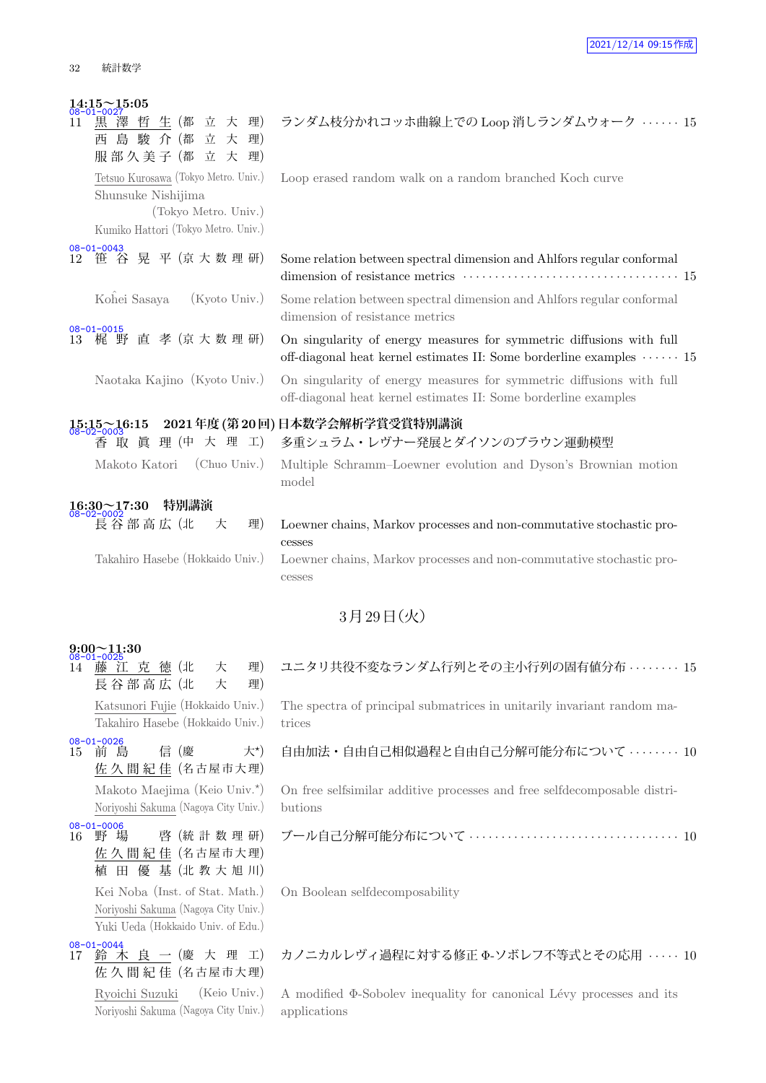| $14:15 \sim 15:05$<br>黒澤<br>生 (都<br>立 大 理)<br>哲<br>11<br>島 駿 介 (都<br>立大<br>理)<br>西<br>服部久美子(都立大理)                         | ランダム枝分かれコッホ曲線上での Loop 消しランダムウォーク ······ 15                                                                                                                 |
|---------------------------------------------------------------------------------------------------------------------------|------------------------------------------------------------------------------------------------------------------------------------------------------------|
| Tetsuo Kurosawa (Tokyo Metro. Univ.)<br>Shunsuke Nishijima<br>(Tokyo Metro. Univ.)<br>Kumiko Hattori (Tokyo Metro. Univ.) | Loop erased random walk on a random branched Koch curve                                                                                                    |
| $08 - 01 - 0043$<br>笹 谷 晃 平 (京大数理研)<br>12                                                                                 | Some relation between spectral dimension and Ahlfors regular conformal                                                                                     |
| Kohei Sasaya<br>$(Kyoto$ Univ.)                                                                                           | Some relation between spectral dimension and Ahlfors regular conformal<br>dimension of resistance metrics                                                  |
| $08 - 01 - 0015$<br>梶 野 直 孝 (京大数理研)<br>13                                                                                 | On singularity of energy measures for symmetric diffusions with full<br>off-diagonal heat kernel estimates II: Some borderline examples $\cdots \cdots$ 15 |
| Naotaka Kajino (Kyoto Univ.)                                                                                              | On singularity of energy measures for symmetric diffusions with full<br>off-diagonal heat kernel estimates II: Some borderline examples                    |
| $15:15 \sim 16:15$<br>08-02-0003                                                                                          | 2021年度 (第20回) 日本数学会解析学賞受賞特別講演                                                                                                                              |
| 香取真理(中大理工)                                                                                                                | 多重シュラム・レヴナー発展とダイソンのブラウン運動模型                                                                                                                                |
| Makoto Katori (Chuo Univ.)                                                                                                | Multiple Schramm-Loewner evolution and Dyson's Brownian motion<br>model                                                                                    |
| 特別講演<br>$\frac{16:30\sim17:30}{08-02-0002}$                                                                               |                                                                                                                                                            |
| 長谷部高広 (北<br>大<br>理)                                                                                                       | Loewner chains, Markov processes and non-commutative stochastic pro-<br>cesses                                                                             |
| Takahiro Hasebe (Hokkaido Univ.)                                                                                          | Loewner chains, Markov processes and non-commutative stochastic pro-<br>cesses                                                                             |
|                                                                                                                           | $3 \frac{1}{2} 29 \frac{1}{2} (\mathcal{K})$                                                                                                               |

## **9:00~11:30** 08-01-0025

14 藤 江 克 徳 (北 大 理) 長谷部高広 (北 大 理) Katsunori Fujie (Hokkaido Univ.) Takahiro Hasebe (Hokkaido Univ.) 08-01-0026 15 前 島 信 (慶 大*<sup>⋆</sup>*  $\pm$ \*) 佐 久 間 紀 佳 (名古屋市大理) Makoto Maejima (Keio Univ.*<sup>⋆</sup>* ) Noriyoshi Sakuma (Nagoya City Univ.) 08-01-0006<br>16 野 場 啓 (統計数理研) 佐 久 間 紀 佳 (名 古 屋 市 大 理) 植 田 優 基 (北 教 大 旭 川) Kei Noba (Inst. of Stat. Math.) Noriyoshi Sakuma (Nagoya City Univ.) Yuki Ueda (Hokkaido Univ. of Edu.) <mark>08-01-0044</mark><br>17 鈴 木 良 一(慶 大 理 工) 佐 久 間 紀 佳 (名古屋市大理)

> Ryoichi Suzuki (Keio Univ.) Noriyoshi Sakuma (Nagoya City Univ.)

### ユニタリ共役不変なランダム行列とその主小行列の固有値分布 *· · · · · · · ·* 15

The spectra of principal submatrices in unitarily invariant random matrices

### 自由加法・自由自己相似過程と自由自己分解可能分布について *· · · · · · · ·* 10

On free selfsimilar additive processes and free selfdecomposable distributions

ブール自己分解可能分布について *· · · · · · · · · · · · · · · · · · · · · · · · · · · · · · · · ·* 10

On Boolean selfdecomposability

カノニカルレヴィ過程に対する修正 Φ-ソボレフ不等式とその応用 *· · · · ·* 10

A modified  $\Phi$ -Sobolev inequality for canonical Lévy processes and its applications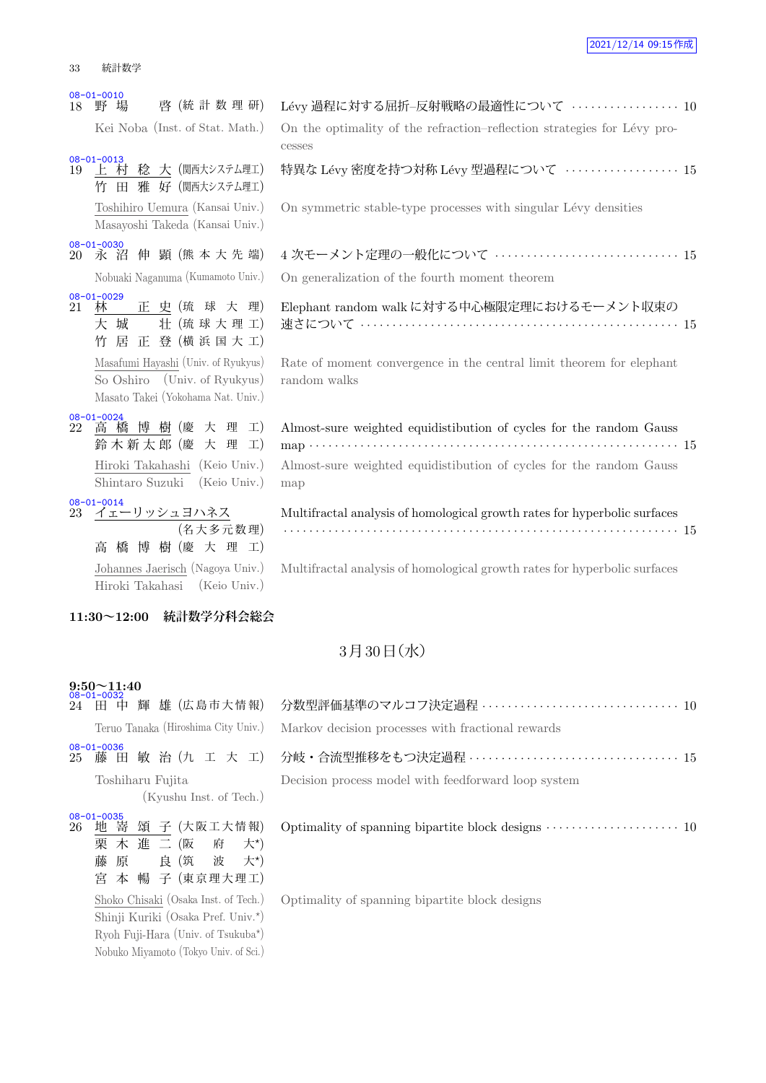|    | $08 - 01 - 0010$                                                                                          |                                                                                                                                                                                                                       |
|----|-----------------------------------------------------------------------------------------------------------|-----------------------------------------------------------------------------------------------------------------------------------------------------------------------------------------------------------------------|
| 18 | 啓 (統計数理研)<br>野 場                                                                                          | Lévy 過程に対する屈折-反射戦略の最適性について  10                                                                                                                                                                                        |
|    | Kei Noba (Inst. of Stat. Math.)                                                                           | On the optimality of the refraction-reflection strategies for Lévy pro-<br>cesses                                                                                                                                     |
|    | $08 - 01 - 0013$<br>19 上 村 稔 大 (関西大システム理工)<br>竹 田 雅 好 (関西大システム理工)                                         | 特異な Lévy 密度を持つ対称 Lévy 型過程について ・・・・・・・・・・・・・・・・15                                                                                                                                                                      |
|    | Toshihiro Uemura (Kansai Univ.)<br>Masayoshi Takeda (Kansai Univ.)                                        | On symmetric stable-type processes with singular Lévy densities                                                                                                                                                       |
| 20 | $08 - 01 - 0030$<br>永 沼 伸 顕 (熊本大先端)                                                                       | 4 次モーメント定理の一般化について  15                                                                                                                                                                                                |
|    | Nobuaki Naganuma (Kumamoto Univ.)                                                                         | On generalization of the fourth moment theorem                                                                                                                                                                        |
| 21 | $08 - 01 - 0029$<br>林 正史(琉球大理)<br>大 城<br>壮 (琉球大理工)<br>居 正 登 (横浜国大工)<br>竹                                  | Elephant random walk に対する中心極限定理におけるモーメント収束の<br>速さについて ‥‥‥‥‥‥‥‥‥‥‥‥‥‥‥‥‥‥‥‥‥‥‥‥‥‥‥ 15                                                                                                                                  |
|    | Masafumi Hayashi (Univ. of Ryukyus)<br>So Oshiro (Univ. of Ryukyus)<br>Masato Takei (Yokohama Nat. Univ.) | Rate of moment convergence in the central limit theorem for elephant<br>random walks                                                                                                                                  |
| 22 | $08 - 01 - 0024$<br>高橋博樹(慶大理工)<br>鈴木新太郎 (慶 大 理 工)                                                         | Almost-sure weighted equidistibution of cycles for the random Gauss<br>map $\cdots$ and $\cdots$ and $\cdots$ are $\cdots$ and $\cdots$ are $\cdots$ and $\cdots$ are $\cdots$ and $\cdots$ are $\cdots$ and $\cdots$ |
|    | Hiroki Takahashi (Keio Univ.)<br>Shintaro Suzuki (Keio Univ.)                                             | Almost-sure weighted equidistibution of cycles for the random Gauss<br>map                                                                                                                                            |
| 23 | $08 - 01 - 0014$<br>イェーリッシュヨハネス<br>(名大多元数理)<br>高橋博樹(慶大理工)                                                 | Multifractal analysis of homological growth rates for hyperbolic surfaces                                                                                                                                             |
|    | Johannes Jaerisch (Nagoya Univ.)<br>Hiroki Takahasi (Keio Univ.)                                          | Multifractal analysis of homological growth rates for hyperbolic surfaces                                                                                                                                             |
|    |                                                                                                           |                                                                                                                                                                                                                       |

### **11:30~12:00 統計数学分科会総会**

## $3<sup>7</sup>$  30日 $($ 水 $)$

### **9:50~11:40** 08-01-0032 <sup>24</sup> 田 中 輝 雄 (広 島 市 大 情 報) 分数型評価基準のマルコフ決定過程 *· · · · · · · · · · · · · · · · · · · · · · · · · · · · · · ·* <sup>10</sup> Teruo Tanaka (Hiroshima City Univ.)  $N$ Toshiharu Fujita (Kyushu Inst. of Tech.) 08-01-0035<br>26 地 嵜 頌 子 (大阪工大情報) 栗 木 進 二 (阪 府 大*<sup>⋆</sup>*  $\pm$ \*) 藤 原 良 (筑 波 大\*) 宮 本 暢 子 (東京理大理工)

Shoko Chisaki (Osaka Inst. of Tech.) Shinji Kuriki (Osaka Pref. Univ.*<sup>⋆</sup>* ) Ryoh Fuji-Hara (Univ. of Tsukuba*<sup>⋆</sup>* ) Nobuko Miyamoto (Tokyo Univ. of Sci.)

| ບບ⊤ບ⊥⊤ບບບ∠                                  |                                                                                       |
|---------------------------------------------|---------------------------------------------------------------------------------------|
|                                             | Teruo Tanaka (Hiroshima City Univ.) Markov decision processes with fractional rewards |
| 08-01-0036                                  |                                                                                       |
| Toshiharu Fujita<br>(Kyushu Inst. of Tech.) | Decision process model with feedforward loop system                                   |

Optimality of spanning bipartite block designs  $\cdots$  · · · · · · · · · · · · · · · · 10

Optimality of spanning bipartite block designs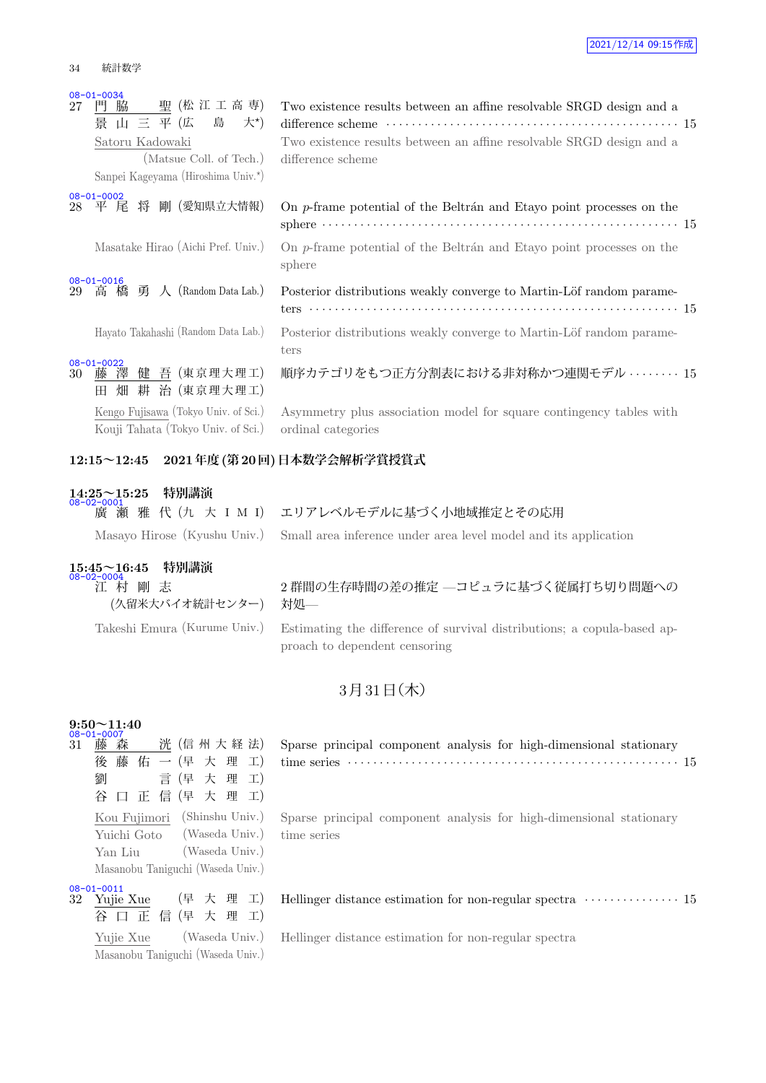| 27 | $08 - 01 - 0034$<br>聖 (松 江 工 高 専)<br>門脇<br>景山三平(広島大*)<br>Satoru Kadowaki<br>(Matsue Coll. of Tech.)<br>Sanpei Kageyama (Hiroshima Univ.*) | Two existence results between an affine resolvable SRGD design and a<br>Two existence results between an affine resolvable SRGD design and a<br>difference scheme |
|----|-------------------------------------------------------------------------------------------------------------------------------------------|-------------------------------------------------------------------------------------------------------------------------------------------------------------------|
| 28 | $08 - 01 - 0002$<br>平 尾 将 剛 (愛知県立大情報)                                                                                                     | On p-frame potential of the Beltrán and Etayo point processes on the                                                                                              |
|    | Masatake Hirao (Aichi Pref. Univ.)                                                                                                        | On p-frame potential of the Beltrán and Etayo point processes on the<br>sphere                                                                                    |
| 29 | $08 - 01 - 0016$<br>高橋勇人 (Random Data Lab.)                                                                                               | Posterior distributions weakly converge to Martin-Löf random parame-                                                                                              |
|    | Hayato Takahashi (Random Data Lab.)                                                                                                       | Posterior distributions weakly converge to Martin-Löf random parame-<br>ters                                                                                      |
| 30 | $08 - 01 - 0022$<br>藤澤健吾 (東京理大理工)<br>畑 耕 治 (東京理大理工)<br>Ħ                                                                                  | 順序カテゴリをもつ正方分割表における非対称かつ連関モデル ・・・・・・・15                                                                                                                            |
|    | Kengo Fujisawa (Tokyo Univ. of Sci.)<br>Kouji Tahata (Tokyo Univ. of Sci.)                                                                | Asymmetry plus association model for square contingency tables with<br>ordinal categories                                                                         |

### **12:15~12:45 2021年度(第20回)日本数学会解析学賞授賞式**

| $14:25 \sim 15:25$ | 特別講演 |
|--------------------|------|
| 08-02-0001         |      |

廣 瀬 雅 代 (九 大 I M I) エリアレベルモデルに基づく小地域推定とその応用

Masayo Hirose (Kyushu Univ.) Small area inference under area level model and its application

### **15:45~16:45 特別講演**

08-02-0004 江 村 剛 志 (久留米大バイオ統計センター)

### 2 群間の生存時間の差の推定 —コピュラに基づく従属打ち切り問題への 対処—

Takeshi Emura (Kurume Univ.) Estimating the difference of survival distributions; a copula-based approach to dependent censoring

## $3$ 月 $31$ 日 $($ 木 $)$

| 9:50             |   | $-11:40$    |  |                                   |         |
|------------------|---|-------------|--|-----------------------------------|---------|
|                  |   |             |  |                                   |         |
| 31               | 藤 | 森           |  | 洸 (信州大経法)                         |         |
|                  |   |             |  | 後 藤 佑 一 (早 大 理                    | $\pm$ ) |
|                  | 劉 |             |  | 言 (早 大 理 工)                       |         |
|                  |   |             |  | 谷口正信(早大理工)                        |         |
|                  |   |             |  | Kou Fujimori (Shinshu Univ.)      |         |
|                  |   | Yuichi Goto |  | (Waseda Univ.)                    |         |
|                  |   | Yan Liu     |  | (Waseda Univ.)                    |         |
|                  |   |             |  | Masanobu Taniguchi (Waseda Univ.) |         |
| $08 - 01 - 0011$ |   |             |  |                                   |         |
| 32 Yujie Xue     |   |             |  | (早 大 理 工)                         |         |
|                  |   |             |  | 谷口正信(早大理工)                        |         |
|                  |   | Yujie Xue   |  | (Waseda Univ.)                    |         |

Masanobu Taniguchi (Waseda Univ.)

Sparse principal component analysis for high-dimensional stationary time series *· · · · · · · · · · · · · · · · · · · · · · · · · · · · · · · · · · · · · · · · · · · · · · · · · · · ·* 15

Sparse principal component analysis for high-dimensional stationary time series

Hellinger distance estimation for non-regular spectra *· · · · · · · · · · · · · · ·* 15

Hellinger distance estimation for non-regular spectra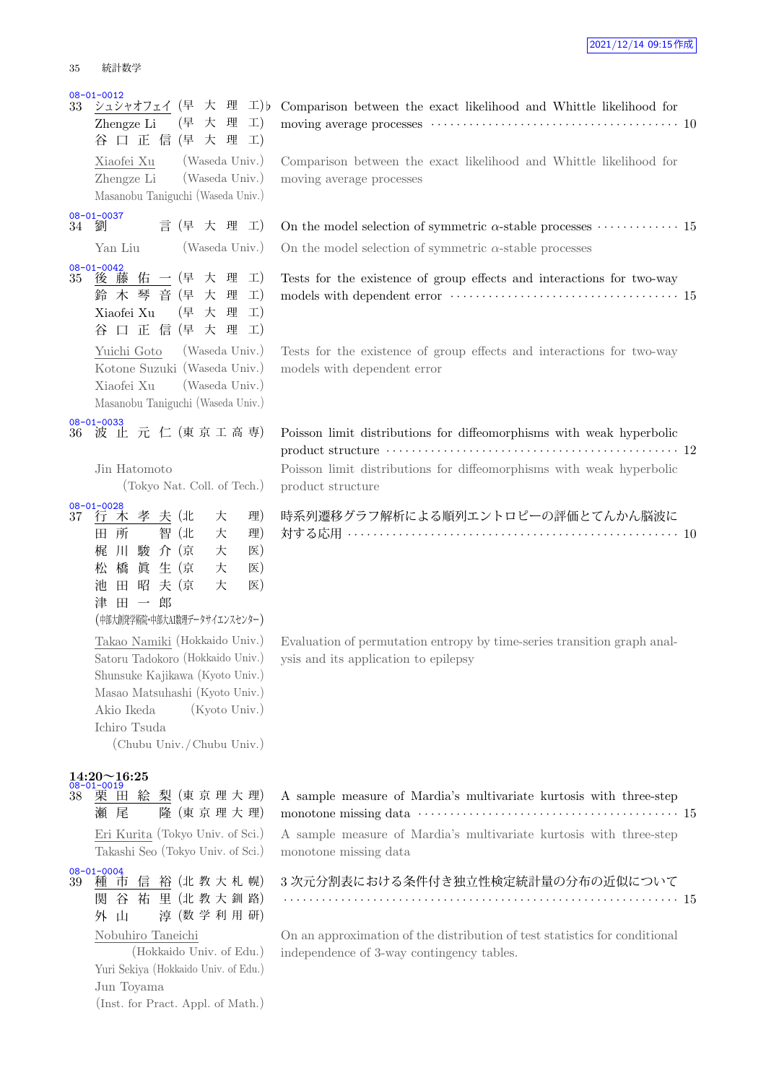#### 08-01-0012

| 35              | 統計致字                                                                                                                                                                                                                                    |   |                |                       |                                      |
|-----------------|-----------------------------------------------------------------------------------------------------------------------------------------------------------------------------------------------------------------------------------------|---|----------------|-----------------------|--------------------------------------|
| 33              | $08 - 01 - 0012$<br>シュシャオフェイ (早 大 理<br>Zhengze Li (早 大 理<br>谷口正信(早大理<br>Xiaofei Xu (Waseda Univ.)<br>Zhengze Li (Waseda Univ.)<br>Masanobu Taniguchi (Waseda Univ.)                                                                     |   |                |                       | $\perp$ ) b<br>$\pm)$<br>$\pm)$      |
|                 | 08-01-0037<br>34 劉                                                                                                                                                                                                                      |   | 言 (早 大 理 工)    |                       |                                      |
|                 | Yan Liu                                                                                                                                                                                                                                 |   |                | (Waseda Univ.)        |                                      |
| 35              | $08 - 01 - 0042$<br>後藤佑一(早大理<br>鈴木琴音(早大理<br>Xiaofei Xu (早 大 理<br>正 信 (早 大 理<br>谷<br>$\Box$<br>Yuichi Goto<br>Kotone Suzuki (Waseda Univ.)<br>Xiaofei Xu (Waseda Univ.)<br>Masanobu Taniguchi (Waseda Univ.)                             |   | (Waseda Univ.) |                       | $\pm)$<br>$\pm)$<br>$\pm)$<br>$\pm)$ |
| 36 <sup>°</sup> | $08 - 01 - 0033$<br>波 止 元 仁 (東京工高専)<br>Jin Hatomoto<br>(Tokyo Nat. Coll. of Tech.)                                                                                                                                                      |   |                |                       |                                      |
| $37\,$          | $08 - 01 - 0028$<br>孝<br>行 木<br>田<br>所<br>川 駿 介 (京<br>梶<br>眞 生 (京<br>松 橋<br>池 田 昭 夫 (京<br>津田一<br>(中部大創発学術院·中部大AI数理データサイエンスセンター)<br>Takao Namiki (Hokkaido Univ.)<br>Satoru Tadokoro (Hokkaido Univ.)<br>Shunsuke Kajikawa (Kyoto Univ.) | 郎 | 夫 (北<br>智(北    | 大<br>大<br>大<br>大<br>大 | 理)<br>理)<br>医)<br>医)<br>医)           |
|                 | Masao Matsuhashi (Kyoto Univ.)<br>Akio Ikeda<br>Ichiro Tsuda<br>(Chubu Univ. / Chubu Univ.)<br>$14:20 \sim 16:25$<br>$\frac{08-01-0019}{38}$ 栗 日<br>田 絵 梨 (東京理大理)<br>瀬<br>尾<br>Eri Kurita (Tokyo Univ. of Sci.)                         |   | 隆 (東京理大理)      | (Kyoto Univ.)         |                                      |
|                 | Takashi Seo (Tokyo Univ. of Sci.)                                                                                                                                                                                                       |   |                |                       |                                      |

08-01-0004<br>39 種 ī 市 信 裕 (北 教 大 札 幌) 関 谷 祐 里 (北 教 大 釧 路) 外 山 淳 (数 学 利 用 研)

### Nobuhiro Taneichi

(Hokkaido Univ. of Edu.) Yuri Sekiya (Hokkaido Univ. of Edu.) Jun Toyama (Inst. for Pract. Appl. of Math.)

moving average processes *· · · · · · · · · · · · · · · · · · · · · · · · · · · · · · · · · · · · · · ·* 10 Comparison between the exact likelihood and Whittle likelihood for moving average processes On the model selection of symmetric  $\alpha$ -stable processes  $\cdots$  · · · · · · · · · · 15 On the model selection of symmetric  $\alpha$ -stable processes Tests for the existence of group effects and interactions for two-way models with dependent error *· · · · · · · · · · · · · · · · · · · · · · · · · · · · · · · · · · · ·* 15

Comparison between the exact likelihood and Whittle likelihood for

Tests for the existence of group effects and interactions for two-way models with dependent error

Poisson limit distributions for diffeomorphisms with weak hyperbolic product structure *· · · · · · · · · · · · · · · · · · · · · · · · · · · · · · · · · · · · · · · · · · · · · ·* 12 Poisson limit distributions for diffeomorphisms with weak hyperbolic product structure

時系列遷移グラフ解析による順列エントロピーの評価とてんかん脳波に 対する応用 *· · · · · · · · · · · · · · · · · · · · · · · · · · · · · · · · · · · · · · · · · · · · · · · · · · · ·* 10

Evaluation of permutation entropy by time-series transition graph analysis and its application to epilepsy

A sample measure of Mardia's multivariate kurtosis with three-step monotone missing data *· · · · · · · · · · · · · · · · · · · · · · · · · · · · · · · · · · · · · · · · ·* 15 A sample measure of Mardia's multivariate kurtosis with three-step monotone missing data

3 次元分割表における条件付き独立性検定統計量の分布の近似について *· · · · · · · · · · · · · · · · · · · · · · · · · · · · · · · · · · · · · · · · · · · · · · · · · · · · · · · · · · · · · ·* 15

On an approximation of the distribution of test statistics for conditional independence of 3-way contingency tables.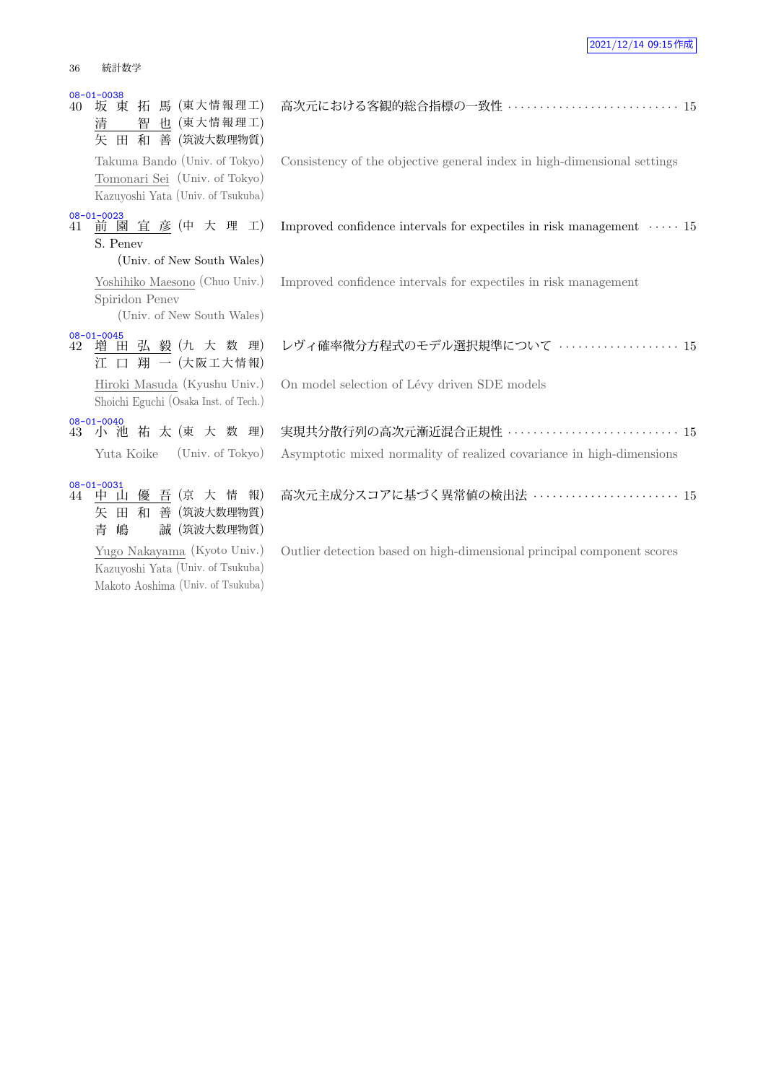| 40 | $08 - 01 - 0038$<br>馬 (東大情報理工)<br>拓<br>坂 東<br>也 (東大情報理工)<br>智<br>清<br>田 和 善 (筑波大数理物質)<br>矢          | 高次元における客観的総合指標の一致性 ·························· 15                            |
|----|-----------------------------------------------------------------------------------------------------|-----------------------------------------------------------------------------|
|    | Takuma Bando (Univ. of Tokyo)<br>Tomonari Sei (Univ. of Tokyo)<br>Kazuyoshi Yata (Univ. of Tsukuba) | Consistency of the objective general index in high-dimensional settings     |
| 41 | $08 - 01 - 0023$<br>前園宜彦(中大理工)<br>S. Penev<br>(Univ. of New South Wales)                            | Improved confidence intervals for expectiles in risk management $\cdots$ 15 |
|    | Yoshihiko Maesono (Chuo Univ.)<br>Spiridon Penev<br>(Univ. of New South Wales)                      | Improved confidence intervals for expectiles in risk management             |
| 42 | $08 - 01 - 0045$<br>増 田 弘 毅 (九 大 数 理)<br>江 口 翔 一 (大阪工大情報)                                           | レヴィ確率微分方程式のモデル選択規準について  15                                                  |
|    | Hiroki Masuda (Kyushu Univ.)<br>Shoichi Eguchi (Osaka Inst. of Tech.)                               | On model selection of Lévy driven SDE models                                |
| 43 | $08 - 01 - 0040$<br>小池祐太(東大数理)                                                                      | 実現共分散行列の高次元漸近混合正規性 ··························· 15                           |
|    | Yuta Koike<br>(Univ. of Tokyo)                                                                      | Asymptotic mixed normality of realized covariance in high-dimensions        |
| 44 | $08 - 01 - 0031$<br>優 吾 (京 大 情<br>報)<br>中 山<br>和<br>善(筑波大数理物質)<br>矢<br>田<br>誠 (筑波大数理物質)<br>青<br>嶋   | 高次元主成分スコアに基づく異常値の検出法 ······················ 15                              |
|    | Yugo Nakayama (Kyoto Univ.)                                                                         | Outlier detection based on high-dimensional principal component scores      |

Yugo Nakayama (Kyoto Univ.) Kazuyoshi Yata (Univ. of Tsukuba) Makoto Aoshima (Univ. of Tsukuba)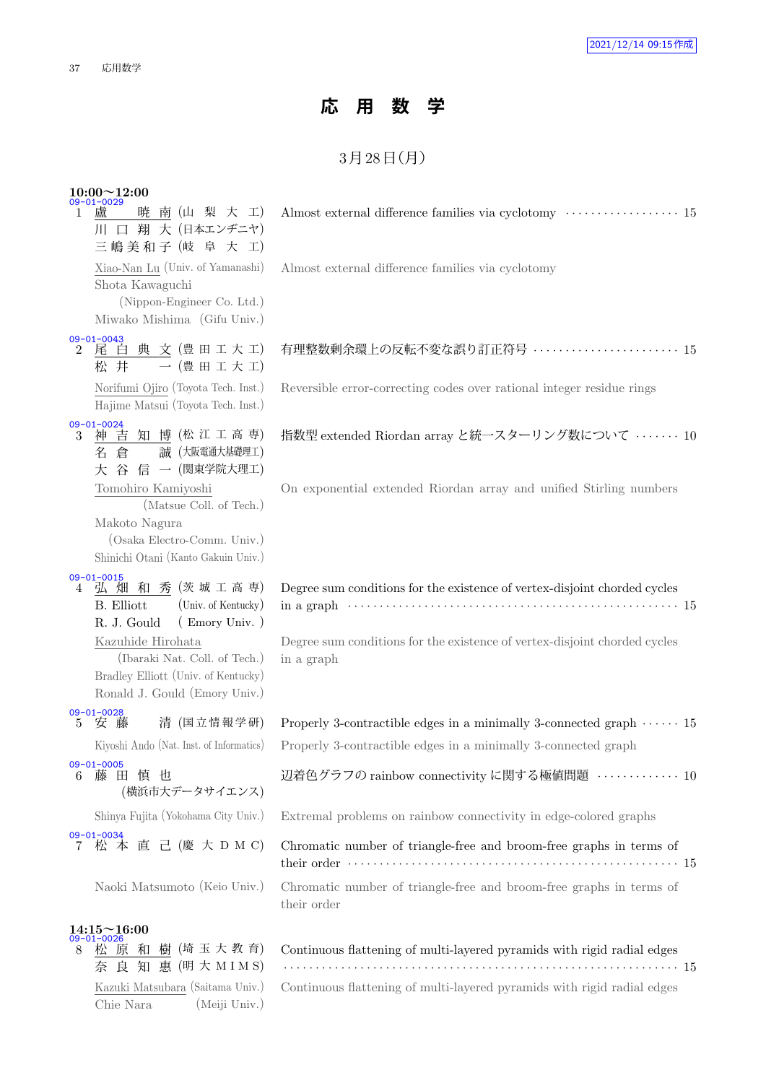Chie Nara (Meiji Univ.)

## **応 用 数 学**

## $3$ 月 $28$ 日 $(H)$

|    | $10:00 \sim 12:00$<br>$09 - 01 - 0029$                                                                                                                                                                                                              |                                                                                                                                                                      |
|----|-----------------------------------------------------------------------------------------------------------------------------------------------------------------------------------------------------------------------------------------------------|----------------------------------------------------------------------------------------------------------------------------------------------------------------------|
| 1. | 暁 南 (山 梨 大 工)<br>廬<br>川 口 翔 大 (日本エンヂニヤ)<br>三嶋美和子 (岐 阜 大 工)                                                                                                                                                                                          | Almost external difference families via cyclotomy $\dots\dots\dots\dots\dots\dots 15$                                                                                |
|    | Xiao-Nan Lu (Univ. of Yamanashi)<br>Shota Kawaguchi<br>(Nippon-Engineer Co. Ltd.)<br>Miwako Mishima (Gifu Univ.)                                                                                                                                    | Almost external difference families via cyclotomy                                                                                                                    |
|    | $09 - 01 - 0043$<br>2 尾 白 典 文 (豊田工大工)<br>一(豊田工大工)<br>松 井                                                                                                                                                                                            | 有理整数剰余環上の反転不変な誤り訂正符号  15                                                                                                                                             |
|    | Norifumi Ojiro (Toyota Tech. Inst.)<br>Hajime Matsui (Toyota Tech. Inst.)                                                                                                                                                                           | Reversible error-correcting codes over rational integer residue rings                                                                                                |
|    | 09-01-0024<br>3 神吉知博(松江工高専)<br>誠 (大阪電通大基礎理工)<br>倉<br>名<br>大 谷 信 一 (関東学院大理工)                                                                                                                                                                         | 指数型 extended Riordan array と統一スターリング数について ……… 10                                                                                                                     |
|    | Tomohiro Kamiyoshi<br>(Matsue Coll. of Tech.)<br>Makoto Nagura<br>(Osaka Electro-Comm. Univ.)<br>Shinichi Otani (Kanto Gakuin Univ.)                                                                                                                | On exponential extended Riordan array and unified Stirling numbers                                                                                                   |
| 4  | $09 - 01 - 0015$<br>弘 畑 和 秀 (茨城工高専)<br><b>B.</b> Elliott<br>(Univ. of Kentucky)<br>$($ Emory Univ. $)$<br>R. J. Gould<br>Kazuhide Hirohata<br>(Ibaraki Nat. Coll. of Tech.)<br>Bradley Elliott (Univ. of Kentucky)<br>Ronald J. Gould (Emory Univ.) | Degree sum conditions for the existence of vertex-disjoint chorded cycles<br>Degree sum conditions for the existence of vertex-disjoint chorded cycles<br>in a graph |
|    | 09-01-0028<br>5 安藤<br>清 (国立情報学研)<br>Kiyoshi Ando (Nat. Inst. of Informatics)                                                                                                                                                                        | Properly 3-contractible edges in a minimally 3-connected graph $\cdots \cdots 15$<br>Properly 3-contractible edges in a minimally 3-connected graph                  |
| 6  | $09 - 01 - 0005$<br>藤 田<br>慎 也<br>(横浜市大データサイエンス)                                                                                                                                                                                                    | 辺着色グラフの rainbow connectivity に関する極値問題 ············· 10                                                                                                               |
|    | Shinya Fujita (Yokohama City Univ.)                                                                                                                                                                                                                 | Extremal problems on rainbow connectivity in edge-colored graphs                                                                                                     |
|    | 09-01-0034<br>7 松 本 直 己 (慶 大 D M C)                                                                                                                                                                                                                 | Chromatic number of triangle-free and broom-free graphs in terms of                                                                                                  |
|    | Naoki Matsumoto (Keio Univ.)                                                                                                                                                                                                                        | Chromatic number of triangle-free and broom-free graphs in terms of<br>their order                                                                                   |
| 8  | $14:15 \sim 16:00$<br>09-01-0026<br>松 原 和 樹 (埼玉大教育)<br>奈 良 知 惠 (明 大 M I M S)                                                                                                                                                                        | Continuous flattening of multi-layered pyramids with rigid radial edges                                                                                              |
|    | Kazuki Matsubara (Saitama Univ.)                                                                                                                                                                                                                    | Continuous flattening of multi-layered pyramids with rigid radial edges                                                                                              |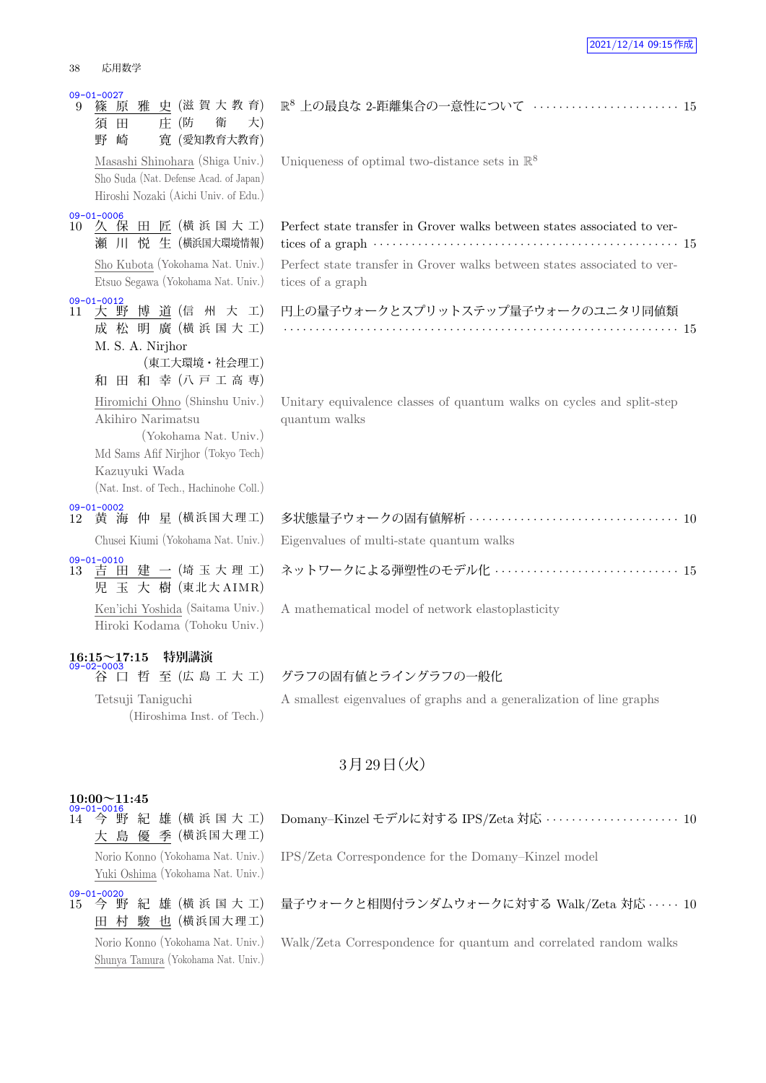| $09 - 01 - 0027$<br>篠<br>9<br>須<br>野 | 雅<br>原<br>田<br>崎                                                                                                  | 庄(防 | 史 (滋賀大教育)<br>衛<br>寛 (愛知教育大教育) | 大) | $\mathbb R$          |
|--------------------------------------|-------------------------------------------------------------------------------------------------------------------|-----|-------------------------------|----|----------------------|
|                                      | Masashi Shinohara (Shiga Univ.)<br>Sho Suda (Nat. Defense Acad. of Japan)<br>Hiroshi Nozaki (Aichi Univ. of Edu.) |     |                               |    | U                    |
| $09 - 01 - 0006$<br>欠<br>10<br>瀬     | 保<br>ЛГ                                                                                                           |     | 田 匠 (横浜国大工)<br>悦 生 (横浜国大環境情報) |    | $\overline{P}$<br>ti |
|                                      | Sho Kubota (Yokohama Nat. Univ.)<br>Etsuo Segawa (Yokohama Nat. Univ.)                                            |     |                               |    | $\overline{P}$<br>ti |
| $09 - 01 - 0012$<br>11<br>成          | 大野博道(信州大工)<br>松 明 廣 (横浜国大工)<br>M. S. A. Nirjhor                                                                   |     | (東工大環境·社会理工)                  |    | P<br>÷.              |
| 和                                    | 田                                                                                                                 |     | 和幸(八戸工高専)                     |    |                      |
|                                      | Hiromichi Ohno (Shinshu Univ.)<br>Akihiro Narimatsu                                                               |     | (Yokohama Nat. Univ.)         |    | U<br>qı              |
|                                      | Md Sams Afif Nirjhor (Tokyo Tech)                                                                                 |     |                               |    |                      |
|                                      | Kazuyuki Wada<br>(Nat. Inst. of Tech., Hachinohe Coll.)                                                           |     |                               |    |                      |
| $09 - 01 - 0002$<br>12               | 黄 海 仲 星 (横浜国大理工)                                                                                                  |     |                               |    | 多                    |
|                                      | Chusei Kiumi (Yokohama Nat. Univ.)                                                                                |     |                               |    | E                    |
| 09-01-0010<br>13 責 日<br>児 玉          | 田建一(埼玉大理工)                                                                                                        |     | 大 樹 (東北大 AIMR)                |    | ネ                    |
|                                      | Ken'ichi Yoshida (Saitama Univ.)<br>Hiroki Kodama (Tohoku Univ.)                                                  |     |                               |    | А                    |
| 16:15~17:15 特別講演                     |                                                                                                                   |     |                               |    |                      |
|                                      |                                                                                                                   |     | 至 (広 島 工 大 工)                 |    | グ                    |

Tetsuji Taniguchi (Hiroshima Inst. of Tech.)

# R <sup>8</sup> 上の最良な 2-距離集合の一意性について *· · · · · · · · · · · · · · · · · · · · · · ·* <sup>15</sup>

Uniqueness of optimal two-distance sets in  $\mathbb{R}^8$ 

## Perfect state transfer in Grover walks between states associated to ver $t$  ices of a graph  $\cdots$   $\cdots$   $\cdots$   $\cdots$   $\cdots$   $\cdots$   $\cdots$   $\cdots$   $\cdots$   $\cdots$   $\cdots$   $\cdots$   $\cdots$   $\cdots$   $\cdots$   $\cdots$

Perfect state transfer in Grover walks between states associated to verices of a graph

| 円上の量子ウォークとスプリットステップ量子ウォークのユニタリ同値類 |  |  |  |  |  |  |  |  |  |  |  |  |  |  |  |  |  |  |  |  |  |  |  |  |  |  |  |  |  |  |  |  |  |  |  |
|-----------------------------------|--|--|--|--|--|--|--|--|--|--|--|--|--|--|--|--|--|--|--|--|--|--|--|--|--|--|--|--|--|--|--|--|--|--|--|
|                                   |  |  |  |  |  |  |  |  |  |  |  |  |  |  |  |  |  |  |  |  |  |  |  |  |  |  |  |  |  |  |  |  |  |  |  |

Initary equivalence classes of quantum walks on cycles and split-step uantum walks

| Chusei Kiumi (Yokohama Nat. Univ.) Eigenvalues of multi-state quantum walks |
|-----------------------------------------------------------------------------|
| 09-01-0010<br>13 吉 田 建 一(埼 玉 大 理 工) ネットワークによる弾塑性のモデル化 ‥‥‥‥‥‥‥‥‥‥‥‥‥‥‥‥‥ 15  |

mathematical model of network elastoplasticity

### 谷 口 哲 至 (広 島 工 大 工) グラフの固有値とライングラフの一般化

A smallest eigenvalues of graphs and a generalization of line graphs

### 3月29日 (火)

### **10:00~11:45**

 $14$  今野 紀 雄 (横 浜 国 大 工) 大 島 優 季 (横浜国大理工)

Norio Konno (Yokohama Nat. Univ.) Yuki Oshima (Yokohama Nat. Univ.)

09-01-0020<br>15 今 野 紀 雄 (横浜国大工) 田 村 駿 也 (横浜国大理工)

Norio Konno (Yokohama Nat. Univ.) Shunya Tamura (Yokohama Nat. Univ.) Domany–Kinzel モデルに対する IPS/Zeta 対応 *· · · · · · · · · · · · · · · · · · · · ·* 10

IPS/Zeta Correspondence for the Domany–Kinzel model

### 量子ウォークと相関付ランダムウォークに対する Walk/Zeta 対応 *· · · · ·* 10

Walk/Zeta Correspondence for quantum and correlated random walks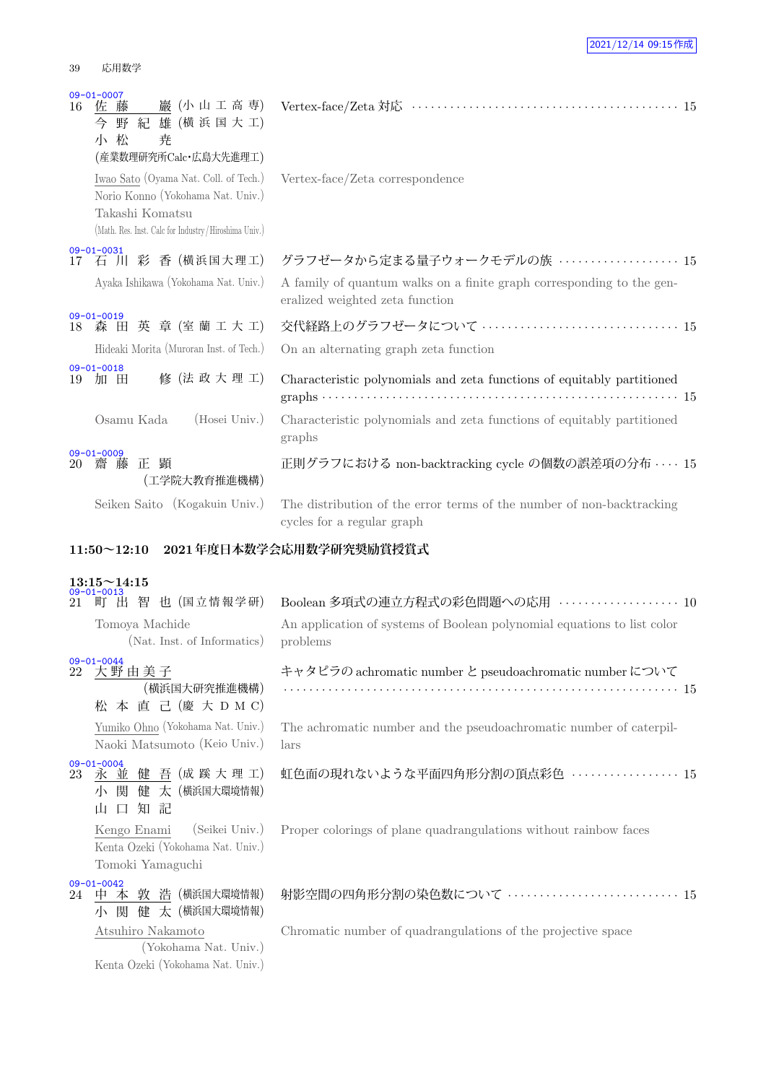### 39 応用数学

Kenta Ozeki (Yokohama Nat. Univ.)

| 16 | $09 - 01 - 0007$<br>佐 藤<br>巖 (小山工高専)<br>野紀雄(横浜国大工)<br>今<br>小 松<br>尭<br>(産業数理研究所Calc·広島大先進理工)                                                          |                                                                                                          |  |
|----|-------------------------------------------------------------------------------------------------------------------------------------------------------|----------------------------------------------------------------------------------------------------------|--|
|    | Iwao Sato (Oyama Nat. Coll. of Tech.)<br>Norio Konno (Yokohama Nat. Univ.)<br>Takashi Komatsu<br>(Math. Res. Inst. Calc for Industry/Hiroshima Univ.) | Vertex-face/Zeta correspondence                                                                          |  |
| 17 | $09 - 01 - 0031$<br>石 川 彩 香 (横浜国大理工)                                                                                                                  | グラフゼータから定まる量子ウォークモデルの族  15                                                                               |  |
|    | Ayaka Ishikawa (Yokohama Nat. Univ.)                                                                                                                  | A family of quantum walks on a finite graph corresponding to the gen-<br>eralized weighted zeta function |  |
| 18 | $09 - 01 - 0019$<br>森田英章(室蘭工大工)                                                                                                                       | 交代経路上のグラフゼータについて  15                                                                                     |  |
|    | Hideaki Morita (Muroran Inst. of Tech.)                                                                                                               | On an alternating graph zeta function                                                                    |  |
| 19 | $09 - 01 - 0018$<br>修 (法 政 大 理 工)<br>加 田                                                                                                              | Characteristic polynomials and zeta functions of equitably partitioned                                   |  |
|    | Osamu Kada<br>(Hosei Univ.)                                                                                                                           | Characteristic polynomials and zeta functions of equitably partitioned<br>graphs                         |  |
| 20 | $09 - 01 - 0009$<br>齋 藤 正 顕<br>(工学院大教育推進機構)                                                                                                           | 正則グラフにおける non-backtracking cycle の個数の誤差項の分布  15                                                          |  |
|    | Seiken Saito (Kogakuin Univ.)                                                                                                                         | The distribution of the error terms of the number of non-backtracking<br>cycles for a regular graph      |  |
|    |                                                                                                                                                       |                                                                                                          |  |
|    | $11:50 \sim 12:10$                                                                                                                                    | 2021年度日本数学会応用数学研究奨励賞授賞式                                                                                  |  |
|    |                                                                                                                                                       |                                                                                                          |  |
| 21 | $13:15 \sim 14:15$<br>$09 - 01 - 0013$<br>町 出 智 也 (国立情報学研)                                                                                            | Boolean 多項式の連立方程式の彩色問題への応用 ··················· 10                                                        |  |
|    | Tomoya Machide<br>(Nat. Inst. of Informatics)                                                                                                         | An application of systems of Boolean polynomial equations to list color<br>problems                      |  |
| 22 | $09 - 01 - 0044$<br>大野由美子<br>(横浜国大研究推進機構)<br>松 本 直 己 (慶 大 D M C)                                                                                      | キャタピラの achromatic number と pseudoachromatic number について                                                  |  |
|    | Yumiko Ohno (Yokohama Nat. Univ.)<br>Naoki Matsumoto (Keio Univ.)                                                                                     | The achromatic number and the pseudoachromatic number of caterpil-<br>lars                               |  |
| 23 | $09 - 01 - 0004$<br>永 並 健 吾 (成 蹊 大 理 工)<br> 関  健  大(横浜国大環境情報)<br>小<br>知 記<br>$\Box$<br>山                                                              | 虹色面の現れないような平面四角形分割の頂点彩色  15                                                                              |  |
|    | (Seikei Univ.)<br>Kengo Enami<br>Kenta Ozeki (Yokohama Nat. Univ.)<br>Tomoki Yamaguchi                                                                | Proper colorings of plane quadrangulations without rainbow faces                                         |  |
|    | $09 - 01 - 0042$<br>24 中本敦浩 (横浜国大環境情報)<br>小 関 健 太 (横浜国大環境情報)                                                                                          | 射影空間の四角形分割の染色数について …………………………… 15                                                                        |  |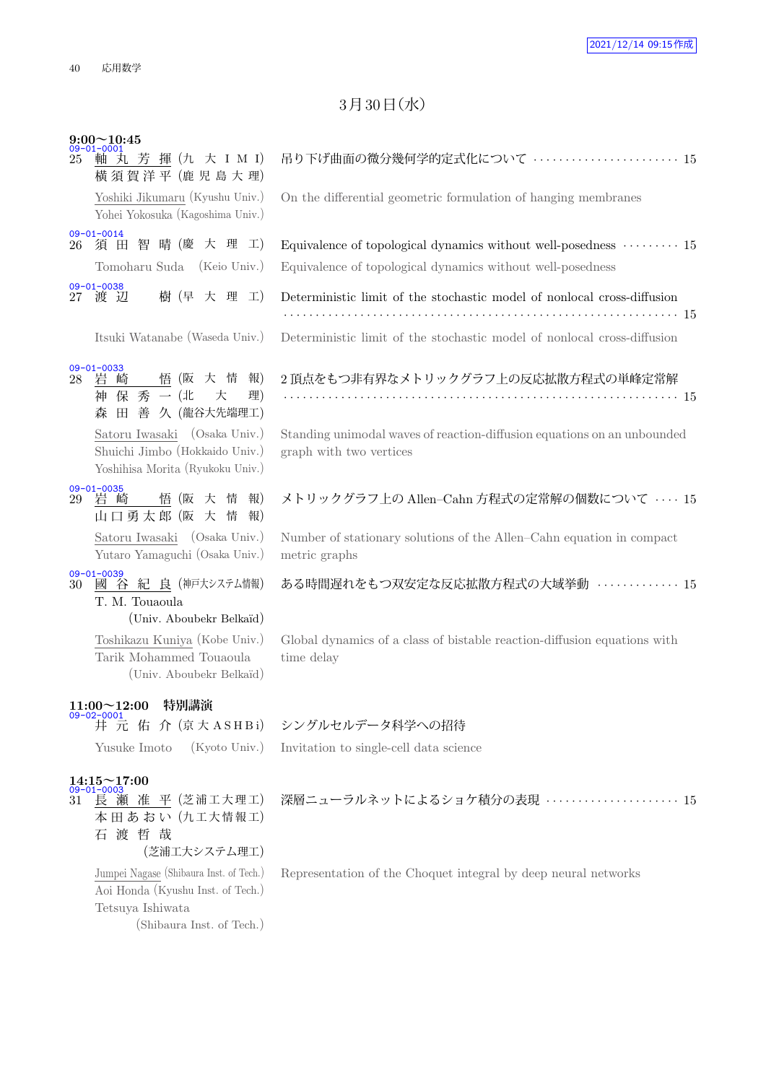### $3<sup>7</sup>$  30日 $($ 水 $)$

| 25 | $9:00 \sim 10:45$<br>$09 - 01 - 0001$<br>軸 丸 芳 揮 (九 大 I M I)<br>横須賀洋平 (鹿児島大理) |
|----|-------------------------------------------------------------------------------|
|    | Yoshiki Jikumaru (Kyushu Univ.)<br>Yohei Yokosuka (Kagoshima Univ.)           |
|    | $09 - 01 - 0014$<br>26 須田智晴(慶大理工)                                             |
|    | Tomoharu Suda (Keio Univ.)                                                    |
|    | $09 - 01 - 0038$<br>樹 (早 大 理 工)<br>27 渡 辺                                     |

## 09-01-0033<br>28 岩崎

Shuichi Jimbo (Hokkaido Univ.) Yoshihisa Morita (Ryukoku Univ.)

- 09-01-0035<br>29 岩崎
- 悟 (阪 大 情 報) 山 口 勇 太 郎 (阪 大 情 報) Satoru Iwasaki (Osaka Univ.) Yutaro Yamaguchi (Osaka Univ.)

<u>09-01-0039</u><br>30 國 谷 紀 良 (神戸大システム情報) T. M. Touaoula

(Univ. Aboubekr Belka¨ıd)

Toshikazu Kuniya (Kobe Univ.) Tarik Mohammed Touaoula (Univ. Aboubekr Belka¨ıd)

## **11:00~12:00 特別講演** 09-02-0001

### **14:15~17:00**

<u>09-01-0003</u><br>31 長 瀬 准 平 (芝浦工大理工) 本田あおい (九工大情報工) 石 渡 哲 哉 (芝浦工大システム理工)

> Jumpei Nagase (Shibaura Inst. of Tech.) Aoi Honda (Kyushu Inst. of Tech.) Tetsuya Ishiwata (Shibaura Inst. of Tech.)

| 軸 丸 芳 揮 (九 大 I M I)<br>25<br>横須賀洋平 (鹿児島大理)                                                         | 吊り下げ曲面の微分幾何学的定式化について  15                                                                                                                      |
|----------------------------------------------------------------------------------------------------|-----------------------------------------------------------------------------------------------------------------------------------------------|
| Yoshiki Jikumaru (Kyushu Univ.)<br>Yohei Yokosuka (Kagoshima Univ.)                                | On the differential geometric formulation of hanging membranes                                                                                |
| $09 - 01 - 0014$<br>26 須田智晴(慶大理工)<br>Tomoharu Suda (Keio Univ.)                                    | Equivalence of topological dynamics without well-posedness $\cdots$ $\cdots$ 15<br>Equivalence of topological dynamics without well-posedness |
| $09 - 01 - 0038$<br>樹 (早 大 理 工)<br>27 渡 辺                                                          | Deterministic limit of the stochastic model of nonlocal cross-diffusion                                                                       |
| Itsuki Watanabe (Waseda Univ.)                                                                     | Deterministic limit of the stochastic model of nonlocal cross-diffusion                                                                       |
| $09 - 01 - 0033$<br>28 岩崎 悟 (阪 大 情 報)<br>神 保 秀 一 (北<br>理)<br>大<br>森田善久 (龍谷大先端理工)                   | 2 頂点をもつ非有界なメトリックグラフ上の反応拡散方程式の単峰定常解                                                                                                            |
| Satoru Iwasaki (Osaka Univ.)<br>Shuichi Jimbo (Hokkaido Univ.)<br>Yoshihisa Morita (Ryukoku Univ.) | Standing unimodal waves of reaction-diffusion equations on an unbounded<br>graph with two vertices                                            |

### メトリックグラフ上の Allen–Cahn 方程式の定常解の個数について *· · · ·* 15

Number of stationary solutions of the Allen–Cahn equation in compact metric graphs

ある時間遅れをもつ双安定な反応拡散方程式の大域挙動 *· · · · · · · · · · · · ·* 15

Global dynamics of a class of bistable reaction-diffusion equations with time delay

### <u>- \*\*\*\*\*</u><br>「井 元 佑 介(京大 A S H B i) シングルセルデータ科学への招待

Yusuke Imoto (Kyoto Univ.) Invitation to single-cell data science

Representation of the Choquet integral by deep neural networks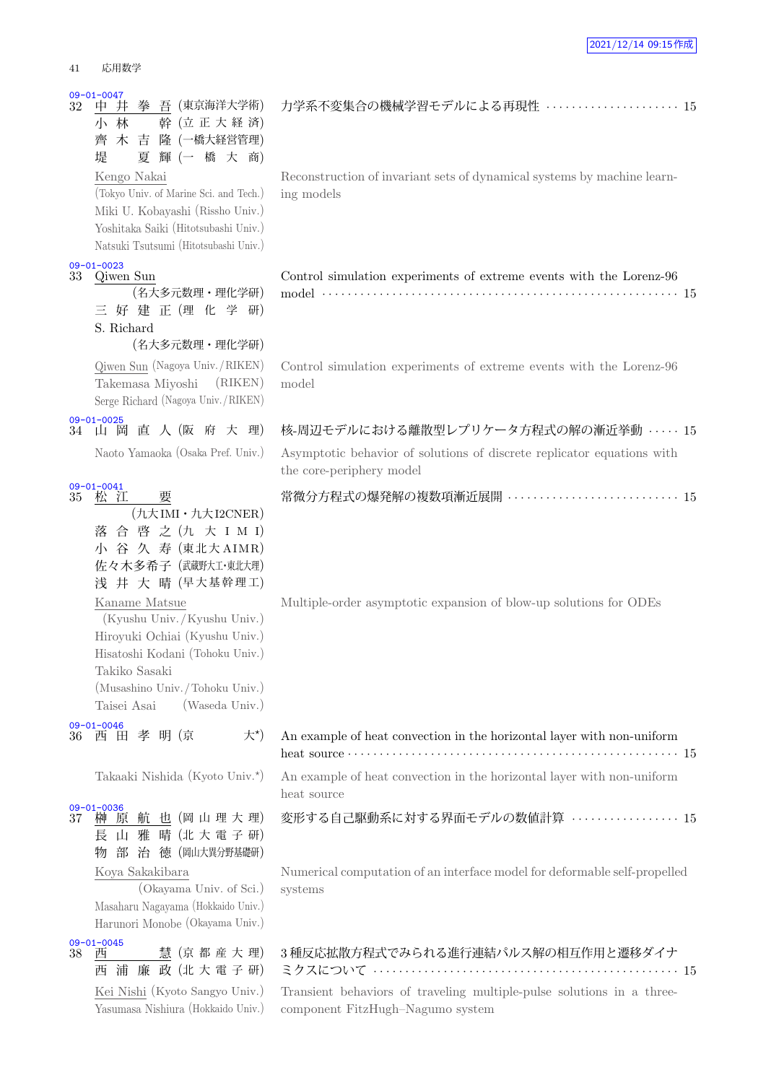| աւ⊥<br>心力玖士                                                                                                                                                                                           |                                                               |
|-------------------------------------------------------------------------------------------------------------------------------------------------------------------------------------------------------|---------------------------------------------------------------|
| $09 - 01 - 0047$<br>拳 吾 (東京海洋大学術)<br>32<br>中 井<br>幹 (立正大経済)<br>小 林<br>木<br>吉<br>隆 (一橋大経営管理)<br>齊<br>輝 (一 橋 大 商)<br>夏<br>堤                                                                             | 力学系不変集合の機械学習モ                                                 |
| Kengo Nakai<br>(Tokyo Univ. of Marine Sci. and Tech.)<br>Miki U. Kobayashi (Rissho Univ.)<br>Yoshitaka Saiki (Hitotsubashi Univ.)<br>Natsuki Tsutsumi (Hitotsubashi Univ.)                            | Reconstruction of invariant se<br>ing models                  |
| $09 - 01 - 0023$<br>33<br>Qiwen Sun<br>(名大多元数理・理化学研)<br>好 建 正 (理 化 学<br>研)<br>S. Richard<br>(名大多元数理・理化学研)                                                                                             | Control simulation experiment<br>$model \cdots \cdots \cdots$ |
| Qiwen Sun (Nagoya Univ./RIKEN)<br>Takemasa Miyoshi (RIKEN)<br>Serge Richard (Nagoya Univ./RIKEN)                                                                                                      | Control simulation experiment<br>model                        |
| $09 - 01 - 0025$<br>直 人 (阪 府 大 理)<br>34<br>山岡                                                                                                                                                         | 核-周辺モデルにおける離散型                                                |
| Naoto Yamaoka (Osaka Pref. Univ.)                                                                                                                                                                     | Asymptotic behavior of solut<br>the core-periphery model      |
| $09 - 01 - 0041$<br>35<br>松 江<br>要<br>(九大IMI・九大I2CNER)<br>落合 啓 之 (九 大 I M I)<br>小 谷 久 寿 (東北大 AIMR)<br>佐々木多希子 (武蔵野大工·東北大理)<br>浅 井 大 晴 (早大基幹理工)                                                         | 常微分方程式の爆発解の複数                                                 |
| Kaname Matsue<br>(Kyushu Univ./Kyushu Univ.)<br>Hiroyuki Ochiai (Kyushu Univ.)<br>Hisatoshi Kodani (Tohoku Univ.)<br>Takiko Sasaki<br>(Musashino Univ./Tohoku Univ.)<br>(Waseda Univ.)<br>Taisei Asai | Multiple-order asymptotic ex                                  |
| $09 - 01 - 0046$<br>大*)<br>孝 明 (京<br>36<br>西<br>田                                                                                                                                                     | An example of heat convection                                 |

Takaaki Nishida (Kyoto Univ.*<sup>⋆</sup>*

# 09-01-0036<br>37 榊 原

航 也 (岡山理大理) 長 山 雅 晴 (北 大 電 子 研) 物 部 治 徳 (岡山大異分野基礎研) Koya Sakakibara (Okayama Univ. of Sci.)

Masaharu Nagayama (Hokkaido Univ.) Harunori Monobe (Okayama Univ.)



Kei Nishi (Kyoto Sangyo Univ.) Yasumasa Nishiura (Hokkaido Univ.)

### 力学系不変集合の機械学習モデルによる再現性 *· · · · · · · · · · · · · · · · · · · · ·* 15

ets of dynamical systems by machine learn-

|  |  |  |  | Control simulation experiments of extreme events with the Lorenz-96 |  |
|--|--|--|--|---------------------------------------------------------------------|--|
|  |  |  |  |                                                                     |  |

nts of extreme events with the Lorenz-96

1レプリケータ方程式の解の漸近挙動 · · · · · 15

tions of discrete replicator equations with

| 常微分方程式の爆発解の複数項漸近展開  15 |
|------------------------|
|                        |

pansion of blow-up solutions for ODEs

| An example of heat convection in the horizontal layer with non-uniform<br>heat source $\cdots$ $\cdots$ $\cdots$ $\cdots$ $\cdots$ $\cdots$ $\cdots$ $\cdots$ $\cdots$ $\cdots$ $\cdots$ $\cdots$ $\cdots$ $\cdots$ $\cdots$ $\cdots$ $\cdots$ $\cdots$ $\cdots$ $\cdots$ $\cdots$ $\cdots$ $\cdots$ $\cdots$ $\cdots$ $\cdots$ $\cdots$ $\cdots$ $\cdots$ $\cdots$ $\cdots$ $\cdots$ $\cdots$ $\cdots$ $\cdots$ |  |
|------------------------------------------------------------------------------------------------------------------------------------------------------------------------------------------------------------------------------------------------------------------------------------------------------------------------------------------------------------------------------------------------------------------|--|
| An example of heat convection in the horizontal layer with non-uniform<br>heat source                                                                                                                                                                                                                                                                                                                            |  |
| 変形する自己駆動系に対する界面モデルの数値計算 ………………… 15                                                                                                                                                                                                                                                                                                                                                                               |  |

Numerical computation of an interface model for deformable self-propelled systems

| 3 種反応拡散方程式でみられる進行連結パルス解の相互作用と遷移ダイナ                                    |  |
|-----------------------------------------------------------------------|--|
| Transient behaviors of traveling multiple-pulse solutions in a three- |  |
| component FitzHugh-Nagumo system                                      |  |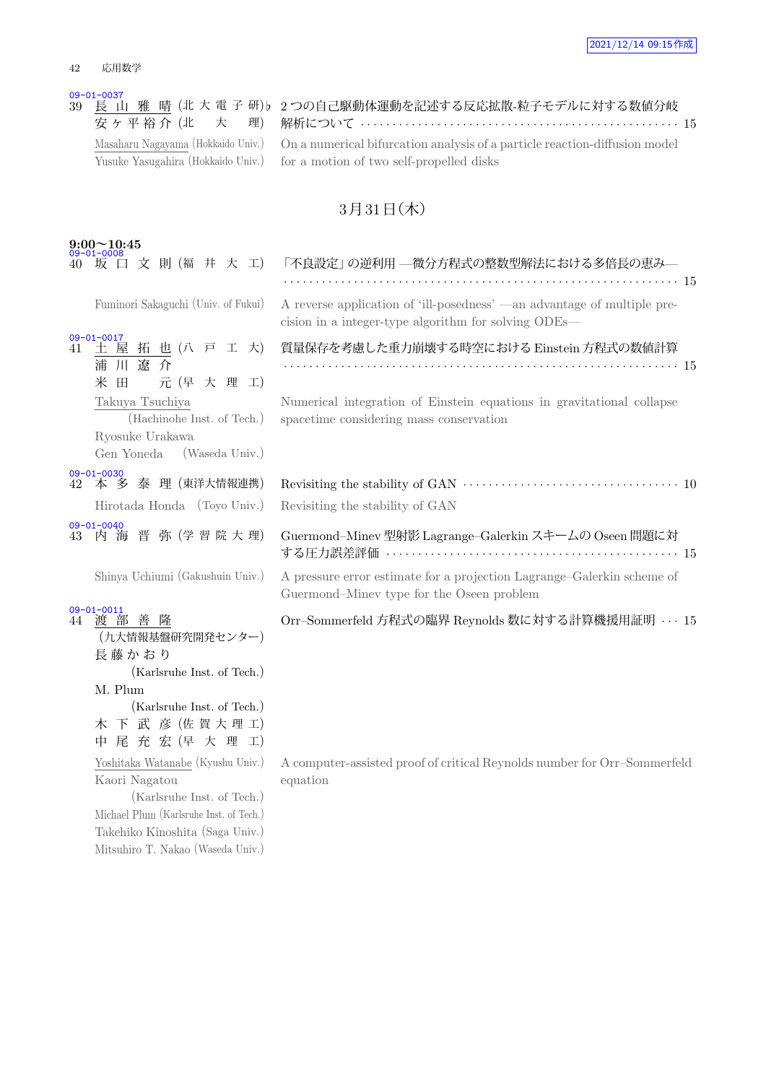<mark>09-01-0037</mark><br>39 <u>長 山 雅 晴</u> (北大電子研) 安ヶ平裕介 (北 大 理) Masaharu Nagayama (Hokkaido Univ.) Yusuke Yasugahira (Hokkaido Univ.)

> Michael Plum (Karlsruhe Inst. of Tech.) Takehiko Kinoshita (Saga Univ.) Mitsuhiro T. Nakao (Waseda Univ.)

| ♭ 2つの自己駆動体運動を記述する反応拡散-粒子モデルに対する数値分岐                                        |  |
|----------------------------------------------------------------------------|--|
|                                                                            |  |
| On a numerical bifurcation analysis of a particle reaction-diffusion model |  |
| for a motion of two self-propelled disks                                   |  |

## $3$ 月 $31$ 日 $($ 木 $)$

| $9:00 \sim 10:45$<br>09-01-0008                                                                  |                                                                                                                                 |
|--------------------------------------------------------------------------------------------------|---------------------------------------------------------------------------------------------------------------------------------|
| 坂 口 文 則 (福 井 大 工)                                                                                | 「不良設定」 の逆利用 —微分方程式の整数型解法における多倍長の恵み—                                                                                             |
| Fuminori Sakaguchi (Univ. of Fukui)                                                              | A reverse application of 'ill-posedness' —an advantage of multiple pre-<br>cision in a integer-type algorithm for solving ODEs— |
| $09 - 01 - 0017$<br>土屋拓也(八戸工大)<br>41<br>浦川遼介<br>田<br>元 (早 大 理 工)<br>米                            | 質量保存を考慮した重力崩壊する時空における Einstein 方程式の数値計算                                                                                         |
| Takuya Tsuchiya<br>(Hachinohe Inst. of Tech.)<br>Ryosuke Urakawa<br>(Waseda Univ.)<br>Gen Yoneda | Numerical integration of Einstein equations in gravitational collapse<br>spacetime considering mass conservation                |
| $09 - 01 - 0030$<br>42 本多泰理 (東洋大情報連携)<br>Hirotada Honda (Toyo Univ.)                             | Revisiting the stability of GAN                                                                                                 |
| $09 - 01 - 0040$<br>内海晋弥(学習院大理)<br>43                                                            | Guermond-Minev 型射影 Lagrange-Galerkin スキームの Oseen 問題に対                                                                           |
| Shinya Uchiumi (Gakushuin Univ.)                                                                 | A pressure error estimate for a projection Lagrange–Galerkin scheme of<br>Guermond-Minev type for the Oseen problem             |
| $09 - 01 - 0011$<br>渡部善隆<br>44<br>(九大情報基盤研究開発センター)<br>長藤かおり<br>(Karlsruhe Inst. of Tech.)        | Orr-Sommerfeld 方程式の臨界 Reynolds 数に対する計算機援用証明 · · · 15                                                                            |
| M. Plum<br>(Karlsruhe Inst. of Tech.)<br>木 下 武 彦 (佐賀大理工)<br>中尾充宏(早大理工)                           |                                                                                                                                 |
| Yoshitaka Watanabe (Kyushu Univ.)<br>Kaori Nagatou<br>(Karlsruhe Inst. of Tech.)                 | A computer-assisted proof of critical Reynolds number for Orr-Sommerfeld<br>equation                                            |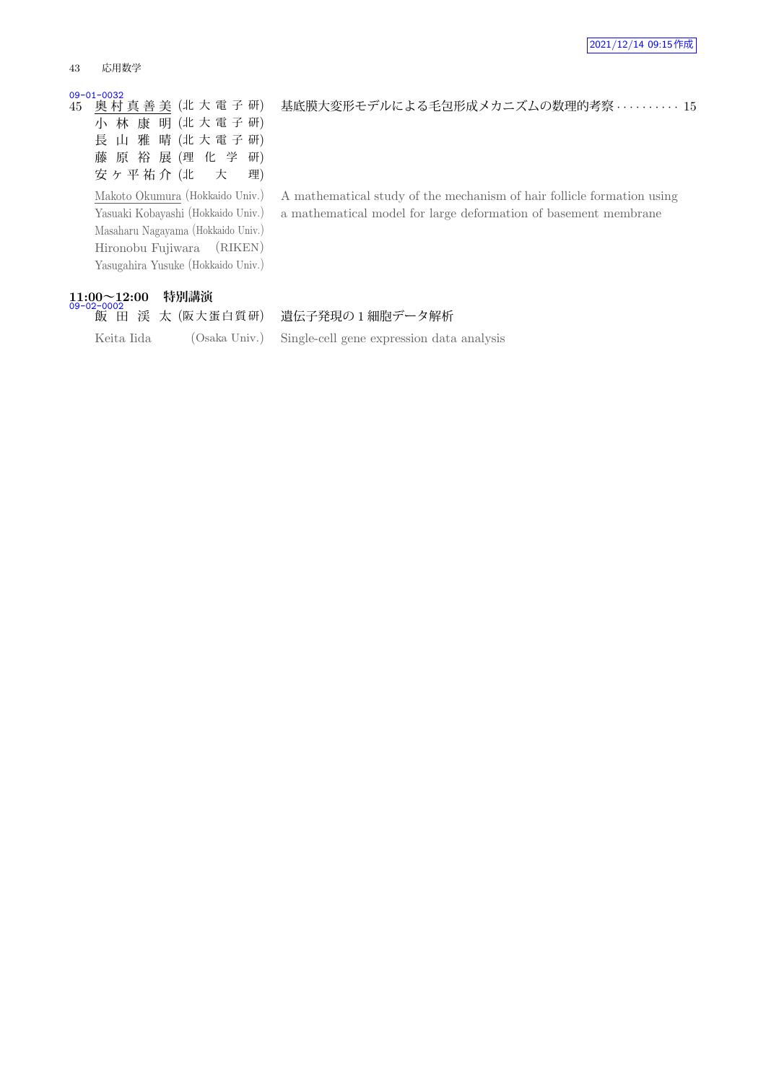#### 43 応用数学

#### 09-01-0032

45 奥 村 真 善 美 (北 大 電 子 研) 小 林 康 明 (北 大 電 子 研) 長 山 雅 晴 (北 大 電 子 研) 藤 原 裕 展 (理 化 学 研) 安ヶ平祐介 (北 大 理)

Makoto Okumura (Hokkaido Univ.) Yasuaki Kobayashi (Hokkaido Univ.) Masaharu Nagayama (Hokkaido Univ.) Hironobu Fujiwara (RIKEN) Yasugahira Yusuke (Hokkaido Univ.)

# **11:00~12:00 特別講演** 09-02-0002

A mathematical study of the mechanism of hair follicle formation using a mathematical model for large deformation of basement membrane

基底膜大変形モデルによる毛包形成メカニズムの数理的考察 *· · · · · · · · · ·* 15

### | 飯 田 渓 太 (阪大蛋白質研) 遺伝子発現の1細胞データ解析

Keita Iida (Osaka Univ.) Single-cell gene expression data analysis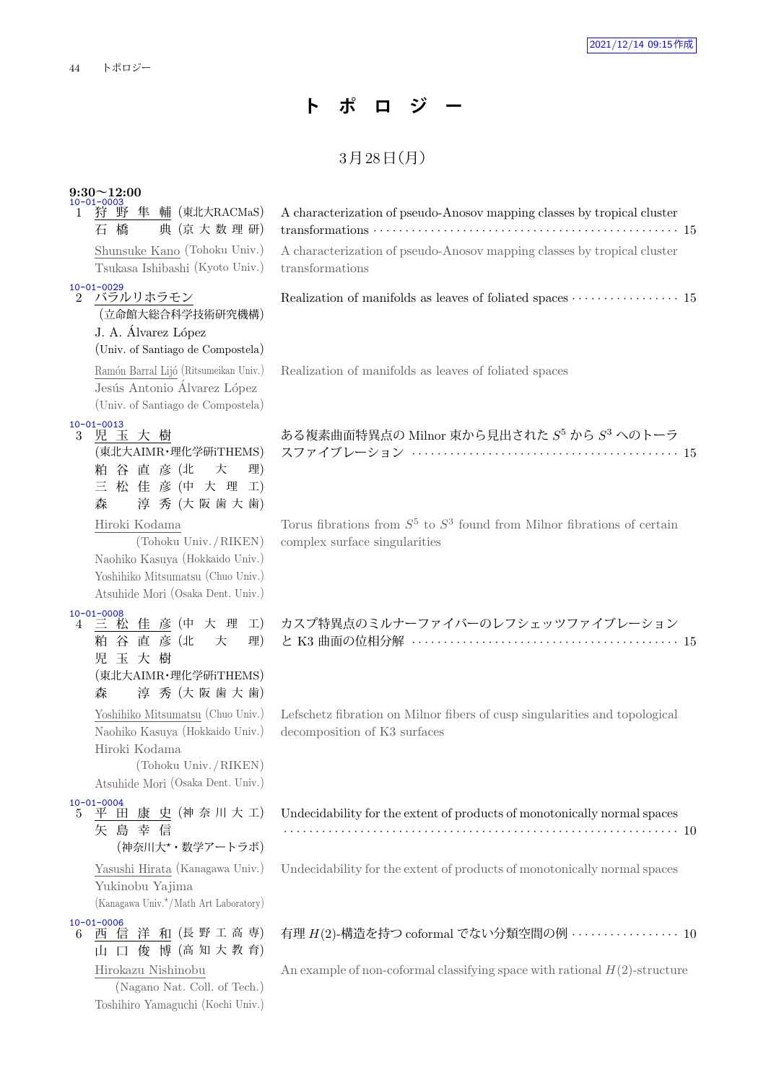## **ト ポ ロ ジ ー**

## $3798 \text{ H}$ (月)

## **9:30~12:00** 10-01-0003

| 狩 野 隼 輔 (東北大RACMaS)<br>1<br>典 (京大数理研)<br>橋<br>石                                                                                                    | A characterization of pseudo-Anosov mapping classes by tropical cluster                                       |
|----------------------------------------------------------------------------------------------------------------------------------------------------|---------------------------------------------------------------------------------------------------------------|
| Shunsuke Kano (Tohoku Univ.)<br>Tsukasa Ishibashi (Kyoto Univ.)                                                                                    | A characterization of pseudo-Anosov mapping classes by tropical cluster<br>transformations                    |
| 10-01-0029<br>2 バラル <u>リホラモン</u><br>(立命館大総合科学技術研究機構)<br>J. A. Álvarez López<br>(Univ. of Santiago de Compostela)                                   |                                                                                                               |
| Ramón Barral Lijó (Ritsumeikan Univ.)<br>Jesús Antonio Álvarez López<br>(Univ. of Santiago de Compostela)                                          | Realization of manifolds as leaves of foliated spaces                                                         |
| $10 - 01 - 0013$<br>児 玉 大 樹<br>3<br>(東北大AIMR・理化学研iTHEMS)<br>粕 谷 直 彦 (北<br>大<br>理)<br>三松佳彦(中大理工)<br>森<br>淳秀 (大阪歯大歯)                                 | ある複素曲面特異点の Milnor 束から見出された $S^5$ から $S^3$ へのトーラ                                                               |
| Hiroki Kodama<br>(Tohoku Univ./RIKEN)<br>Naohiko Kasuya (Hokkaido Univ.)<br>Yoshihiko Mitsumatsu (Chuo Univ.)<br>Atsuhide Mori (Osaka Dent. Univ.) | Torus fibrations from $S^5$ to $S^3$ found from Milnor fibrations of certain<br>complex surface singularities |
| 10-01-0008<br>4 三 松 佳 彦 (中 大 理 工)<br>粕 谷 直 彦 (北<br>大<br>理)<br>玉大樹<br>児<br>(東北大AIMR・理化学研iTHEMS)<br>淳秀 (大阪歯大歯)<br>森                                  | カスプ特異点のミルナーファイバーのレフシェッツファイブレーション                                                                              |
| Yoshihiko Mitsumatsu (Chuo Univ.)<br>Naohiko Kasuya (Hokkaido Univ.)<br>Hiroki Kodama<br>(Tohoku Univ./RIKEN)<br>Atsuhide Mori (Osaka Dent. Univ.) | Lefschetz fibration on Milnor fibers of cusp singularities and topological<br>decomposition of K3 surfaces    |
| $10 - 01 - 0004$<br>田康史 (神奈川大工)<br>$5^{\circ}$<br>平<br>矢島幸信<br>(神奈川大*・数学アートラボ)                                                                     | Undecidability for the extent of products of monotonically normal spaces                                      |
| Yasushi Hirata (Kanagawa Univ.)<br>Yukinobu Yajima<br>(Kanagawa Univ. <sup>*</sup> /Math Art Laboratory)                                           | Undecidability for the extent of products of monotonically normal spaces                                      |
| $10 - 01 - 0006$<br>西信洋和(長野工高専)<br>6<br>俊 博 (高 知 大 教 育)<br>Щ<br>$\Box$                                                                             | 有理 H(2)-構造を持つ coformal でない分類空間の例 ················· 10                                                         |
| Hirokazu Nishinobu<br>(Nagano Nat. Coll. of Tech.)                                                                                                 | An example of non-coformal classifying space with rational $H(2)$ -structure                                  |

Toshihiro Yamaguchi (Kochi Univ.)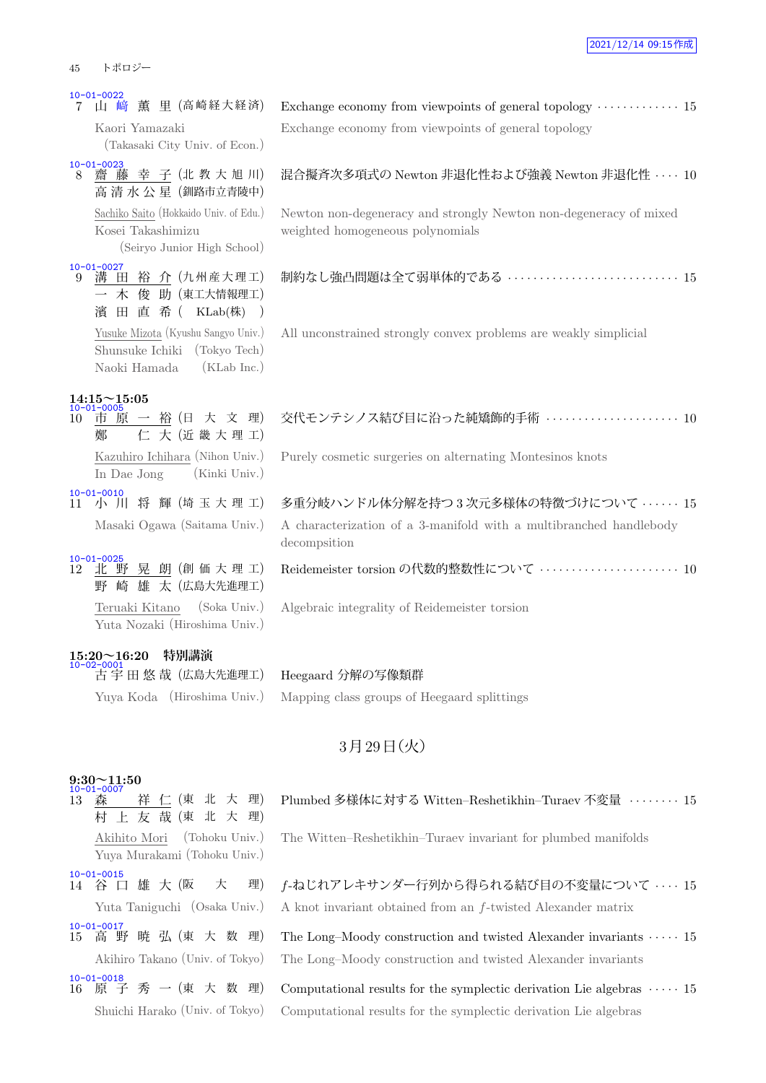| $10 - 01 - 0022$                                                                                     |                                                                                                       |
|------------------------------------------------------------------------------------------------------|-------------------------------------------------------------------------------------------------------|
| 山 﨑 薫 里 (高崎経大経済)                                                                                     |                                                                                                       |
| Kaori Yamazaki<br>(Takasaki City Univ. of Econ.)                                                     | Exchange economy from viewpoints of general topology                                                  |
| $10 - 01 - 0023$<br>齋藤幸子(北教大旭川)<br>8<br>高清水公星 (釧路市立青陵中)                                              | 混合擬斉次多項式の Newton 非退化性および強義 Newton 非退化性 ···· 10                                                        |
| Sachiko Saito (Hokkaido Univ. of Edu.)<br>Kosei Takashimizu<br>(Seiryo Junior High School)           | Newton non-degeneracy and strongly Newton non-degeneracy of mixed<br>weighted homogeneous polynomials |
| $10 - 01 - 0027$<br>溝 田 裕 介 (九州産大理工)<br>9<br>木 俊 助(東工大情報理工)<br>濱 田 直 希 (KLab(株) )                    | 制約なし強凸問題は全て弱単体的である ……………………………… 15                                                                    |
| Yusuke Mizota (Kyushu Sangyo Univ.)<br>Shunsuke Ichiki (Tokyo Tech)<br>Naoki Hamada<br>$(KLab$ Inc.) | All unconstrained strongly convex problems are weakly simplicial                                      |
| $14:15 \sim 15:05$<br>10-01-0005                                                                     |                                                                                                       |
| 市 原 一 裕 (日 大 文 理)<br>10<br>仁大(近畿大理工)<br>鄭                                                            | 交代モンテシノス結び目に沿った純矯飾的手術 ……………………… 10                                                                    |
| Kazuhiro Ichihara (Nihon Univ.)<br>In Dae Jong<br>(Kinki Univ.)                                      | Purely cosmetic surgeries on alternating Montesinos knots                                             |
| $10 - 01 - 0010$<br>小 川 将 輝 (埼玉大理工)<br>11                                                            | 多重分岐ハンドル体分解を持つ3次元多様体の特徴づけについて ‥‥‥ 15                                                                  |
| Masaki Ogawa (Saitama Univ.)                                                                         | A characterization of a 3-manifold with a multibranched handlebody<br>decompsition                    |
| $10 - 01 - 0025$<br>北野晃朗(創価大理工)<br>12<br>崎 雄 太 (広島大先進理工)<br>野                                        | Reidemeister torsion の代数的整数性について ………………………… 10                                                        |
| (Soka Univ.)<br>Teruaki Kitano<br>Yuta Nozaki (Hiroshima Univ.)                                      | Algebraic integrality of Reidemeister torsion                                                         |
| $15:20 \sim 16:20$<br>10-02-0001<br>特別講演                                                             |                                                                                                       |
| 古宇田悠哉 (広島大先進理工)                                                                                      | Heegaard 分解の写像類群                                                                                      |
| Yuya Koda (Hiroshima Univ.)                                                                          | Mapping class groups of Heegaard splittings                                                           |
|                                                                                                      |                                                                                                       |

### $9:30 \sim 11:50$

- 10-01-0007<br>13 森 祥 仁 (東 北 大 理) 村 上 友 哉 (東 北 大 理) Akihito Mori (Tohoku Univ.) Yuya Murakami (Tohoku Univ.) 10-01-0015<br>14 谷 口 雄 大 (阪 10-01-0017<br>15 高 野 暁 弘 (東 大 数 理)
- 10-01-0018<br>16 原 子 秀 一 (東 大 数 理)

|                                                      | Exchange economy from viewpoints of general topology $\cdots \cdots \cdots 1!$ |
|------------------------------------------------------|--------------------------------------------------------------------------------|
| Exchange economy from viewpoints of general topology |                                                                                |

### 混合擬斉次多項式の Newton 非退化性および強義 Newton 非退化性 *· · · ·* 10

| 交代モンテシノス結び目に沿った純矯飾的手術 ‥‥‥‥‥‥‥‥‥‥‥‥ 10 |  |  |
|---------------------------------------|--|--|
|---------------------------------------|--|--|

## 3月29日 (火)

### Plumbed 多様体に対する Witten–Reshetikhin–Turaev 不変量 *· · · · · · · ·* 15

The Witten–Reshetikhin–Turaev invariant for plumbed manifolds

大 理) f-ねじれアレキサンダー行列から得られる結び目の不変量について · · · · 15 Yuta Taniguchi (Osaka Univ.) A knot invariant obtained from an *f*-twisted Alexander matrix

The Long–Moody construction and twisted Alexander invariants  $\cdots$   $\cdot$  15 Akihiro Takano (Univ. of Tokyo) The Long–Moody construction and twisted Alexander invariants

Computational results for the symplectic derivation Lie algebras  $\cdots$   $\cdots$  15 Shuichi Harako (Univ. of Tokyo) Computational results for the symplectic derivation Lie algebras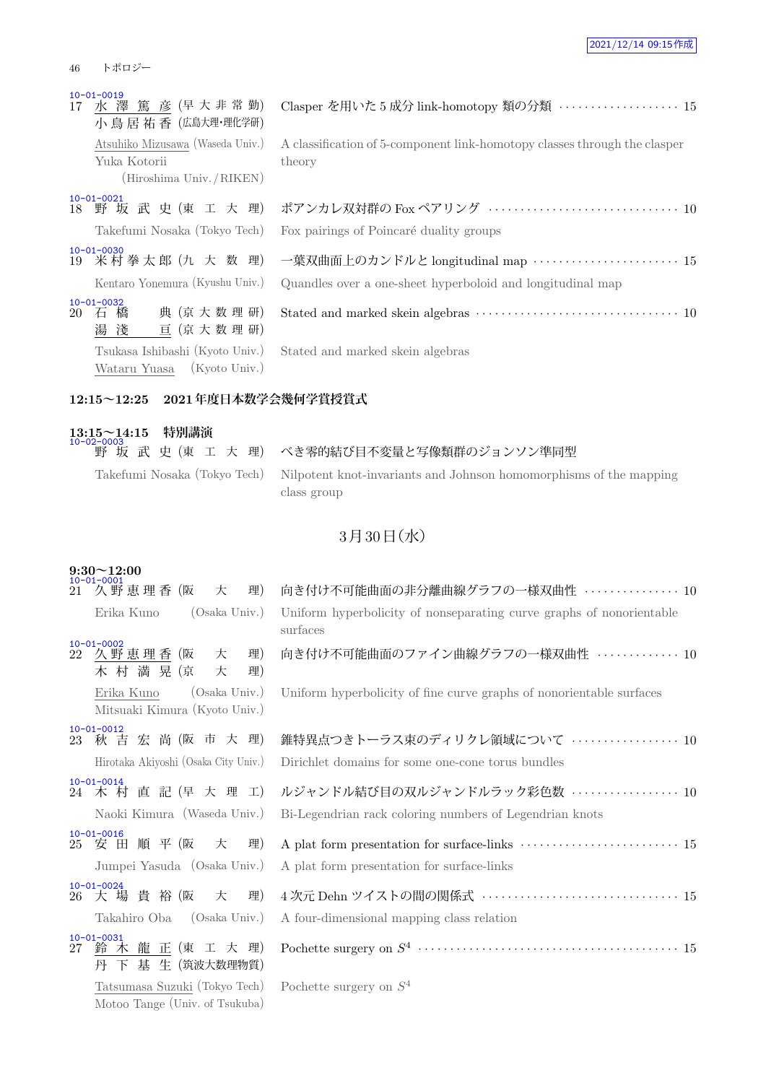### 46 トポロジー

| $10 - 01 - 0019$<br>17 水澤 篤彦 (早大非常勤)<br>小 鳥 居 祐 香 (広島大理·理化学研)                 | Clasper を用いた 5 成分 link-homotopy 類の分類  15                                                                                |
|-------------------------------------------------------------------------------|-------------------------------------------------------------------------------------------------------------------------|
| Atsuhiko Mizusawa (Waseda Univ.)<br>Yuka Kotorii<br>(Hiroshima Univ. / RIKEN) | A classification of 5-component link-homotopy classes through the clasper<br>theory                                     |
| $10 - 01 - 0021$<br>18 野坂武史(東工大理)<br>Takefumi Nosaka (Tokyo Tech)             | ポアンカレ双対群の Fox ペアリング ································ 10<br>Fox pairings of Poincaré duality groups                      |
| $10 - 01 - 0030$<br>19 米村拳太郎 (九 大 数 理)<br>Kentaro Yonemura (Kyushu Univ.)     | 一葉双曲面上のカンドルと longitudinal map ························ 15<br>Quandles over a one-sheet hyperboloid and longitudinal map |
| $10 - 01 - 0032$<br>典 (京大数理研)<br>20 石 橋<br>湯 淺<br>亘 (京大数理研)                   |                                                                                                                         |
| Tsukasa Ishibashi (Kyoto Univ.)<br>Wataru Yuasa (Kyoto Univ.)                 | Stated and marked skein algebras                                                                                        |

### **12:15~12:25 2021年度日本数学会幾何学賞授賞式**

### **13:15~14:15 特別講演** 10-02-0003 <u>。</u><br>|野 坂 武 史 (東 工 大 理) | べき零的結び目不変量と写像類群のジョンソン準同型 Takefumi Nosaka (Tokyo Tech) Nilpotent knot-invariants and Johnson homomorphisms of the mapping class group

## $3730$ 日(水)

| $9:30 \sim 12:00$<br>$10 - 01 - 0001$ |                                                                     |                                                                                                                     |  |  |
|---------------------------------------|---------------------------------------------------------------------|---------------------------------------------------------------------------------------------------------------------|--|--|
| 21                                    | 久野恵理香 (阪<br>理)<br>大                                                 | 向き付け不可能曲面の非分離曲線グラフの一様双曲性  10                                                                                        |  |  |
|                                       | (Osaka Univ.)<br>Erika Kuno                                         | Uniform hyperbolicity of nonseparating curve graphs of nonorientable<br>surfaces                                    |  |  |
|                                       | $10 - 01 - 0002$<br>22 久野恵理香 (阪<br>理)<br>大<br>木 村 満 晃 (京<br>理)<br>大 | 向き付け不可能曲面のファイン曲線グラフの一様双曲性 …………… 10                                                                                  |  |  |
|                                       | Erika Kuno<br>(Osaka Univ.)<br>Mitsuaki Kimura (Kyoto Univ.)        | Uniform hyperbolicity of fine curve graphs of nonorientable surfaces                                                |  |  |
|                                       | $10 - 01 - 0012$<br>23 秋吉宏尚(阪市大理)                                   | 錐特異点つきトーラス束のディリクレ領域について ………………… 10                                                                                  |  |  |
|                                       | Hirotaka Akiyoshi (Osaka City Univ.)                                | Dirichlet domains for some one-cone torus bundles                                                                   |  |  |
|                                       | $10 - 01 - 0014$<br>24 木 村 直 記 (早 大 理 工)                            | ルジャンドル結び目の双ルジャンドルラック彩色数 ‥‥‥‥‥‥‥‥‥ 10                                                                                |  |  |
|                                       | Naoki Kimura (Waseda Univ.)                                         | Bi-Legendrian rack coloring numbers of Legendrian knots                                                             |  |  |
|                                       | $10 - 01 - 0016$<br>25 安田順平(阪<br>理)<br>大                            | A plat form presentation for surface-links $\,\cdots\, \cdots\, \cdots\, \cdots\, \cdots\, \cdots\, \cdots\, \, 15$ |  |  |
|                                       | Jumpei Yasuda (Osaka Univ.)                                         | A plat form presentation for surface-links                                                                          |  |  |
|                                       | $10 - 01 - 0024$<br>26 大 場 貴 裕 (阪<br>大<br>理)                        | 4次元 Dehn ツイストの間の関係式 ·································15                                                             |  |  |
|                                       | (Osaka Univ.)<br>Takahiro Oba                                       | A four-dimensional mapping class relation                                                                           |  |  |
|                                       | $10 - 01 - 0031$<br>27 鈴 木 龍 正 (東 工 大 理)<br>下 基 生 (筑波大数理物質)<br>丹    |                                                                                                                     |  |  |
|                                       | Tatsumasa Suzuki (Tokyo Tech)<br>Motoo Tange (Univ. of Tsukuba)     | Pochette surgery on $S^4$                                                                                           |  |  |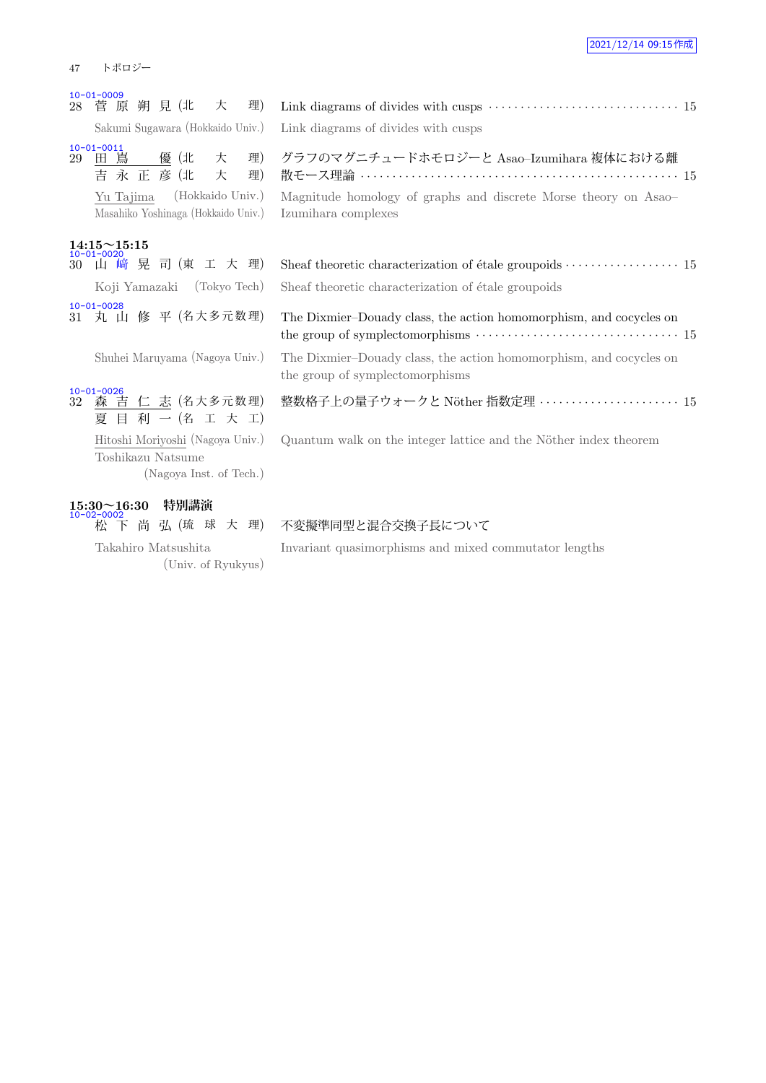#### 47 トポロジー

|  |  |  | Sakumi Sugawara (Hokkaido Univ.) |  |
|--|--|--|----------------------------------|--|

### **14:15~15:15**

<u>10-01-0026</u><br>32 <u>森 吉 仁 志</u> (名大多元数理) 夏 目 利 一 (名 工 大 工) Hitoshi Moriyoshi (Nagoya Univ.) Toshikazu Natsume (Nagoya Inst. of Tech.)

# **15:30~16:30 特別講演** 10-02-0002

Takahiro Matsushita (Univ. of Ryukyus)

|    | $10 - 01 - 0009$                                                     |                                                                                                                                                                                                    |
|----|----------------------------------------------------------------------|----------------------------------------------------------------------------------------------------------------------------------------------------------------------------------------------------|
|    | 28 菅 原 朔 見 (北<br>理)<br>大                                             |                                                                                                                                                                                                    |
|    | Sakumi Sugawara (Hokkaido Univ.)                                     | Link diagrams of divides with cusps                                                                                                                                                                |
| 29 | $10 - 01 - 0011$<br>理)<br>田嶌<br>優(北<br>大<br>吉永正彦(北<br>理)<br>大        | グラフのマグニチュードホモロジーと Asao-Izumihara 複体における離                                                                                                                                                           |
|    | (Hokkaido Univ.)<br>Yu Tajima<br>Masahiko Yoshinaga (Hokkaido Univ.) | Magnitude homology of graphs and discrete Morse theory on Asao-<br>Izumihara complexes                                                                                                             |
|    | $14:15 \sim 15:15$                                                   |                                                                                                                                                                                                    |
|    | $10 - 01 - 0020$<br>30 山 崎 晃 司 (東 工 大 理)                             | Sheaf theoretic characterization of étale groupoids $\cdots \cdots \cdots \cdots \cdots 15$                                                                                                        |
|    | Koji Yamazaki (Tokyo Tech)                                           | Sheaf theoretic characterization of étale groupoids                                                                                                                                                |
|    | $10 - 01 - 0028$<br>31 丸 山 修 平 (名大多元数理)                              | The Dixmier-Douady class, the action homomorphism, and cocycles on<br>the group of symplectomorphisms $\dotsb \dotsb \dotsb \dotsb \dotsb \dotsb \dotsb \dotsb \dotsb \dotsb \dotsb \dotsb \dotsb$ |
|    | Shuhei Maruyama (Nagoya Univ.)                                       | The Dixmier-Douady class, the action homomorphism, and cocycles on<br>the group of symplectomorphisms                                                                                              |
|    |                                                                      |                                                                                                                                                                                                    |

整数格子上の量子ウォークと N¨other 指数定理 *· · · · · · · · · · · · · · · · · · · · · ·* 15

Quantum walk on the integer lattice and the Nöther index theorem

### 松 下 尚 弘 (琉 球 大 理) 不変擬準同型と混合交換子長について

Invariant quasimorphisms and mixed commutator lengths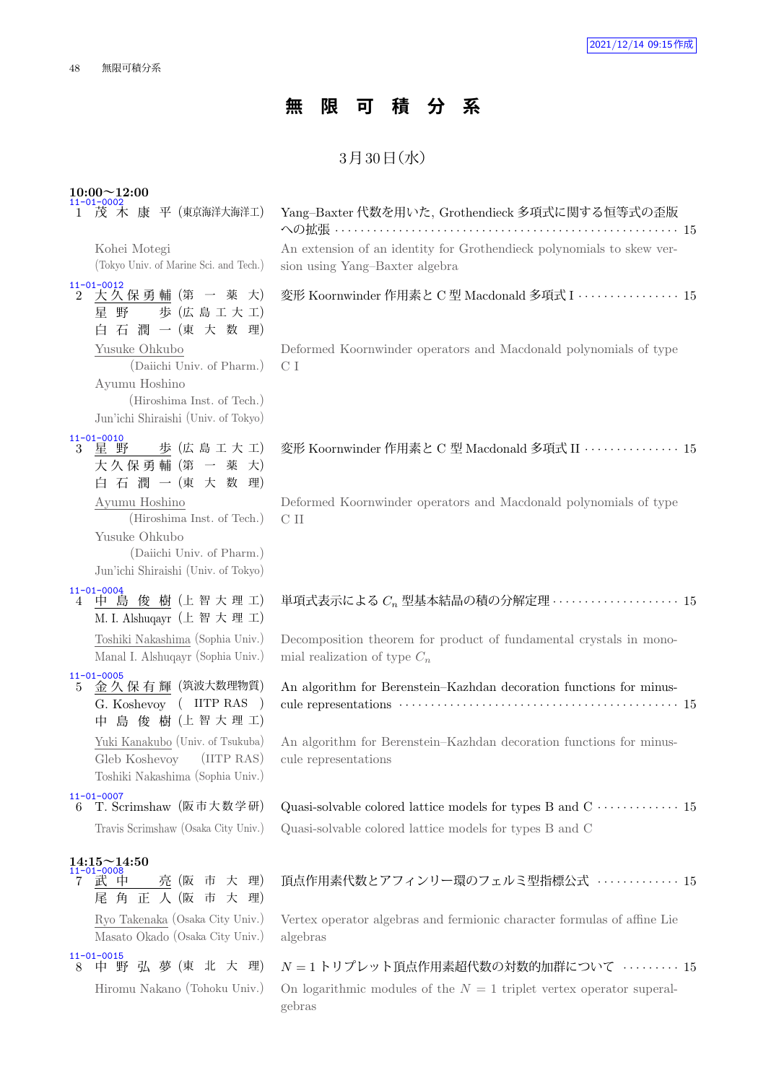# **無 限 可 積 分 系**

## $3$ 月 $30$ 日 $($ 水 $)$

| $10:00 \sim 12:00$<br>$11-01-0002$<br>1 茂 木 康 平 (東京海洋大海洋工)                                                                       | Yang–Baxter 代数を用いた, Grothendieck 多項式に関する恒等式の歪版                                                          |
|----------------------------------------------------------------------------------------------------------------------------------|---------------------------------------------------------------------------------------------------------|
| Kohei Motegi<br>(Tokyo Univ. of Marine Sci. and Tech.)                                                                           | An extension of an identity for Grothendieck polynomials to skew ver-<br>sion using Yang-Baxter algebra |
| $11 - 01 - 0012$<br>大久保勇輔 (第 一 薬 大)<br>$\overline{2}$<br>歩 (広島工大工)<br>星野<br>白石潤一(東大数理)                                           | 変形 Koornwinder 作用素と C 型 Macdonald 多項式 I · · · · · · · · · · · · · · · 15                                |
| Yusuke Ohkubo<br>(Daiichi Univ. of Pharm.)<br>Ayumu Hoshino<br>(Hiroshima Inst. of Tech.)<br>Jun'ichi Shiraishi (Univ. of Tokyo) | Deformed Koornwinder operators and Macdonald polynomials of type<br>C I                                 |
| $11 - 01 - 0010$<br>星 野 歩 (広島工大工)<br>3<br>大久保勇輔 (第一 薬 大)<br>白石潤一(東大数理)                                                           | 変形 Koornwinder 作用素と C 型 Macdonald 多項式 II ··············· 15                                             |
| Ayumu Hoshino<br>(Hiroshima Inst. of Tech.)<br>Yusuke Ohkubo<br>(Daiichi Univ. of Pharm.)<br>Jun'ichi Shiraishi (Univ. of Tokyo) | Deformed Koornwinder operators and Macdonald polynomials of type<br>C II                                |
| $11 - 01 - 0004$<br>中 島 俊 樹 (上智大理工)<br>4<br>M. I. Alshuqayr (上 智 大 理 工)                                                          | 単項式表示による $C_n$ 型基本結晶の積の分解定理 ···················· 15                                                     |
| Toshiki Nakashima (Sophia Univ.)<br>Manal I. Alshuqayr (Sophia Univ.)<br>$11 - 01 - 0005$                                        | Decomposition theorem for product of fundamental crystals in mono-<br>mial realization of type $C_n$    |
| 金 久 保 有 輝 (筑波大数理物質)<br>5.<br>G. Koshevoy ( IITP RAS )<br>中 島 俊 樹 (上智大理工)                                                         | An algorithm for Berenstein-Kazhdan decoration functions for minus-                                     |
| Yuki Kanakubo (Univ. of Tsukuba)<br>Gleb Koshevoy (IITP RAS)<br>Toshiki Nakashima (Sophia Univ.)                                 | An algorithm for Berenstein-Kazhdan decoration functions for minus-<br>cule representations             |
| $11 - 01 - 0007$<br>T. Scrimshaw (阪市大数学研)<br>6                                                                                   |                                                                                                         |
| Travis Scrimshaw (Osaka City Univ.)                                                                                              | Quasi-solvable colored lattice models for types B and C                                                 |
| $14:15\!\!\simeq\!14:50$<br>$11 - 01 - 0008$                                                                                     |                                                                                                         |
| 武 中<br>亮 (阪 市 大 理)<br>7<br>尾角正人(阪市大理)                                                                                            | 頂点作用素代数とアフィンリー環のフェルミ型指標公式  15                                                                           |
| Ryo Takenaka (Osaka City Univ.)<br>Masato Okado (Osaka City Univ.)                                                               | Vertex operator algebras and fermionic character formulas of affine Lie<br>algebras                     |
| $11 - 01 - 0015$<br>中 野 弘 夢 (東 北 大 理)<br>8                                                                                       | $N = 1$ トリプレット頂点作用素超代数の対数的加群について ………… 15                                                                |
| Hiromu Nakano (Tohoku Univ.)                                                                                                     | On logarithmic modules of the $N = 1$ triplet vertex operator superal-<br>gebras                        |